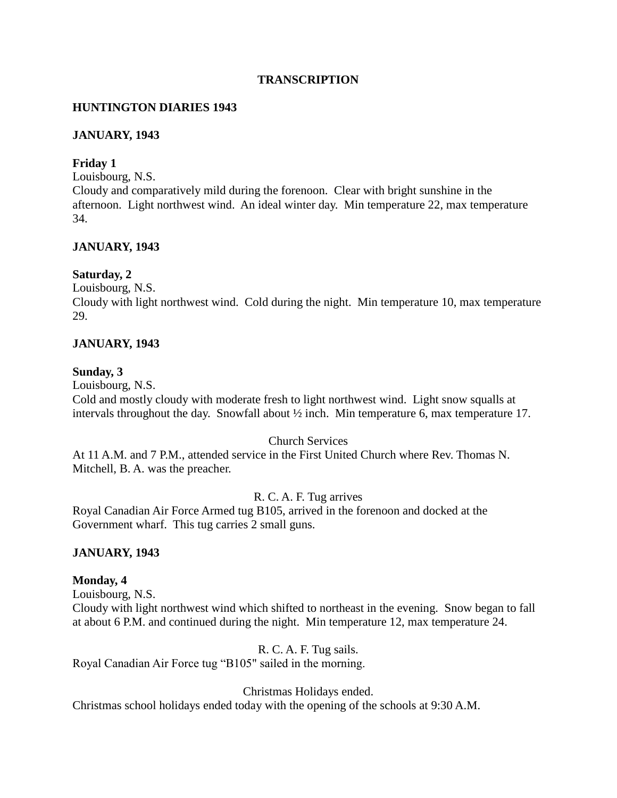## **TRANSCRIPTION**

# **HUNTINGTON DIARIES 1943**

## **JANUARY, 1943**

## **Friday 1**

Louisbourg, N.S.

Cloudy and comparatively mild during the forenoon. Clear with bright sunshine in the afternoon. Light northwest wind. An ideal winter day. Min temperature 22, max temperature 34.

## **JANUARY, 1943**

#### **Saturday, 2**

Louisbourg, N.S.

Cloudy with light northwest wind. Cold during the night. Min temperature 10, max temperature 29.

## **JANUARY, 1943**

#### **Sunday, 3**

Louisbourg, N.S.

Cold and mostly cloudy with moderate fresh to light northwest wind. Light snow squalls at intervals throughout the day. Snowfall about ½ inch. Min temperature 6, max temperature 17.

#### Church Services

At 11 A.M. and 7 P.M., attended service in the First United Church where Rev. Thomas N. Mitchell, B. A. was the preacher.

## R. C. A. F. Tug arrives

Royal Canadian Air Force Armed tug B105, arrived in the forenoon and docked at the Government wharf. This tug carries 2 small guns.

## **JANUARY, 1943**

#### **Monday, 4**

Louisbourg, N.S.

Cloudy with light northwest wind which shifted to northeast in the evening. Snow began to fall at about 6 P.M. and continued during the night. Min temperature 12, max temperature 24.

#### R. C. A. F. Tug sails.

Royal Canadian Air Force tug "B105" sailed in the morning.

Christmas Holidays ended.

Christmas school holidays ended today with the opening of the schools at 9:30 A.M.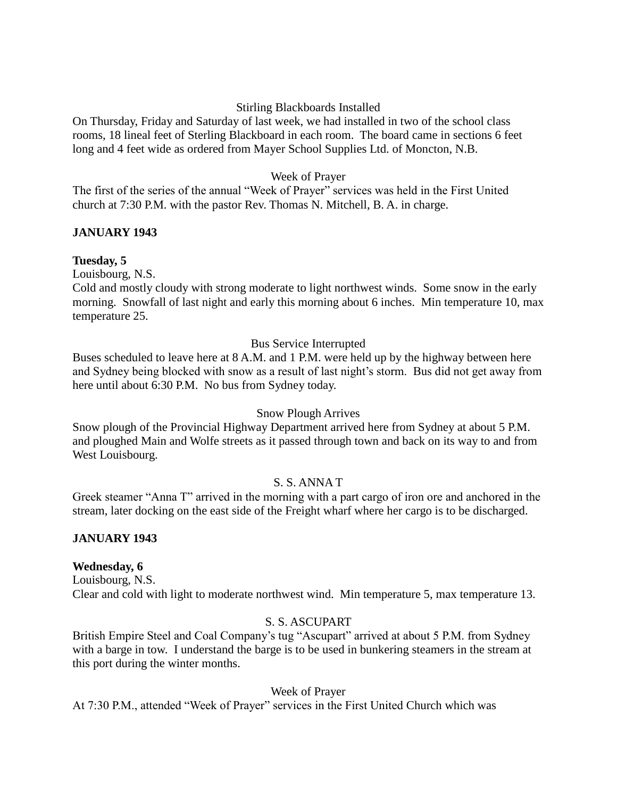## Stirling Blackboards Installed

On Thursday, Friday and Saturday of last week, we had installed in two of the school class rooms, 18 lineal feet of Sterling Blackboard in each room. The board came in sections 6 feet long and 4 feet wide as ordered from Mayer School Supplies Ltd. of Moncton, N.B.

# Week of Prayer

The first of the series of the annual "Week of Prayer" services was held in the First United church at 7:30 P.M. with the pastor Rev. Thomas N. Mitchell, B. A. in charge.

## **JANUARY 1943**

## **Tuesday, 5**

Louisbourg, N.S.

Cold and mostly cloudy with strong moderate to light northwest winds. Some snow in the early morning. Snowfall of last night and early this morning about 6 inches. Min temperature 10, max temperature 25.

## Bus Service Interrupted

Buses scheduled to leave here at 8 A.M. and 1 P.M. were held up by the highway between here and Sydney being blocked with snow as a result of last night's storm. Bus did not get away from here until about 6:30 P.M. No bus from Sydney today.

## Snow Plough Arrives

Snow plough of the Provincial Highway Department arrived here from Sydney at about 5 P.M. and ploughed Main and Wolfe streets as it passed through town and back on its way to and from West Louisbourg.

## S. S. ANNA T

Greek steamer "Anna T" arrived in the morning with a part cargo of iron ore and anchored in the stream, later docking on the east side of the Freight wharf where her cargo is to be discharged.

## **JANUARY 1943**

# **Wednesday, 6**

Louisbourg, N.S. Clear and cold with light to moderate northwest wind. Min temperature 5, max temperature 13.

# S. S. ASCUPART

British Empire Steel and Coal Company's tug "Ascupart" arrived at about 5 P.M. from Sydney with a barge in tow. I understand the barge is to be used in bunkering steamers in the stream at this port during the winter months.

## Week of Prayer

At 7:30 P.M., attended "Week of Prayer" services in the First United Church which was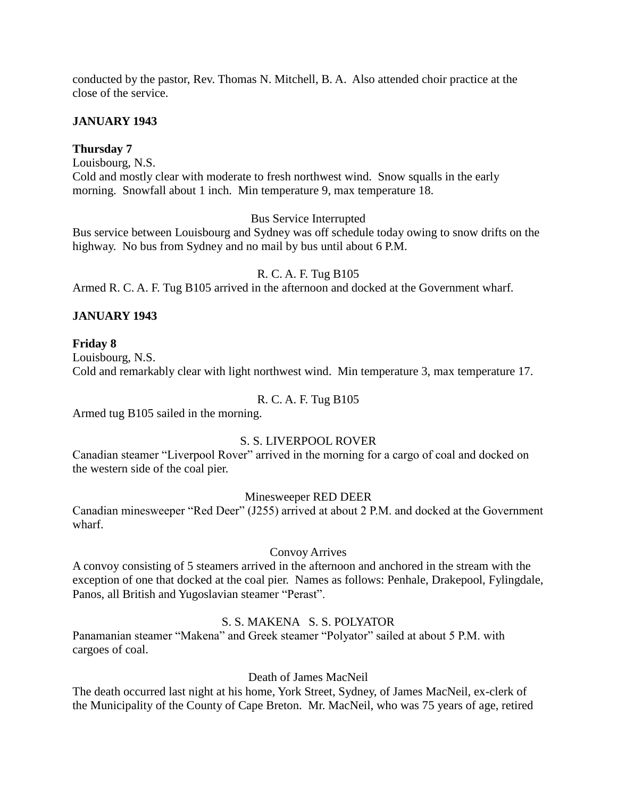conducted by the pastor, Rev. Thomas N. Mitchell, B. A. Also attended choir practice at the close of the service.

## **JANUARY 1943**

## **Thursday 7**

Louisbourg, N.S.

Cold and mostly clear with moderate to fresh northwest wind. Snow squalls in the early morning. Snowfall about 1 inch. Min temperature 9, max temperature 18.

## Bus Service Interrupted

Bus service between Louisbourg and Sydney was off schedule today owing to snow drifts on the highway. No bus from Sydney and no mail by bus until about 6 P.M.

## R. C. A. F. Tug B105

Armed R. C. A. F. Tug B105 arrived in the afternoon and docked at the Government wharf.

# **JANUARY 1943**

## **Friday 8**

Louisbourg, N.S. Cold and remarkably clear with light northwest wind. Min temperature 3, max temperature 17.

# R. C. A. F. Tug B105

Armed tug B105 sailed in the morning.

# S. S. LIVERPOOL ROVER

Canadian steamer "Liverpool Rover" arrived in the morning for a cargo of coal and docked on the western side of the coal pier.

## Minesweeper RED DEER

Canadian minesweeper "Red Deer" (J255) arrived at about 2 P.M. and docked at the Government wharf.

## Convoy Arrives

A convoy consisting of 5 steamers arrived in the afternoon and anchored in the stream with the exception of one that docked at the coal pier. Names as follows: Penhale, Drakepool, Fylingdale, Panos, all British and Yugoslavian steamer "Perast".

## S. S. MAKENA S. S. POLYATOR

Panamanian steamer "Makena" and Greek steamer "Polyator" sailed at about 5 P.M. with cargoes of coal.

## Death of James MacNeil

The death occurred last night at his home, York Street, Sydney, of James MacNeil, ex-clerk of the Municipality of the County of Cape Breton. Mr. MacNeil, who was 75 years of age, retired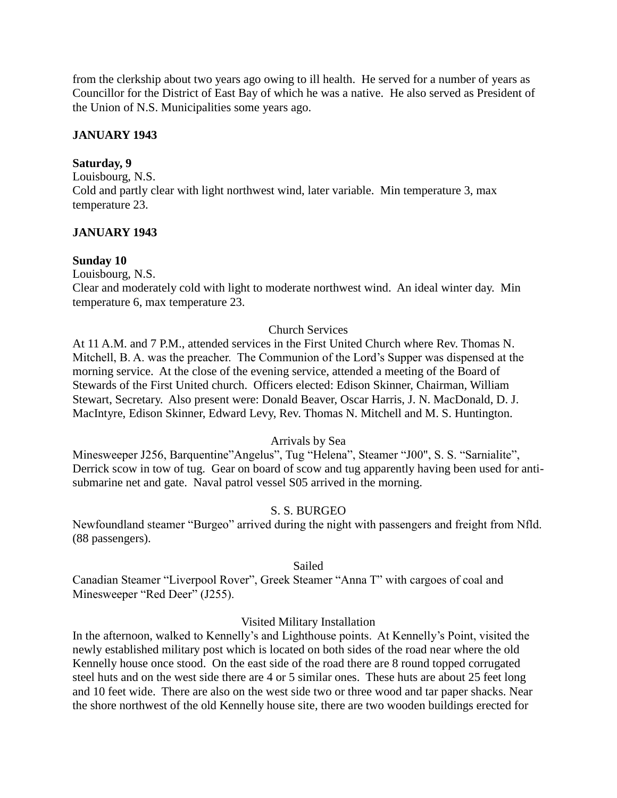from the clerkship about two years ago owing to ill health. He served for a number of years as Councillor for the District of East Bay of which he was a native. He also served as President of the Union of N.S. Municipalities some years ago.

# **JANUARY 1943**

## **Saturday, 9**

Louisbourg, N.S. Cold and partly clear with light northwest wind, later variable. Min temperature 3, max temperature 23.

# **JANUARY 1943**

## **Sunday 10**

Louisbourg, N.S.

Clear and moderately cold with light to moderate northwest wind. An ideal winter day. Min temperature 6, max temperature 23.

## Church Services

At 11 A.M. and 7 P.M., attended services in the First United Church where Rev. Thomas N. Mitchell, B. A. was the preacher. The Communion of the Lord's Supper was dispensed at the morning service. At the close of the evening service, attended a meeting of the Board of Stewards of the First United church. Officers elected: Edison Skinner, Chairman, William Stewart, Secretary. Also present were: Donald Beaver, Oscar Harris, J. N. MacDonald, D. J. MacIntyre, Edison Skinner, Edward Levy, Rev. Thomas N. Mitchell and M. S. Huntington.

## Arrivals by Sea

Minesweeper J256, Barquentine"Angelus", Tug "Helena", Steamer "J00", S. S. "Sarnialite", Derrick scow in tow of tug. Gear on board of scow and tug apparently having been used for antisubmarine net and gate. Naval patrol vessel S05 arrived in the morning.

# S. S. BURGEO

Newfoundland steamer "Burgeo" arrived during the night with passengers and freight from Nfld. (88 passengers).

## Sailed

Canadian Steamer "Liverpool Rover", Greek Steamer "Anna T" with cargoes of coal and Minesweeper "Red Deer" (J255).

## Visited Military Installation

In the afternoon, walked to Kennelly's and Lighthouse points. At Kennelly's Point, visited the newly established military post which is located on both sides of the road near where the old Kennelly house once stood. On the east side of the road there are 8 round topped corrugated steel huts and on the west side there are 4 or 5 similar ones. These huts are about 25 feet long and 10 feet wide. There are also on the west side two or three wood and tar paper shacks. Near the shore northwest of the old Kennelly house site, there are two wooden buildings erected for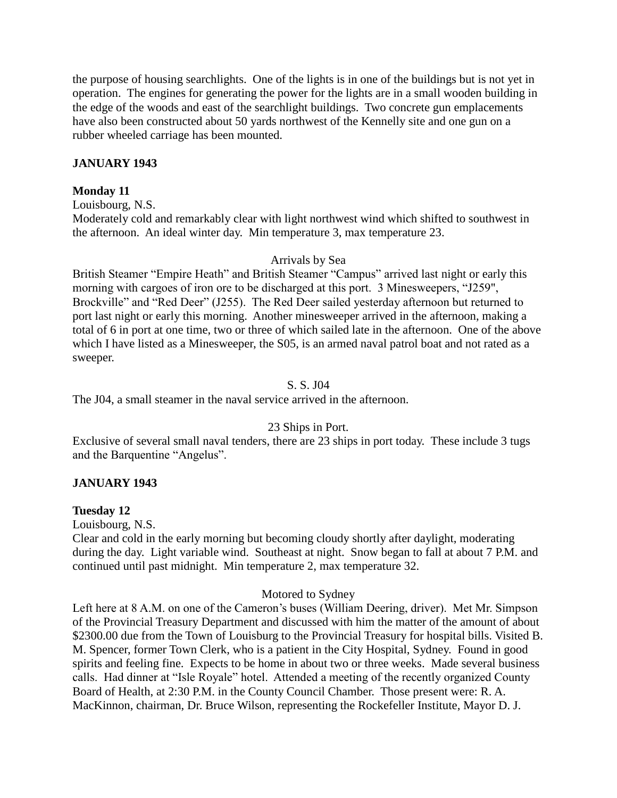the purpose of housing searchlights. One of the lights is in one of the buildings but is not yet in operation. The engines for generating the power for the lights are in a small wooden building in the edge of the woods and east of the searchlight buildings. Two concrete gun emplacements have also been constructed about 50 yards northwest of the Kennelly site and one gun on a rubber wheeled carriage has been mounted.

## **JANUARY 1943**

## **Monday 11**

Louisbourg, N.S. Moderately cold and remarkably clear with light northwest wind which shifted to southwest in the afternoon. An ideal winter day. Min temperature 3, max temperature 23.

## Arrivals by Sea

British Steamer "Empire Heath" and British Steamer "Campus" arrived last night or early this morning with cargoes of iron ore to be discharged at this port. 3 Minesweepers, "J259", Brockville" and "Red Deer" (J255). The Red Deer sailed yesterday afternoon but returned to port last night or early this morning. Another minesweeper arrived in the afternoon, making a total of 6 in port at one time, two or three of which sailed late in the afternoon. One of the above which I have listed as a Minesweeper, the S05, is an armed naval patrol boat and not rated as a sweeper.

## S. S. J04

The J04, a small steamer in the naval service arrived in the afternoon.

## 23 Ships in Port.

Exclusive of several small naval tenders, there are 23 ships in port today. These include 3 tugs and the Barquentine "Angelus".

# **JANUARY 1943**

## **Tuesday 12**

Louisbourg, N.S.

Clear and cold in the early morning but becoming cloudy shortly after daylight, moderating during the day. Light variable wind. Southeast at night. Snow began to fall at about 7 P.M. and continued until past midnight. Min temperature 2, max temperature 32.

## Motored to Sydney

Left here at 8 A.M. on one of the Cameron's buses (William Deering, driver). Met Mr. Simpson of the Provincial Treasury Department and discussed with him the matter of the amount of about \$2300.00 due from the Town of Louisburg to the Provincial Treasury for hospital bills. Visited B. M. Spencer, former Town Clerk, who is a patient in the City Hospital, Sydney. Found in good spirits and feeling fine. Expects to be home in about two or three weeks. Made several business calls. Had dinner at "Isle Royale" hotel. Attended a meeting of the recently organized County Board of Health, at 2:30 P.M. in the County Council Chamber. Those present were: R. A. MacKinnon, chairman, Dr. Bruce Wilson, representing the Rockefeller Institute, Mayor D. J.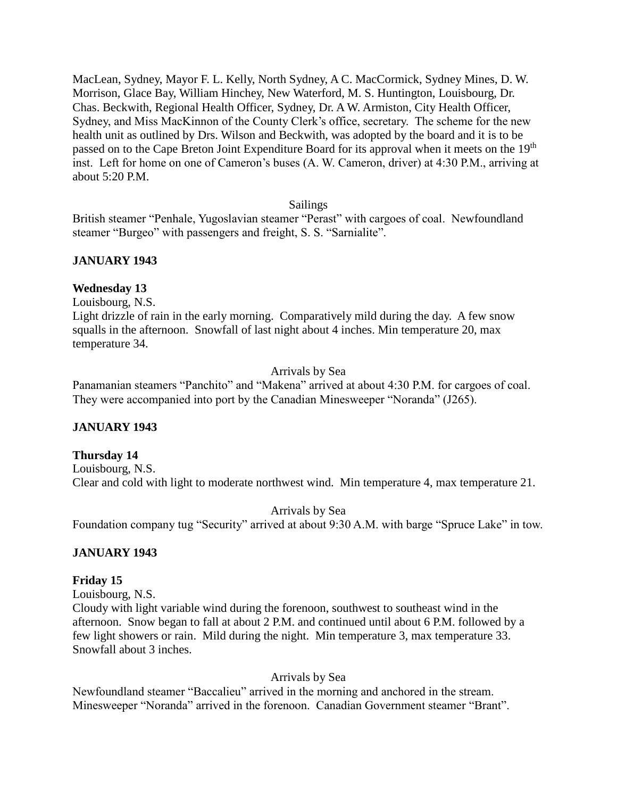MacLean, Sydney, Mayor F. L. Kelly, North Sydney, A C. MacCormick, Sydney Mines, D. W. Morrison, Glace Bay, William Hinchey, New Waterford, M. S. Huntington, Louisbourg, Dr. Chas. Beckwith, Regional Health Officer, Sydney, Dr. A W. Armiston, City Health Officer, Sydney, and Miss MacKinnon of the County Clerk's office, secretary. The scheme for the new health unit as outlined by Drs. Wilson and Beckwith, was adopted by the board and it is to be passed on to the Cape Breton Joint Expenditure Board for its approval when it meets on the 19<sup>th</sup> inst. Left for home on one of Cameron's buses (A. W. Cameron, driver) at 4:30 P.M., arriving at about 5:20 P.M.

## Sailings

British steamer "Penhale, Yugoslavian steamer "Perast" with cargoes of coal. Newfoundland steamer "Burgeo" with passengers and freight, S. S. "Sarnialite".

# **JANUARY 1943**

## **Wednesday 13**

Louisbourg, N.S.

Light drizzle of rain in the early morning. Comparatively mild during the day. A few snow squalls in the afternoon. Snowfall of last night about 4 inches. Min temperature 20, max temperature 34.

## Arrivals by Sea

Panamanian steamers "Panchito" and "Makena" arrived at about 4:30 P.M. for cargoes of coal. They were accompanied into port by the Canadian Minesweeper "Noranda" (J265).

## **JANUARY 1943**

## **Thursday 14**

Louisbourg, N.S. Clear and cold with light to moderate northwest wind. Min temperature 4, max temperature 21.

Arrivals by Sea

Foundation company tug "Security" arrived at about 9:30 A.M. with barge "Spruce Lake" in tow.

## **JANUARY 1943**

## **Friday 15**

Louisbourg, N.S.

Cloudy with light variable wind during the forenoon, southwest to southeast wind in the afternoon. Snow began to fall at about 2 P.M. and continued until about 6 P.M. followed by a few light showers or rain. Mild during the night. Min temperature 3, max temperature 33. Snowfall about 3 inches.

## Arrivals by Sea

Newfoundland steamer "Baccalieu" arrived in the morning and anchored in the stream. Minesweeper "Noranda" arrived in the forenoon. Canadian Government steamer "Brant".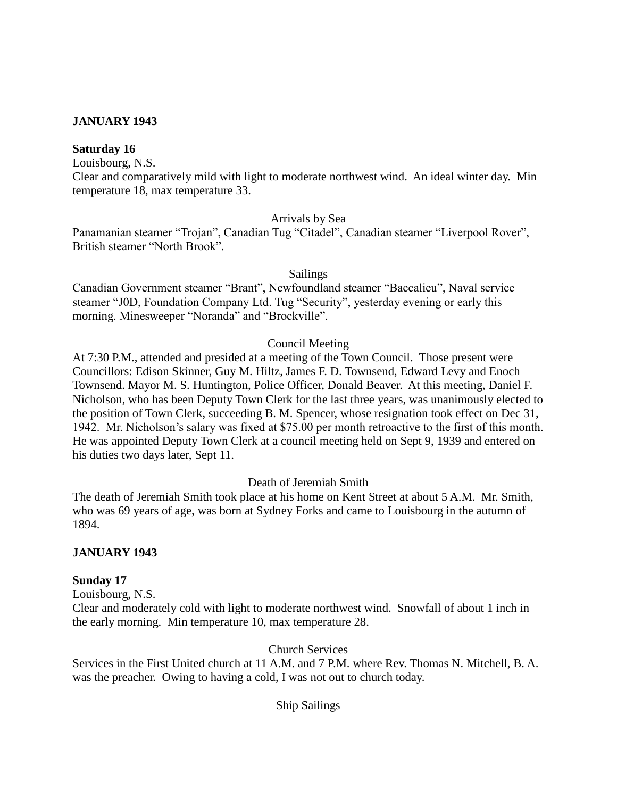## **JANUARY 1943**

## **Saturday 16**

Louisbourg, N.S.

Clear and comparatively mild with light to moderate northwest wind. An ideal winter day. Min temperature 18, max temperature 33.

#### Arrivals by Sea

Panamanian steamer "Trojan", Canadian Tug "Citadel", Canadian steamer "Liverpool Rover", British steamer "North Brook".

#### Sailings

Canadian Government steamer "Brant", Newfoundland steamer "Baccalieu", Naval service steamer "J0D, Foundation Company Ltd. Tug "Security", yesterday evening or early this morning. Minesweeper "Noranda" and "Brockville".

## Council Meeting

At 7:30 P.M., attended and presided at a meeting of the Town Council. Those present were Councillors: Edison Skinner, Guy M. Hiltz, James F. D. Townsend, Edward Levy and Enoch Townsend. Mayor M. S. Huntington, Police Officer, Donald Beaver. At this meeting, Daniel F. Nicholson, who has been Deputy Town Clerk for the last three years, was unanimously elected to the position of Town Clerk, succeeding B. M. Spencer, whose resignation took effect on Dec 31, 1942. Mr. Nicholson's salary was fixed at \$75.00 per month retroactive to the first of this month. He was appointed Deputy Town Clerk at a council meeting held on Sept 9, 1939 and entered on his duties two days later, Sept 11.

Death of Jeremiah Smith

The death of Jeremiah Smith took place at his home on Kent Street at about 5 A.M. Mr. Smith, who was 69 years of age, was born at Sydney Forks and came to Louisbourg in the autumn of 1894.

## **JANUARY 1943**

## **Sunday 17**

Louisbourg, N.S.

Clear and moderately cold with light to moderate northwest wind. Snowfall of about 1 inch in the early morning. Min temperature 10, max temperature 28.

Church Services

Services in the First United church at 11 A.M. and 7 P.M. where Rev. Thomas N. Mitchell, B. A. was the preacher. Owing to having a cold, I was not out to church today.

Ship Sailings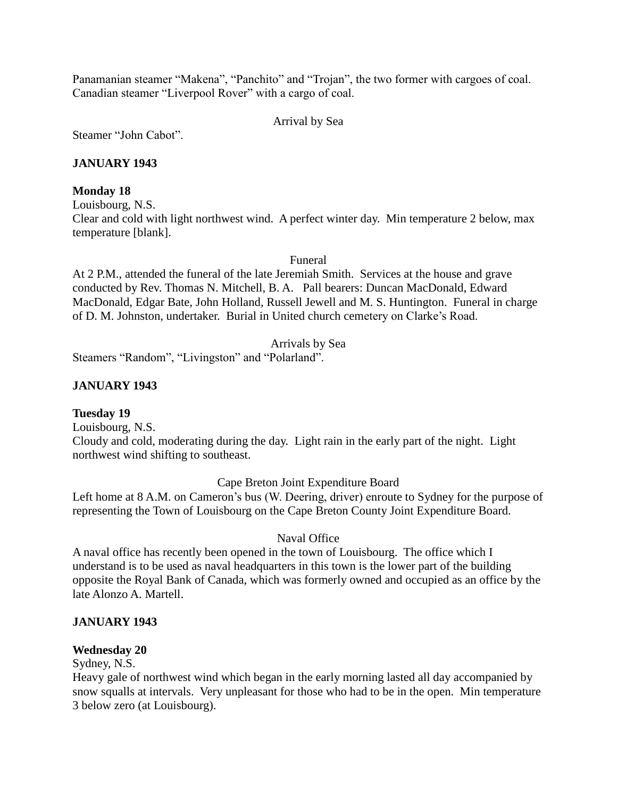Panamanian steamer "Makena", "Panchito" and "Trojan", the two former with cargoes of coal. Canadian steamer "Liverpool Rover" with a cargo of coal.

Arrival by Sea

Steamer "John Cabot".

# **JANUARY 1943**

## **Monday 18**

Louisbourg, N.S.

Clear and cold with light northwest wind. A perfect winter day. Min temperature 2 below, max temperature [blank].

Funeral

At 2 P.M., attended the funeral of the late Jeremiah Smith. Services at the house and grave conducted by Rev. Thomas N. Mitchell, B. A. Pall bearers: Duncan MacDonald, Edward MacDonald, Edgar Bate, John Holland, Russell Jewell and M. S. Huntington. Funeral in charge of D. M. Johnston, undertaker. Burial in United church cemetery on Clarke's Road.

Arrivals by Sea

Steamers "Random", "Livingston" and "Polarland".

# **JANUARY 1943**

# **Tuesday 19**

Louisbourg, N.S. Cloudy and cold, moderating during the day. Light rain in the early part of the night. Light northwest wind shifting to southeast.

Cape Breton Joint Expenditure Board

Left home at 8 A.M. on Cameron's bus (W. Deering, driver) enroute to Sydney for the purpose of representing the Town of Louisbourg on the Cape Breton County Joint Expenditure Board.

# Naval Office

A naval office has recently been opened in the town of Louisbourg. The office which I understand is to be used as naval headquarters in this town is the lower part of the building opposite the Royal Bank of Canada, which was formerly owned and occupied as an office by the late Alonzo A. Martell.

# **JANUARY 1943**

# **Wednesday 20**

Sydney, N.S.

Heavy gale of northwest wind which began in the early morning lasted all day accompanied by snow squalls at intervals. Very unpleasant for those who had to be in the open. Min temperature 3 below zero (at Louisbourg).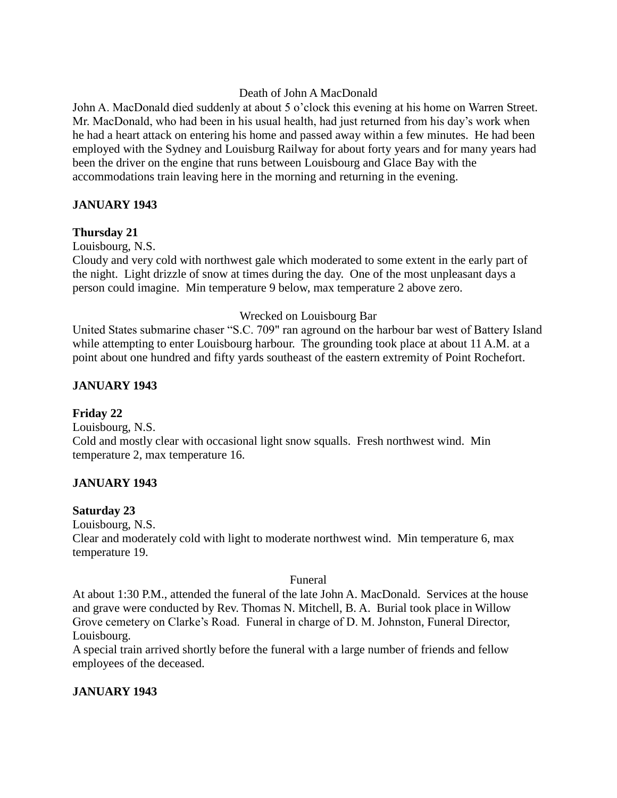## Death of John A MacDonald

John A. MacDonald died suddenly at about 5 o'clock this evening at his home on Warren Street. Mr. MacDonald, who had been in his usual health, had just returned from his day's work when he had a heart attack on entering his home and passed away within a few minutes. He had been employed with the Sydney and Louisburg Railway for about forty years and for many years had been the driver on the engine that runs between Louisbourg and Glace Bay with the accommodations train leaving here in the morning and returning in the evening.

# **JANUARY 1943**

## **Thursday 21**

Louisbourg, N.S.

Cloudy and very cold with northwest gale which moderated to some extent in the early part of the night. Light drizzle of snow at times during the day. One of the most unpleasant days a person could imagine. Min temperature 9 below, max temperature 2 above zero.

## Wrecked on Louisbourg Bar

United States submarine chaser "S.C. 709" ran aground on the harbour bar west of Battery Island while attempting to enter Louisbourg harbour. The grounding took place at about 11 A.M. at a point about one hundred and fifty yards southeast of the eastern extremity of Point Rochefort.

## **JANUARY 1943**

# **Friday 22**

Louisbourg, N.S. Cold and mostly clear with occasional light snow squalls. Fresh northwest wind. Min temperature 2, max temperature 16.

# **JANUARY 1943**

## **Saturday 23**

Louisbourg, N.S.

Clear and moderately cold with light to moderate northwest wind. Min temperature 6, max temperature 19.

## Funeral

At about 1:30 P.M., attended the funeral of the late John A. MacDonald. Services at the house and grave were conducted by Rev. Thomas N. Mitchell, B. A. Burial took place in Willow Grove cemetery on Clarke's Road. Funeral in charge of D. M. Johnston, Funeral Director, Louisbourg.

A special train arrived shortly before the funeral with a large number of friends and fellow employees of the deceased.

# **JANUARY 1943**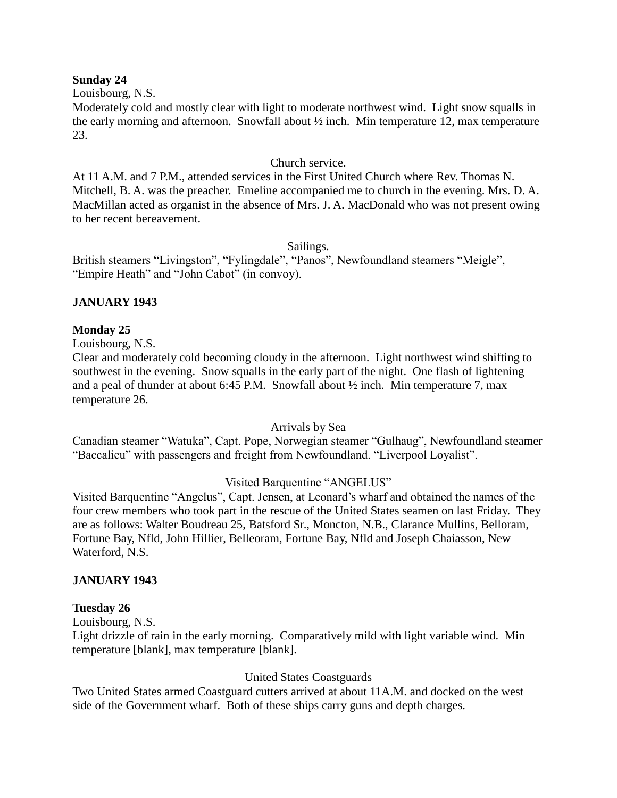#### **Sunday 24**

Louisbourg, N.S.

Moderately cold and mostly clear with light to moderate northwest wind. Light snow squalls in the early morning and afternoon. Snowfall about  $\frac{1}{2}$  inch. Min temperature 12, max temperature 23.

#### Church service.

At 11 A.M. and 7 P.M., attended services in the First United Church where Rev. Thomas N. Mitchell, B. A. was the preacher. Emeline accompanied me to church in the evening. Mrs. D. A. MacMillan acted as organist in the absence of Mrs. J. A. MacDonald who was not present owing to her recent bereavement.

Sailings.

British steamers "Livingston", "Fylingdale", "Panos", Newfoundland steamers "Meigle", "Empire Heath" and "John Cabot" (in convoy).

## **JANUARY 1943**

## **Monday 25**

Louisbourg, N.S.

Clear and moderately cold becoming cloudy in the afternoon. Light northwest wind shifting to southwest in the evening. Snow squalls in the early part of the night. One flash of lightening and a peal of thunder at about 6:45 P.M. Snowfall about ½ inch. Min temperature 7, max temperature 26.

## Arrivals by Sea

Canadian steamer "Watuka", Capt. Pope, Norwegian steamer "Gulhaug", Newfoundland steamer "Baccalieu" with passengers and freight from Newfoundland. "Liverpool Loyalist".

## Visited Barquentine "ANGELUS"

Visited Barquentine "Angelus", Capt. Jensen, at Leonard's wharf and obtained the names of the four crew members who took part in the rescue of the United States seamen on last Friday. They are as follows: Walter Boudreau 25, Batsford Sr., Moncton, N.B., Clarance Mullins, Belloram, Fortune Bay, Nfld, John Hillier, Belleoram, Fortune Bay, Nfld and Joseph Chaiasson, New Waterford, N.S.

## **JANUARY 1943**

#### **Tuesday 26**

Louisbourg, N.S.

Light drizzle of rain in the early morning. Comparatively mild with light variable wind. Min temperature [blank], max temperature [blank].

## United States Coastguards

Two United States armed Coastguard cutters arrived at about 11A.M. and docked on the west side of the Government wharf. Both of these ships carry guns and depth charges.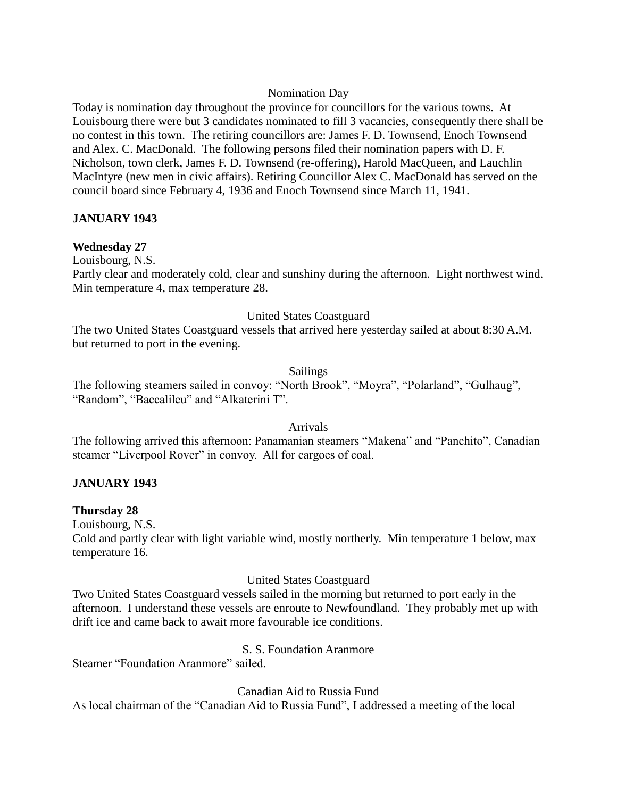## Nomination Day

Today is nomination day throughout the province for councillors for the various towns. At Louisbourg there were but 3 candidates nominated to fill 3 vacancies, consequently there shall be no contest in this town. The retiring councillors are: James F. D. Townsend, Enoch Townsend and Alex. C. MacDonald. The following persons filed their nomination papers with D. F. Nicholson, town clerk, James F. D. Townsend (re-offering), Harold MacQueen, and Lauchlin MacIntyre (new men in civic affairs). Retiring Councillor Alex C. MacDonald has served on the council board since February 4, 1936 and Enoch Townsend since March 11, 1941.

## **JANUARY 1943**

## **Wednesday 27**

Louisbourg, N.S.

Partly clear and moderately cold, clear and sunshiny during the afternoon. Light northwest wind. Min temperature 4, max temperature 28.

## United States Coastguard

The two United States Coastguard vessels that arrived here yesterday sailed at about 8:30 A.M. but returned to port in the evening.

## Sailings

The following steamers sailed in convoy: "North Brook", "Moyra", "Polarland", "Gulhaug", "Random", "Baccalileu" and "Alkaterini T".

## Arrivals

The following arrived this afternoon: Panamanian steamers "Makena" and "Panchito", Canadian steamer "Liverpool Rover" in convoy. All for cargoes of coal.

## **JANUARY 1943**

## **Thursday 28**

Louisbourg, N.S.

Cold and partly clear with light variable wind, mostly northerly. Min temperature 1 below, max temperature 16.

## United States Coastguard

Two United States Coastguard vessels sailed in the morning but returned to port early in the afternoon. I understand these vessels are enroute to Newfoundland. They probably met up with drift ice and came back to await more favourable ice conditions.

## S. S. Foundation Aranmore

Steamer "Foundation Aranmore" sailed.

Canadian Aid to Russia Fund

As local chairman of the "Canadian Aid to Russia Fund", I addressed a meeting of the local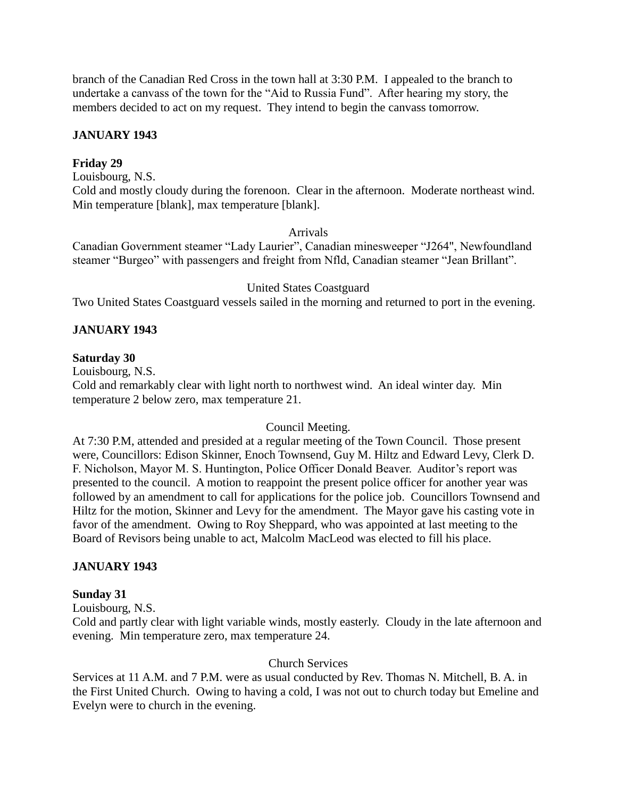branch of the Canadian Red Cross in the town hall at 3:30 P.M. I appealed to the branch to undertake a canvass of the town for the "Aid to Russia Fund". After hearing my story, the members decided to act on my request. They intend to begin the canvass tomorrow.

# **JANUARY 1943**

## **Friday 29**

Louisbourg, N.S. Cold and mostly cloudy during the forenoon. Clear in the afternoon. Moderate northeast wind. Min temperature [blank], max temperature [blank].

#### Arrivals

Canadian Government steamer "Lady Laurier", Canadian minesweeper "J264", Newfoundland steamer "Burgeo" with passengers and freight from Nfld, Canadian steamer "Jean Brillant".

## United States Coastguard

Two United States Coastguard vessels sailed in the morning and returned to port in the evening.

## **JANUARY 1943**

#### **Saturday 30**

Louisbourg, N.S.

Cold and remarkably clear with light north to northwest wind. An ideal winter day. Min temperature 2 below zero, max temperature 21.

## Council Meeting.

At 7:30 P.M, attended and presided at a regular meeting of the Town Council. Those present were, Councillors: Edison Skinner, Enoch Townsend, Guy M. Hiltz and Edward Levy, Clerk D. F. Nicholson, Mayor M. S. Huntington, Police Officer Donald Beaver. Auditor's report was presented to the council. A motion to reappoint the present police officer for another year was followed by an amendment to call for applications for the police job. Councillors Townsend and Hiltz for the motion, Skinner and Levy for the amendment. The Mayor gave his casting vote in favor of the amendment. Owing to Roy Sheppard, who was appointed at last meeting to the Board of Revisors being unable to act, Malcolm MacLeod was elected to fill his place.

## **JANUARY 1943**

## **Sunday 31**

Louisbourg, N.S.

Cold and partly clear with light variable winds, mostly easterly. Cloudy in the late afternoon and evening. Min temperature zero, max temperature 24.

## Church Services

Services at 11 A.M. and 7 P.M. were as usual conducted by Rev. Thomas N. Mitchell, B. A. in the First United Church. Owing to having a cold, I was not out to church today but Emeline and Evelyn were to church in the evening.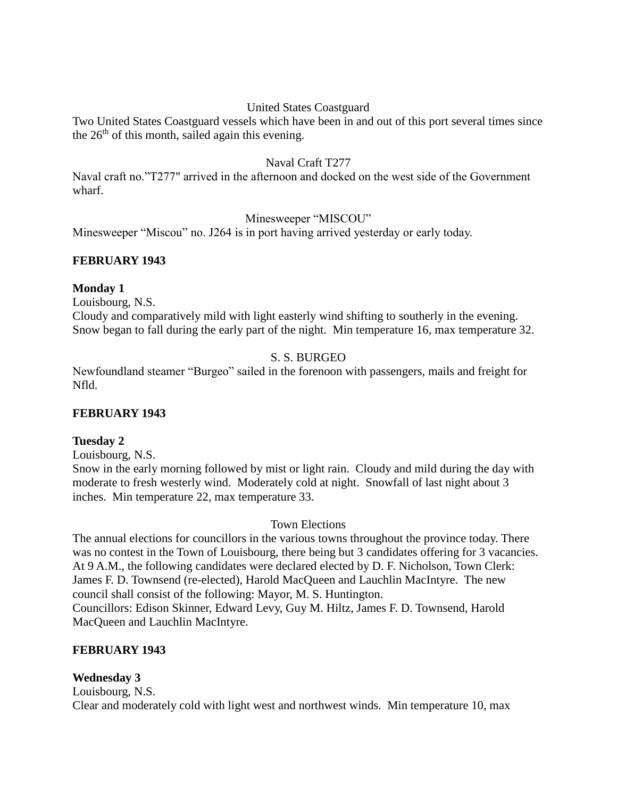# United States Coastguard

Two United States Coastguard vessels which have been in and out of this port several times since the  $26<sup>th</sup>$  of this month, sailed again this evening.

## Naval Craft T277

Naval craft no."T277" arrived in the afternoon and docked on the west side of the Government wharf.

## Minesweeper "MISCOU"

Minesweeper "Miscou" no. J264 is in port having arrived yesterday or early today.

## **FEBRUARY 1943**

## **Monday 1**

Louisbourg, N.S.

Cloudy and comparatively mild with light easterly wind shifting to southerly in the evening. Snow began to fall during the early part of the night. Min temperature 16, max temperature 32.

## S. S. BURGEO

Newfoundland steamer "Burgeo" sailed in the forenoon with passengers, mails and freight for Nfld.

## **FEBRUARY 1943**

## **Tuesday 2**

Louisbourg, N.S.

Snow in the early morning followed by mist or light rain. Cloudy and mild during the day with moderate to fresh westerly wind. Moderately cold at night. Snowfall of last night about 3 inches. Min temperature 22, max temperature 33.

Town Elections

The annual elections for councillors in the various towns throughout the province today. There was no contest in the Town of Louisbourg, there being but 3 candidates offering for 3 vacancies. At 9 A.M., the following candidates were declared elected by D. F. Nicholson, Town Clerk: James F. D. Townsend (re-elected), Harold MacQueen and Lauchlin MacIntyre. The new council shall consist of the following: Mayor, M. S. Huntington. Councillors: Edison Skinner, Edward Levy, Guy M. Hiltz, James F. D. Townsend, Harold MacQueen and Lauchlin MacIntyre.

# **FEBRUARY 1943**

## **Wednesday 3**

Louisbourg, N.S. Clear and moderately cold with light west and northwest winds. Min temperature 10, max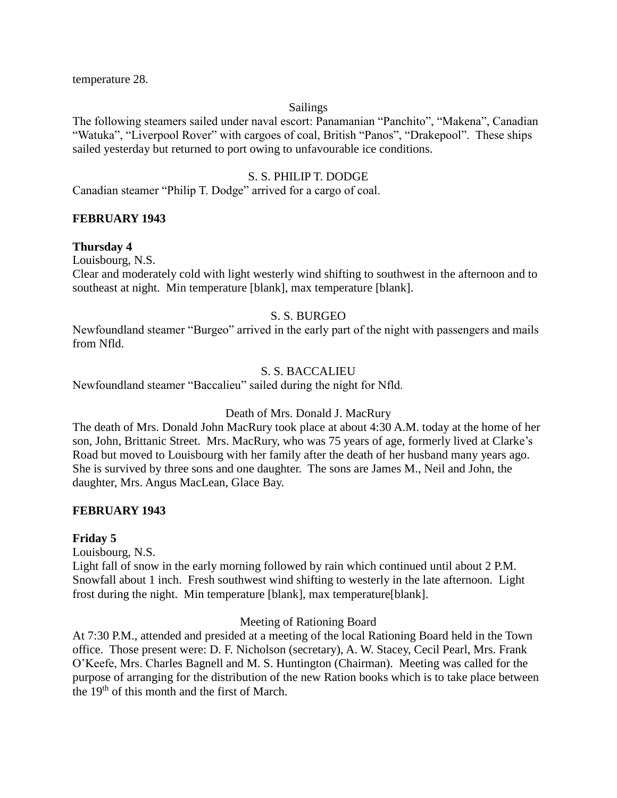temperature 28.

#### Sailings

The following steamers sailed under naval escort: Panamanian "Panchito", "Makena", Canadian "Watuka", "Liverpool Rover" with cargoes of coal, British "Panos", "Drakepool". These ships sailed yesterday but returned to port owing to unfavourable ice conditions.

## S. S. PHILIP T. DODGE

Canadian steamer "Philip T. Dodge" arrived for a cargo of coal.

## **FEBRUARY 1943**

## **Thursday 4**

Louisbourg, N.S.

Clear and moderately cold with light westerly wind shifting to southwest in the afternoon and to southeast at night. Min temperature [blank], max temperature [blank].

# S. S. BURGEO

Newfoundland steamer "Burgeo" arrived in the early part of the night with passengers and mails from Nfld.

## S. S. BACCALIEU

Newfoundland steamer "Baccalieu" sailed during the night for Nfld.

## Death of Mrs. Donald J. MacRury

The death of Mrs. Donald John MacRury took place at about 4:30 A.M. today at the home of her son, John, Brittanic Street. Mrs. MacRury, who was 75 years of age, formerly lived at Clarke's Road but moved to Louisbourg with her family after the death of her husband many years ago. She is survived by three sons and one daughter. The sons are James M., Neil and John, the daughter, Mrs. Angus MacLean, Glace Bay.

## **FEBRUARY 1943**

## **Friday 5**

Louisbourg, N.S.

Light fall of snow in the early morning followed by rain which continued until about 2 P.M. Snowfall about 1 inch. Fresh southwest wind shifting to westerly in the late afternoon. Light frost during the night. Min temperature [blank], max temperature[blank].

## Meeting of Rationing Board

At 7:30 P.M., attended and presided at a meeting of the local Rationing Board held in the Town office. Those present were: D. F. Nicholson (secretary), A. W. Stacey, Cecil Pearl, Mrs. Frank O'Keefe, Mrs. Charles Bagnell and M. S. Huntington (Chairman). Meeting was called for the purpose of arranging for the distribution of the new Ration books which is to take place between the 19<sup>th</sup> of this month and the first of March.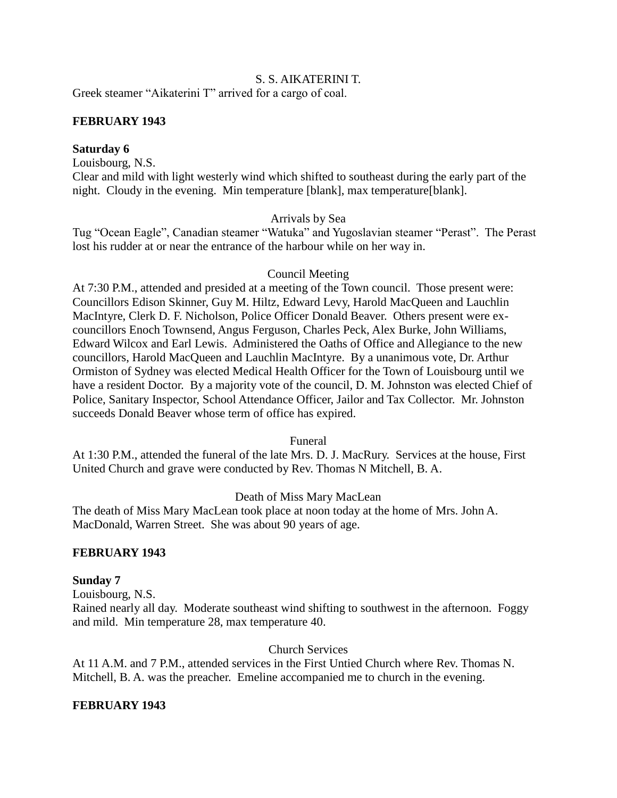## S. S. AIKATERINI T.

Greek steamer "Aikaterini T" arrived for a cargo of coal.

## **FEBRUARY 1943**

#### **Saturday 6**

Louisbourg, N.S.

Clear and mild with light westerly wind which shifted to southeast during the early part of the night. Cloudy in the evening. Min temperature [blank], max temperature[blank].

#### Arrivals by Sea

Tug "Ocean Eagle", Canadian steamer "Watuka" and Yugoslavian steamer "Perast". The Perast lost his rudder at or near the entrance of the harbour while on her way in.

#### Council Meeting

At 7:30 P.M., attended and presided at a meeting of the Town council. Those present were: Councillors Edison Skinner, Guy M. Hiltz, Edward Levy, Harold MacQueen and Lauchlin MacIntyre, Clerk D. F. Nicholson, Police Officer Donald Beaver. Others present were excouncillors Enoch Townsend, Angus Ferguson, Charles Peck, Alex Burke, John Williams, Edward Wilcox and Earl Lewis. Administered the Oaths of Office and Allegiance to the new councillors, Harold MacQueen and Lauchlin MacIntyre. By a unanimous vote, Dr. Arthur Ormiston of Sydney was elected Medical Health Officer for the Town of Louisbourg until we have a resident Doctor. By a majority vote of the council, D. M. Johnston was elected Chief of Police, Sanitary Inspector, School Attendance Officer, Jailor and Tax Collector. Mr. Johnston succeeds Donald Beaver whose term of office has expired.

Funeral

At 1:30 P.M., attended the funeral of the late Mrs. D. J. MacRury. Services at the house, First United Church and grave were conducted by Rev. Thomas N Mitchell, B. A.

## Death of Miss Mary MacLean

The death of Miss Mary MacLean took place at noon today at the home of Mrs. John A. MacDonald, Warren Street. She was about 90 years of age.

## **FEBRUARY 1943**

## **Sunday 7**

Louisbourg, N.S.

Rained nearly all day. Moderate southeast wind shifting to southwest in the afternoon. Foggy and mild. Min temperature 28, max temperature 40.

Church Services

At 11 A.M. and 7 P.M., attended services in the First Untied Church where Rev. Thomas N. Mitchell, B. A. was the preacher. Emeline accompanied me to church in the evening.

#### **FEBRUARY 1943**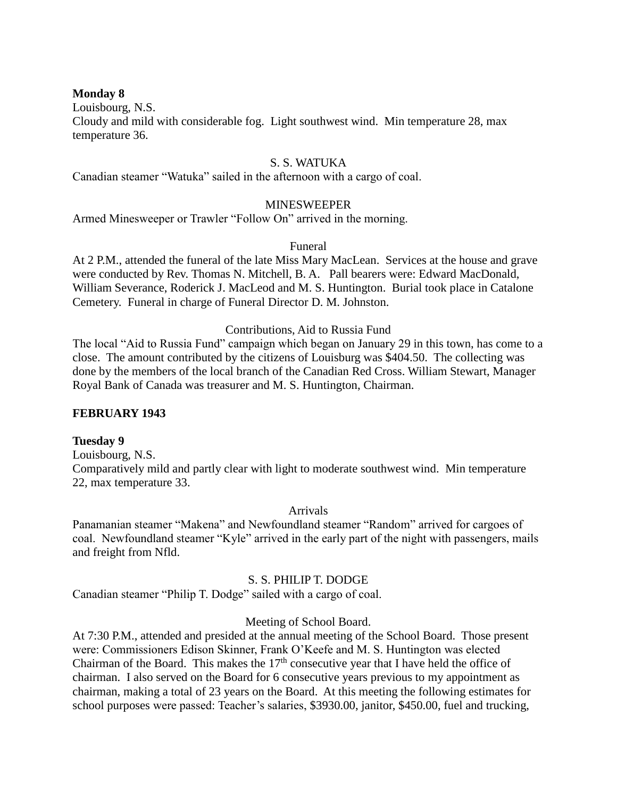## **Monday 8**

Louisbourg, N.S.

Cloudy and mild with considerable fog. Light southwest wind. Min temperature 28, max temperature 36.

#### S. S. WATUKA

Canadian steamer "Watuka" sailed in the afternoon with a cargo of coal.

#### MINESWEEPER

Armed Minesweeper or Trawler "Follow On" arrived in the morning.

#### Funeral

At 2 P.M., attended the funeral of the late Miss Mary MacLean. Services at the house and grave were conducted by Rev. Thomas N. Mitchell, B. A. Pall bearers were: Edward MacDonald, William Severance, Roderick J. MacLeod and M. S. Huntington. Burial took place in Catalone Cemetery. Funeral in charge of Funeral Director D. M. Johnston.

## Contributions, Aid to Russia Fund

The local "Aid to Russia Fund" campaign which began on January 29 in this town, has come to a close. The amount contributed by the citizens of Louisburg was \$404.50. The collecting was done by the members of the local branch of the Canadian Red Cross. William Stewart, Manager Royal Bank of Canada was treasurer and M. S. Huntington, Chairman.

#### **FEBRUARY 1943**

#### **Tuesday 9**

Louisbourg, N.S. Comparatively mild and partly clear with light to moderate southwest wind. Min temperature 22, max temperature 33.

#### Arrivals

Panamanian steamer "Makena" and Newfoundland steamer "Random" arrived for cargoes of coal. Newfoundland steamer "Kyle" arrived in the early part of the night with passengers, mails and freight from Nfld.

## S. S. PHILIP T. DODGE

Canadian steamer "Philip T. Dodge" sailed with a cargo of coal.

#### Meeting of School Board.

At 7:30 P.M., attended and presided at the annual meeting of the School Board. Those present were: Commissioners Edison Skinner, Frank O'Keefe and M. S. Huntington was elected Chairman of the Board. This makes the  $17<sup>th</sup>$  consecutive year that I have held the office of chairman. I also served on the Board for 6 consecutive years previous to my appointment as chairman, making a total of 23 years on the Board. At this meeting the following estimates for school purposes were passed: Teacher's salaries, \$3930.00, janitor, \$450.00, fuel and trucking,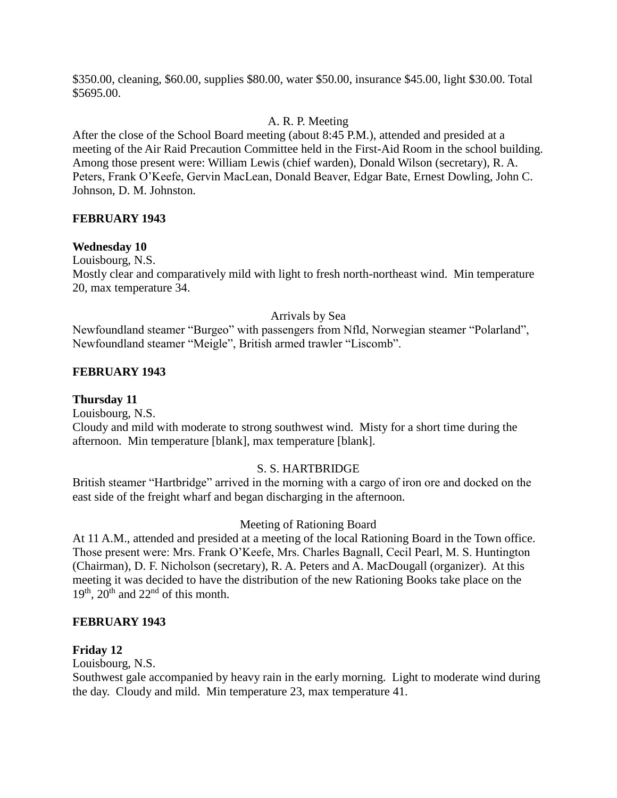\$350.00, cleaning, \$60.00, supplies \$80.00, water \$50.00, insurance \$45.00, light \$30.00. Total \$5695.00.

# A. R. P. Meeting

After the close of the School Board meeting (about 8:45 P.M.), attended and presided at a meeting of the Air Raid Precaution Committee held in the First-Aid Room in the school building. Among those present were: William Lewis (chief warden), Donald Wilson (secretary), R. A. Peters, Frank O'Keefe, Gervin MacLean, Donald Beaver, Edgar Bate, Ernest Dowling, John C. Johnson, D. M. Johnston.

## **FEBRUARY 1943**

## **Wednesday 10**

Louisbourg, N.S.

Mostly clear and comparatively mild with light to fresh north-northeast wind. Min temperature 20, max temperature 34.

## Arrivals by Sea

Newfoundland steamer "Burgeo" with passengers from Nfld, Norwegian steamer "Polarland", Newfoundland steamer "Meigle", British armed trawler "Liscomb".

## **FEBRUARY 1943**

**Thursday 11**

Louisbourg, N.S. Cloudy and mild with moderate to strong southwest wind. Misty for a short time during the afternoon. Min temperature [blank], max temperature [blank].

## S. S. HARTBRIDGE

British steamer "Hartbridge" arrived in the morning with a cargo of iron ore and docked on the east side of the freight wharf and began discharging in the afternoon.

## Meeting of Rationing Board

At 11 A.M., attended and presided at a meeting of the local Rationing Board in the Town office. Those present were: Mrs. Frank O'Keefe, Mrs. Charles Bagnall, Cecil Pearl, M. S. Huntington (Chairman), D. F. Nicholson (secretary), R. A. Peters and A. MacDougall (organizer). At this meeting it was decided to have the distribution of the new Rationing Books take place on the  $19<sup>th</sup>$ ,  $20<sup>th</sup>$  and  $22<sup>nd</sup>$  of this month.

## **FEBRUARY 1943**

## **Friday 12**

Louisbourg, N.S.

Southwest gale accompanied by heavy rain in the early morning. Light to moderate wind during the day. Cloudy and mild. Min temperature 23, max temperature 41.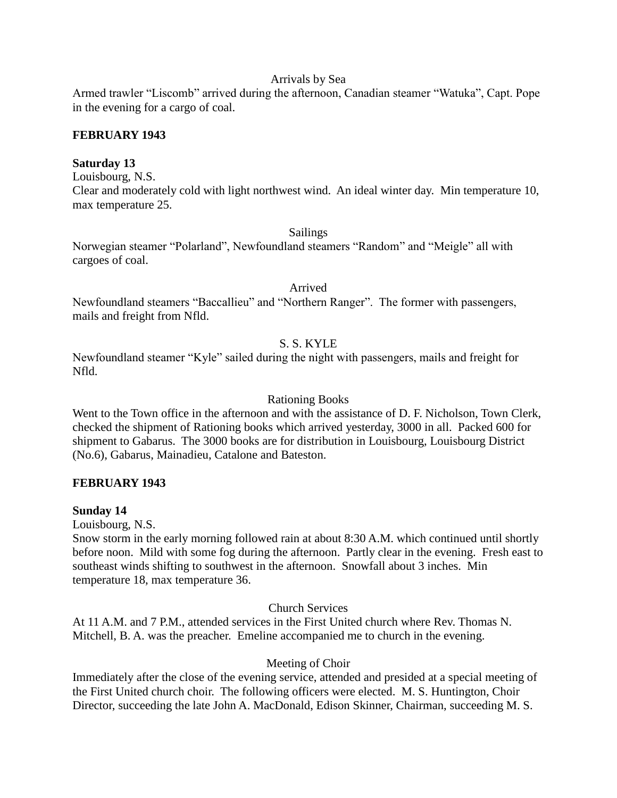#### Arrivals by Sea

Armed trawler "Liscomb" arrived during the afternoon, Canadian steamer "Watuka", Capt. Pope in the evening for a cargo of coal.

## **FEBRUARY 1943**

#### **Saturday 13**

Louisbourg, N.S.

Clear and moderately cold with light northwest wind. An ideal winter day. Min temperature 10, max temperature 25.

#### Sailings

Norwegian steamer "Polarland", Newfoundland steamers "Random" and "Meigle" all with cargoes of coal.

Arrived

Newfoundland steamers "Baccallieu" and "Northern Ranger". The former with passengers, mails and freight from Nfld.

# S. S. KYLE

Newfoundland steamer "Kyle" sailed during the night with passengers, mails and freight for Nfld.

#### Rationing Books

Went to the Town office in the afternoon and with the assistance of D. F. Nicholson, Town Clerk, checked the shipment of Rationing books which arrived yesterday, 3000 in all. Packed 600 for shipment to Gabarus. The 3000 books are for distribution in Louisbourg, Louisbourg District (No.6), Gabarus, Mainadieu, Catalone and Bateston.

## **FEBRUARY 1943**

#### **Sunday 14**

Louisbourg, N.S.

Snow storm in the early morning followed rain at about 8:30 A.M. which continued until shortly before noon. Mild with some fog during the afternoon. Partly clear in the evening. Fresh east to southeast winds shifting to southwest in the afternoon. Snowfall about 3 inches. Min temperature 18, max temperature 36.

Church Services

At 11 A.M. and 7 P.M., attended services in the First United church where Rev. Thomas N. Mitchell, B. A. was the preacher. Emeline accompanied me to church in the evening.

## Meeting of Choir

Immediately after the close of the evening service, attended and presided at a special meeting of the First United church choir. The following officers were elected. M. S. Huntington, Choir Director, succeeding the late John A. MacDonald, Edison Skinner, Chairman, succeeding M. S.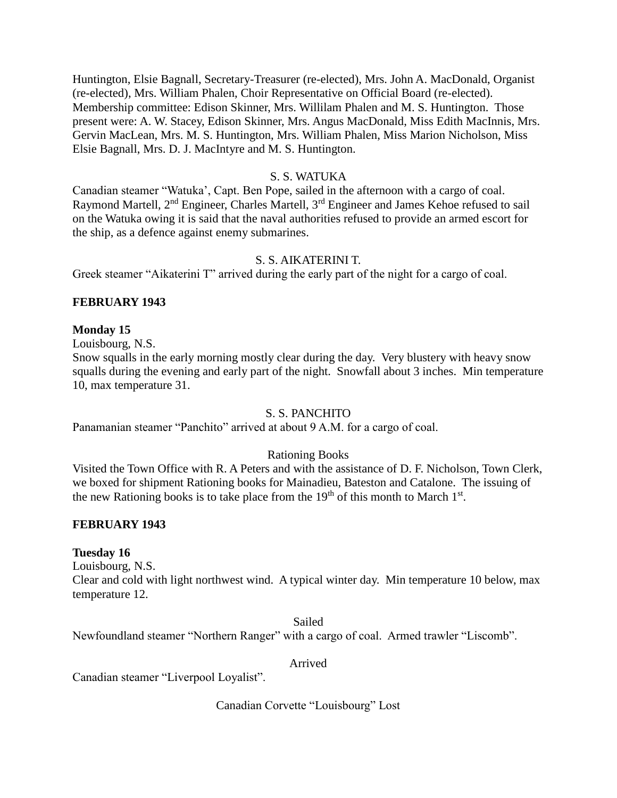Huntington, Elsie Bagnall, Secretary-Treasurer (re-elected), Mrs. John A. MacDonald, Organist (re-elected), Mrs. William Phalen, Choir Representative on Official Board (re-elected). Membership committee: Edison Skinner, Mrs. Willilam Phalen and M. S. Huntington. Those present were: A. W. Stacey, Edison Skinner, Mrs. Angus MacDonald, Miss Edith MacInnis, Mrs. Gervin MacLean, Mrs. M. S. Huntington, Mrs. William Phalen, Miss Marion Nicholson, Miss Elsie Bagnall, Mrs. D. J. MacIntyre and M. S. Huntington.

## S. S. WATUKA

Canadian steamer "Watuka', Capt. Ben Pope, sailed in the afternoon with a cargo of coal. Raymond Martell, 2<sup>nd</sup> Engineer, Charles Martell, 3<sup>rd</sup> Engineer and James Kehoe refused to sail on the Watuka owing it is said that the naval authorities refused to provide an armed escort for the ship, as a defence against enemy submarines.

## S. S. AIKATERINI T.

Greek steamer "Aikaterini T" arrived during the early part of the night for a cargo of coal.

## **FEBRUARY 1943**

## **Monday 15**

Louisbourg, N.S.

Snow squalls in the early morning mostly clear during the day. Very blustery with heavy snow squalls during the evening and early part of the night. Snowfall about 3 inches. Min temperature 10, max temperature 31.

## S. S. PANCHITO

Panamanian steamer "Panchito" arrived at about 9 A.M. for a cargo of coal.

# Rationing Books

Visited the Town Office with R. A Peters and with the assistance of D. F. Nicholson, Town Clerk, we boxed for shipment Rationing books for Mainadieu, Bateston and Catalone. The issuing of the new Rationing books is to take place from the  $19<sup>th</sup>$  of this month to March  $1<sup>st</sup>$ .

## **FEBRUARY 1943**

## **Tuesday 16**

Louisbourg, N.S.

Clear and cold with light northwest wind. A typical winter day. Min temperature 10 below, max temperature 12.

Sailed Newfoundland steamer "Northern Ranger" with a cargo of coal. Armed trawler "Liscomb".

#### Arrived

Canadian steamer "Liverpool Loyalist".

Canadian Corvette "Louisbourg" Lost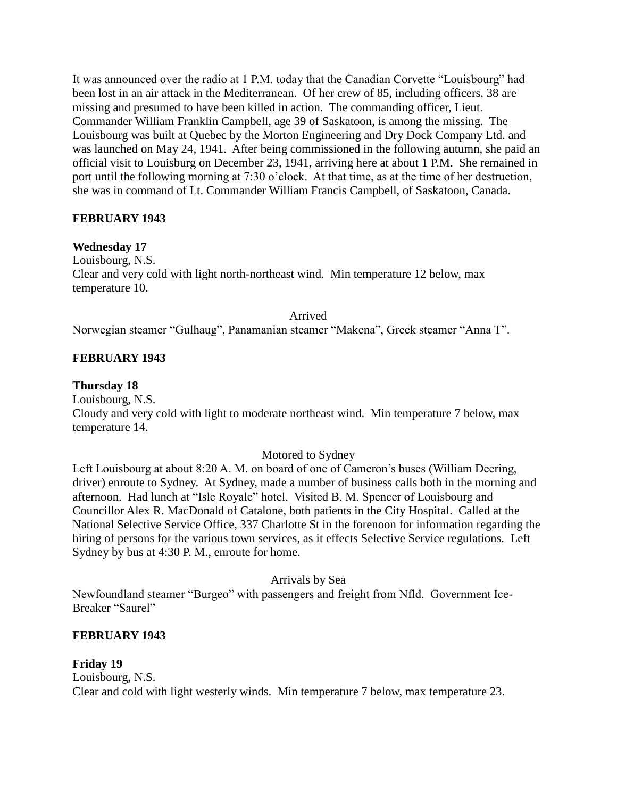It was announced over the radio at 1 P.M. today that the Canadian Corvette "Louisbourg" had been lost in an air attack in the Mediterranean. Of her crew of 85, including officers, 38 are missing and presumed to have been killed in action. The commanding officer, Lieut. Commander William Franklin Campbell, age 39 of Saskatoon, is among the missing. The Louisbourg was built at Quebec by the Morton Engineering and Dry Dock Company Ltd. and was launched on May 24, 1941. After being commissioned in the following autumn, she paid an official visit to Louisburg on December 23, 1941, arriving here at about 1 P.M. She remained in port until the following morning at 7:30 o'clock. At that time, as at the time of her destruction, she was in command of Lt. Commander William Francis Campbell, of Saskatoon, Canada.

## **FEBRUARY 1943**

## **Wednesday 17**

Louisbourg, N.S. Clear and very cold with light north-northeast wind. Min temperature 12 below, max temperature 10.

Arrived

Norwegian steamer "Gulhaug", Panamanian steamer "Makena", Greek steamer "Anna T".

## **FEBRUARY 1943**

#### **Thursday 18**

Louisbourg, N.S. Cloudy and very cold with light to moderate northeast wind. Min temperature 7 below, max temperature 14.

## Motored to Sydney

Left Louisbourg at about 8:20 A. M. on board of one of Cameron's buses (William Deering, driver) enroute to Sydney. At Sydney, made a number of business calls both in the morning and afternoon. Had lunch at "Isle Royale" hotel. Visited B. M. Spencer of Louisbourg and Councillor Alex R. MacDonald of Catalone, both patients in the City Hospital. Called at the National Selective Service Office, 337 Charlotte St in the forenoon for information regarding the hiring of persons for the various town services, as it effects Selective Service regulations. Left Sydney by bus at 4:30 P. M., enroute for home.

#### Arrivals by Sea

Newfoundland steamer "Burgeo" with passengers and freight from Nfld. Government Ice-Breaker "Saurel"

## **FEBRUARY 1943**

## **Friday 19** Louisbourg, N.S. Clear and cold with light westerly winds. Min temperature 7 below, max temperature 23.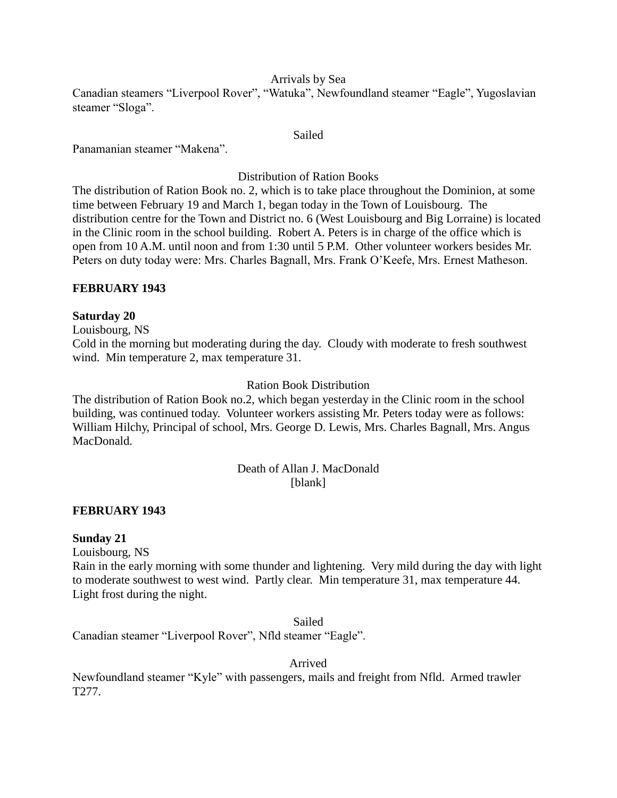## Arrivals by Sea

Canadian steamers "Liverpool Rover", "Watuka", Newfoundland steamer "Eagle", Yugoslavian steamer "Sloga".

#### Sailed

Panamanian steamer "Makena".

Distribution of Ration Books

The distribution of Ration Book no. 2, which is to take place throughout the Dominion, at some time between February 19 and March 1, began today in the Town of Louisbourg. The distribution centre for the Town and District no. 6 (West Louisbourg and Big Lorraine) is located in the Clinic room in the school building. Robert A. Peters is in charge of the office which is open from 10 A.M. until noon and from 1:30 until 5 P.M. Other volunteer workers besides Mr. Peters on duty today were: Mrs. Charles Bagnall, Mrs. Frank O'Keefe, Mrs. Ernest Matheson.

## **FEBRUARY 1943**

## **Saturday 20**

Louisbourg, NS

Cold in the morning but moderating during the day. Cloudy with moderate to fresh southwest wind. Min temperature 2, max temperature 31.

## Ration Book Distribution

The distribution of Ration Book no.2, which began yesterday in the Clinic room in the school building, was continued today. Volunteer workers assisting Mr. Peters today were as follows: William Hilchy, Principal of school, Mrs. George D. Lewis, Mrs. Charles Bagnall, Mrs. Angus MacDonald.

## Death of Allan J. MacDonald [blank]

## **FEBRUARY 1943**

## **Sunday 21**

Louisbourg, NS

Rain in the early morning with some thunder and lightening. Very mild during the day with light to moderate southwest to west wind. Partly clear. Min temperature 31, max temperature 44. Light frost during the night.

Sailed

Canadian steamer "Liverpool Rover", Nfld steamer "Eagle".

Arrived

Newfoundland steamer "Kyle" with passengers, mails and freight from Nfld. Armed trawler T277.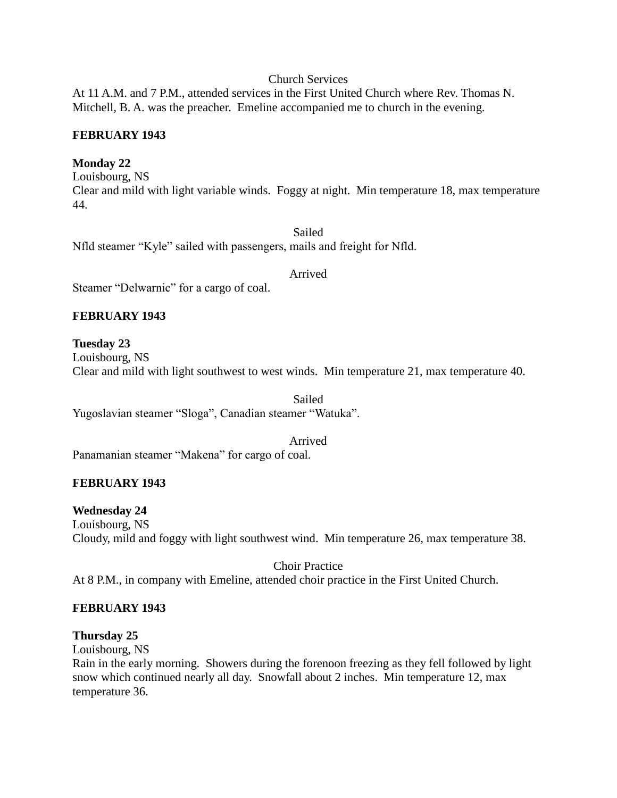## Church Services

At 11 A.M. and 7 P.M., attended services in the First United Church where Rev. Thomas N. Mitchell, B. A. was the preacher. Emeline accompanied me to church in the evening.

## **FEBRUARY 1943**

## **Monday 22**

Louisbourg, NS Clear and mild with light variable winds. Foggy at night. Min temperature 18, max temperature 44.

Sailed Nfld steamer "Kyle" sailed with passengers, mails and freight for Nfld.

#### Arrived

Steamer "Delwarnic" for a cargo of coal.

# **FEBRUARY 1943**

**Tuesday 23** Louisbourg, NS Clear and mild with light southwest to west winds. Min temperature 21, max temperature 40.

Sailed Yugoslavian steamer "Sloga", Canadian steamer "Watuka".

Arrived

Panamanian steamer "Makena" for cargo of coal.

# **FEBRUARY 1943**

## **Wednesday 24**

Louisbourg, NS Cloudy, mild and foggy with light southwest wind. Min temperature 26, max temperature 38.

Choir Practice At 8 P.M., in company with Emeline, attended choir practice in the First United Church.

## **FEBRUARY 1943**

## **Thursday 25**

Louisbourg, NS

Rain in the early morning. Showers during the forenoon freezing as they fell followed by light snow which continued nearly all day. Snowfall about 2 inches. Min temperature 12, max temperature 36.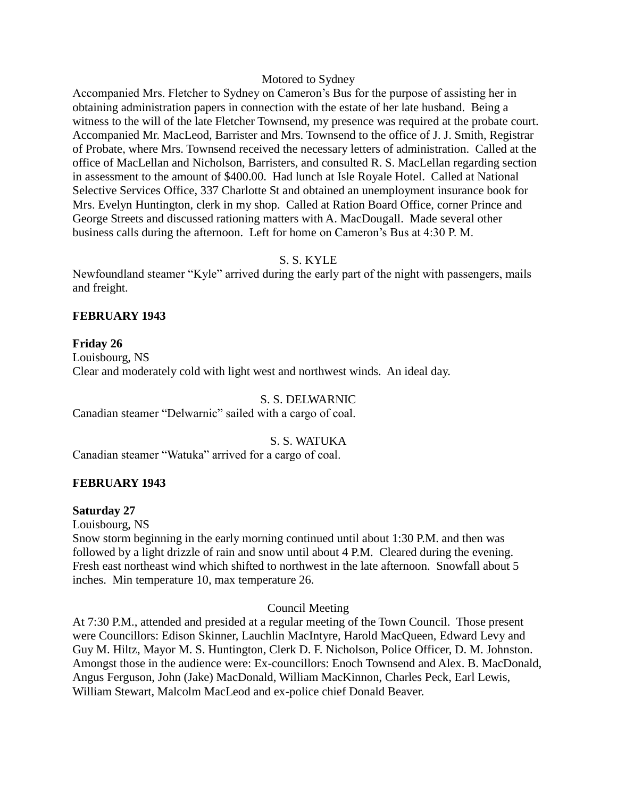#### Motored to Sydney

Accompanied Mrs. Fletcher to Sydney on Cameron's Bus for the purpose of assisting her in obtaining administration papers in connection with the estate of her late husband. Being a witness to the will of the late Fletcher Townsend, my presence was required at the probate court. Accompanied Mr. MacLeod, Barrister and Mrs. Townsend to the office of J. J. Smith, Registrar of Probate, where Mrs. Townsend received the necessary letters of administration. Called at the office of MacLellan and Nicholson, Barristers, and consulted R. S. MacLellan regarding section in assessment to the amount of \$400.00. Had lunch at Isle Royale Hotel. Called at National Selective Services Office, 337 Charlotte St and obtained an unemployment insurance book for Mrs. Evelyn Huntington, clerk in my shop. Called at Ration Board Office, corner Prince and George Streets and discussed rationing matters with A. MacDougall. Made several other business calls during the afternoon. Left for home on Cameron's Bus at 4:30 P. M.

## S. S. KYLE

Newfoundland steamer "Kyle" arrived during the early part of the night with passengers, mails and freight.

## **FEBRUARY 1943**

# **Friday 26** Louisbourg, NS Clear and moderately cold with light west and northwest winds. An ideal day.

#### S. S. DELWARNIC

Canadian steamer "Delwarnic" sailed with a cargo of coal.

#### S. S. WATUKA

Canadian steamer "Watuka" arrived for a cargo of coal.

#### **FEBRUARY 1943**

#### **Saturday 27**

Louisbourg, NS

Snow storm beginning in the early morning continued until about 1:30 P.M. and then was followed by a light drizzle of rain and snow until about 4 P.M. Cleared during the evening. Fresh east northeast wind which shifted to northwest in the late afternoon. Snowfall about 5 inches. Min temperature 10, max temperature 26.

#### Council Meeting

At 7:30 P.M., attended and presided at a regular meeting of the Town Council. Those present were Councillors: Edison Skinner, Lauchlin MacIntyre, Harold MacQueen, Edward Levy and Guy M. Hiltz, Mayor M. S. Huntington, Clerk D. F. Nicholson, Police Officer, D. M. Johnston. Amongst those in the audience were: Ex-councillors: Enoch Townsend and Alex. B. MacDonald, Angus Ferguson, John (Jake) MacDonald, William MacKinnon, Charles Peck, Earl Lewis, William Stewart, Malcolm MacLeod and ex-police chief Donald Beaver.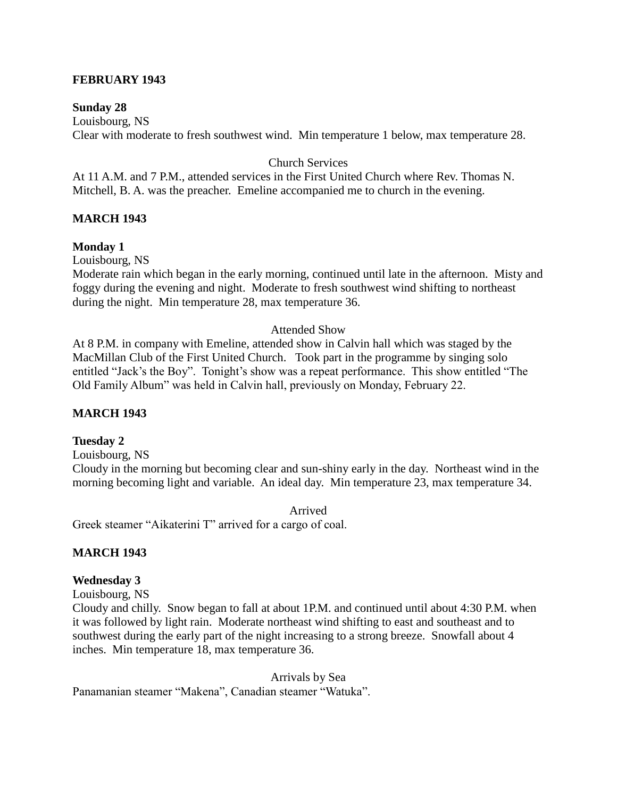## **FEBRUARY 1943**

#### **Sunday 28**

Louisbourg, NS Clear with moderate to fresh southwest wind. Min temperature 1 below, max temperature 28.

#### Church Services

At 11 A.M. and 7 P.M., attended services in the First United Church where Rev. Thomas N. Mitchell, B. A. was the preacher. Emeline accompanied me to church in the evening.

#### **MARCH 1943**

#### **Monday 1**

Louisbourg, NS

Moderate rain which began in the early morning, continued until late in the afternoon. Misty and foggy during the evening and night. Moderate to fresh southwest wind shifting to northeast during the night. Min temperature 28, max temperature 36.

#### Attended Show

At 8 P.M. in company with Emeline, attended show in Calvin hall which was staged by the MacMillan Club of the First United Church. Took part in the programme by singing solo entitled "Jack's the Boy". Tonight's show was a repeat performance. This show entitled "The Old Family Album" was held in Calvin hall, previously on Monday, February 22.

#### **MARCH 1943**

#### **Tuesday 2**

Louisbourg, NS

Cloudy in the morning but becoming clear and sun-shiny early in the day. Northeast wind in the morning becoming light and variable. An ideal day. Min temperature 23, max temperature 34.

Arrived

Greek steamer "Aikaterini T" arrived for a cargo of coal.

#### **MARCH 1943**

#### **Wednesday 3**

Louisbourg, NS

Cloudy and chilly. Snow began to fall at about 1P.M. and continued until about 4:30 P.M. when it was followed by light rain. Moderate northeast wind shifting to east and southeast and to southwest during the early part of the night increasing to a strong breeze. Snowfall about 4 inches. Min temperature 18, max temperature 36.

Arrivals by Sea Panamanian steamer "Makena", Canadian steamer "Watuka".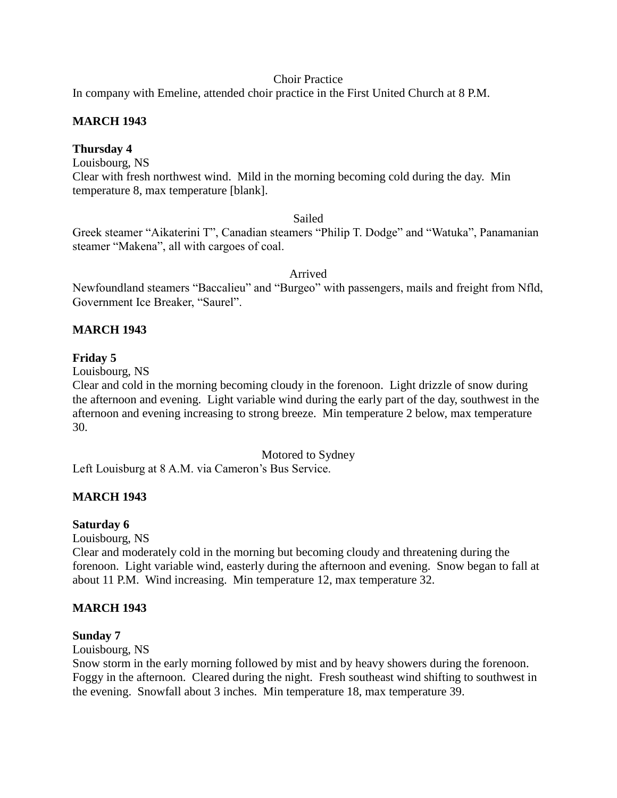## Choir Practice

In company with Emeline, attended choir practice in the First United Church at 8 P.M.

# **MARCH 1943**

## **Thursday 4**

Louisbourg, NS

Clear with fresh northwest wind. Mild in the morning becoming cold during the day. Min temperature 8, max temperature [blank].

# Sailed

Greek steamer "Aikaterini T", Canadian steamers "Philip T. Dodge" and "Watuka", Panamanian steamer "Makena", all with cargoes of coal.

Arrived

Newfoundland steamers "Baccalieu" and "Burgeo" with passengers, mails and freight from Nfld, Government Ice Breaker, "Saurel".

# **MARCH 1943**

## **Friday 5**

Louisbourg, NS

Clear and cold in the morning becoming cloudy in the forenoon. Light drizzle of snow during the afternoon and evening. Light variable wind during the early part of the day, southwest in the afternoon and evening increasing to strong breeze. Min temperature 2 below, max temperature 30.

Motored to Sydney

Left Louisburg at 8 A.M. via Cameron's Bus Service.

# **MARCH 1943**

## **Saturday 6**

Louisbourg, NS

Clear and moderately cold in the morning but becoming cloudy and threatening during the forenoon. Light variable wind, easterly during the afternoon and evening. Snow began to fall at about 11 P.M. Wind increasing. Min temperature 12, max temperature 32.

## **MARCH 1943**

## **Sunday 7**

Louisbourg, NS

Snow storm in the early morning followed by mist and by heavy showers during the forenoon. Foggy in the afternoon. Cleared during the night. Fresh southeast wind shifting to southwest in the evening. Snowfall about 3 inches. Min temperature 18, max temperature 39.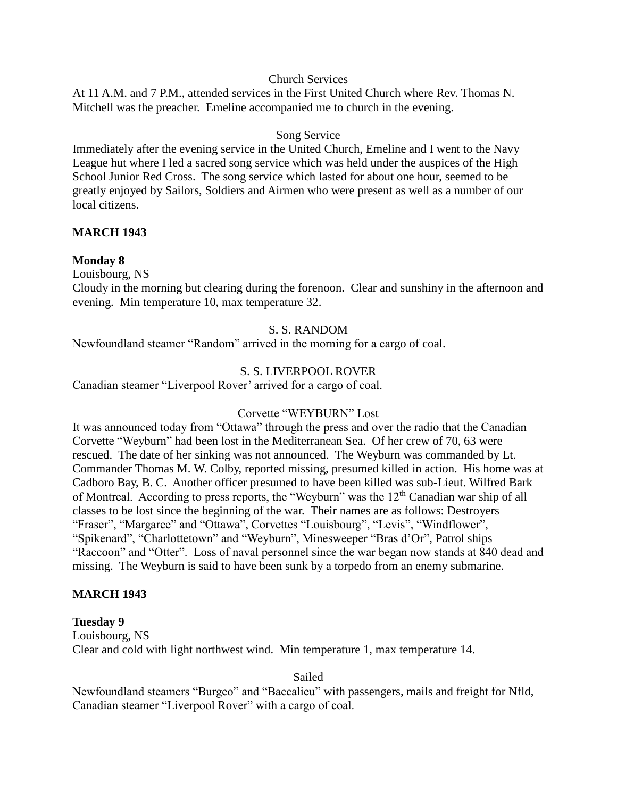## Church Services

At 11 A.M. and 7 P.M., attended services in the First United Church where Rev. Thomas N. Mitchell was the preacher. Emeline accompanied me to church in the evening.

## Song Service

Immediately after the evening service in the United Church, Emeline and I went to the Navy League hut where I led a sacred song service which was held under the auspices of the High School Junior Red Cross. The song service which lasted for about one hour, seemed to be greatly enjoyed by Sailors, Soldiers and Airmen who were present as well as a number of our local citizens.

## **MARCH 1943**

## **Monday 8**

Louisbourg, NS

Cloudy in the morning but clearing during the forenoon. Clear and sunshiny in the afternoon and evening. Min temperature 10, max temperature 32.

## S. S. RANDOM

Newfoundland steamer "Random" arrived in the morning for a cargo of coal.

## S. S. LIVERPOOL ROVER

Canadian steamer "Liverpool Rover' arrived for a cargo of coal.

## Corvette "WEYBURN" Lost

It was announced today from "Ottawa" through the press and over the radio that the Canadian Corvette "Weyburn" had been lost in the Mediterranean Sea. Of her crew of 70, 63 were rescued. The date of her sinking was not announced. The Weyburn was commanded by Lt. Commander Thomas M. W. Colby, reported missing, presumed killed in action. His home was at Cadboro Bay, B. C. Another officer presumed to have been killed was sub-Lieut. Wilfred Bark of Montreal. According to press reports, the "Weyburn" was the 12<sup>th</sup> Canadian war ship of all classes to be lost since the beginning of the war. Their names are as follows: Destroyers "Fraser", "Margaree" and "Ottawa", Corvettes "Louisbourg", "Levis", "Windflower", "Spikenard", "Charlottetown" and "Weyburn", Minesweeper "Bras d'Or", Patrol ships "Raccoon" and "Otter". Loss of naval personnel since the war began now stands at 840 dead and missing. The Weyburn is said to have been sunk by a torpedo from an enemy submarine.

## **MARCH 1943**

## **Tuesday 9**

Louisbourg, NS Clear and cold with light northwest wind. Min temperature 1, max temperature 14.

Sailed

Newfoundland steamers "Burgeo" and "Baccalieu" with passengers, mails and freight for Nfld, Canadian steamer "Liverpool Rover" with a cargo of coal.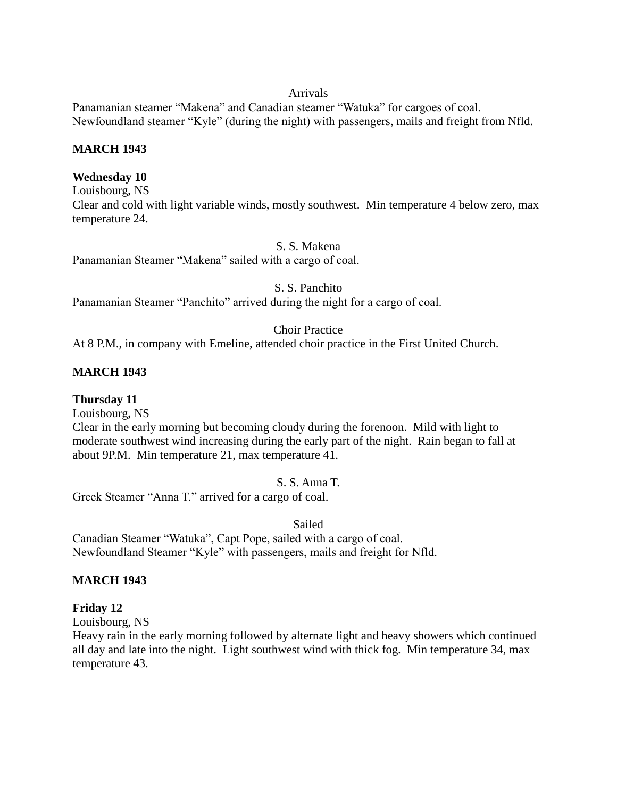#### Arrivals

Panamanian steamer "Makena" and Canadian steamer "Watuka" for cargoes of coal. Newfoundland steamer "Kyle" (during the night) with passengers, mails and freight from Nfld.

## **MARCH 1943**

## **Wednesday 10**

Louisbourg, NS Clear and cold with light variable winds, mostly southwest. Min temperature 4 below zero, max temperature 24.

## S. S. Makena

Panamanian Steamer "Makena" sailed with a cargo of coal.

S. S. Panchito

Panamanian Steamer "Panchito" arrived during the night for a cargo of coal.

## Choir Practice

At 8 P.M., in company with Emeline, attended choir practice in the First United Church.

# **MARCH 1943**

**Thursday 11**

Louisbourg, NS

Clear in the early morning but becoming cloudy during the forenoon. Mild with light to moderate southwest wind increasing during the early part of the night. Rain began to fall at about 9P.M. Min temperature 21, max temperature 41.

## S. S. Anna T.

Greek Steamer "Anna T." arrived for a cargo of coal.

Sailed

Canadian Steamer "Watuka", Capt Pope, sailed with a cargo of coal. Newfoundland Steamer "Kyle" with passengers, mails and freight for Nfld.

## **MARCH 1943**

## **Friday 12**

Louisbourg, NS

Heavy rain in the early morning followed by alternate light and heavy showers which continued all day and late into the night. Light southwest wind with thick fog. Min temperature 34, max temperature 43.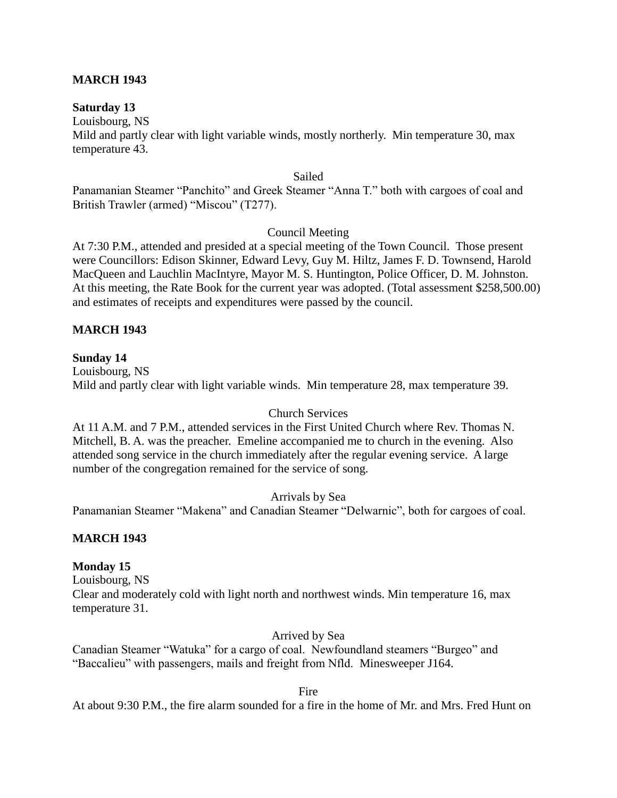## **MARCH 1943**

#### **Saturday 13**

Louisbourg, NS

Mild and partly clear with light variable winds, mostly northerly. Min temperature 30, max temperature 43.

Sailed

Panamanian Steamer "Panchito" and Greek Steamer "Anna T." both with cargoes of coal and British Trawler (armed) "Miscou" (T277).

Council Meeting

At 7:30 P.M., attended and presided at a special meeting of the Town Council. Those present were Councillors: Edison Skinner, Edward Levy, Guy M. Hiltz, James F. D. Townsend, Harold MacQueen and Lauchlin MacIntyre, Mayor M. S. Huntington, Police Officer, D. M. Johnston. At this meeting, the Rate Book for the current year was adopted. (Total assessment \$258,500.00) and estimates of receipts and expenditures were passed by the council.

## **MARCH 1943**

## **Sunday 14**

Louisbourg, NS Mild and partly clear with light variable winds. Min temperature 28, max temperature 39.

## Church Services

At 11 A.M. and 7 P.M., attended services in the First United Church where Rev. Thomas N. Mitchell, B. A. was the preacher. Emeline accompanied me to church in the evening. Also attended song service in the church immediately after the regular evening service. A large number of the congregation remained for the service of song.

Arrivals by Sea

Panamanian Steamer "Makena" and Canadian Steamer "Delwarnic", both for cargoes of coal.

## **MARCH 1943**

## **Monday 15**

Louisbourg, NS Clear and moderately cold with light north and northwest winds. Min temperature 16, max temperature 31.

Arrived by Sea

Canadian Steamer "Watuka" for a cargo of coal. Newfoundland steamers "Burgeo" and "Baccalieu" with passengers, mails and freight from Nfld. Minesweeper J164.

Fire

At about 9:30 P.M., the fire alarm sounded for a fire in the home of Mr. and Mrs. Fred Hunt on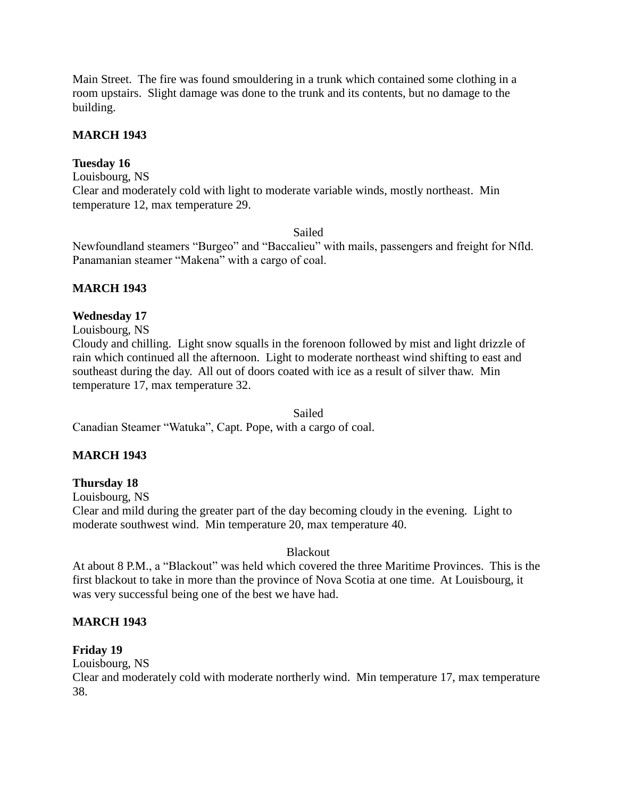Main Street. The fire was found smouldering in a trunk which contained some clothing in a room upstairs. Slight damage was done to the trunk and its contents, but no damage to the building.

## **MARCH 1943**

## **Tuesday 16**

Louisbourg, NS

Clear and moderately cold with light to moderate variable winds, mostly northeast. Min temperature 12, max temperature 29.

Sailed

Newfoundland steamers "Burgeo" and "Baccalieu" with mails, passengers and freight for Nfld. Panamanian steamer "Makena" with a cargo of coal.

## **MARCH 1943**

## **Wednesday 17**

Louisbourg, NS

Cloudy and chilling. Light snow squalls in the forenoon followed by mist and light drizzle of rain which continued all the afternoon. Light to moderate northeast wind shifting to east and southeast during the day. All out of doors coated with ice as a result of silver thaw. Min temperature 17, max temperature 32.

Sailed

Canadian Steamer "Watuka", Capt. Pope, with a cargo of coal.

## **MARCH 1943**

## **Thursday 18**

Louisbourg, NS

Clear and mild during the greater part of the day becoming cloudy in the evening. Light to moderate southwest wind. Min temperature 20, max temperature 40.

## Blackout

At about 8 P.M., a "Blackout" was held which covered the three Maritime Provinces. This is the first blackout to take in more than the province of Nova Scotia at one time. At Louisbourg, it was very successful being one of the best we have had.

## **MARCH 1943**

## **Friday 19**

Louisbourg, NS

Clear and moderately cold with moderate northerly wind. Min temperature 17, max temperature 38.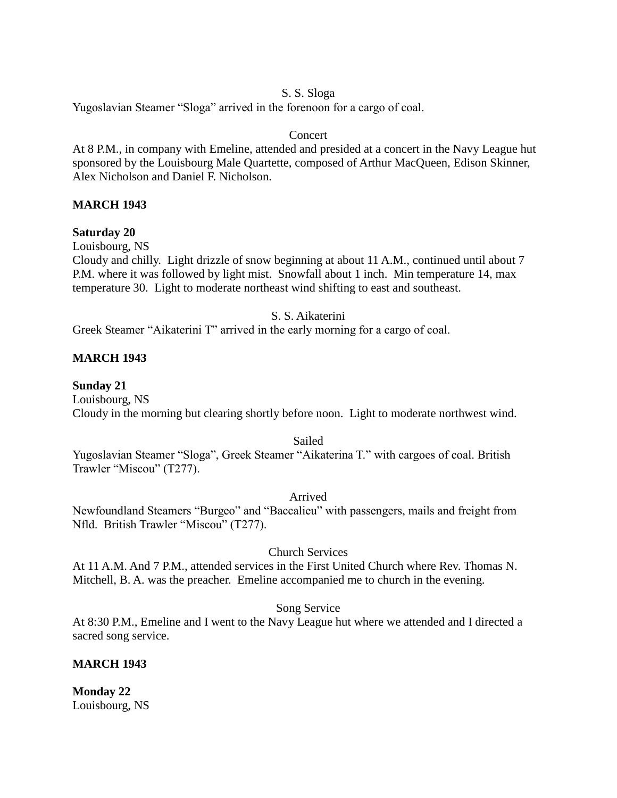# S. S. Sloga

Yugoslavian Steamer "Sloga" arrived in the forenoon for a cargo of coal.

# Concert

At 8 P.M., in company with Emeline, attended and presided at a concert in the Navy League hut sponsored by the Louisbourg Male Quartette, composed of Arthur MacQueen, Edison Skinner, Alex Nicholson and Daniel F. Nicholson.

# **MARCH 1943**

## **Saturday 20**

Louisbourg, NS

Cloudy and chilly. Light drizzle of snow beginning at about 11 A.M., continued until about 7 P.M. where it was followed by light mist. Snowfall about 1 inch. Min temperature 14, max temperature 30. Light to moderate northeast wind shifting to east and southeast.

## S. S. Aikaterini

Greek Steamer "Aikaterini T" arrived in the early morning for a cargo of coal.

# **MARCH 1943**

## **Sunday 21**

Louisbourg, NS Cloudy in the morning but clearing shortly before noon. Light to moderate northwest wind.

Sailed

Yugoslavian Steamer "Sloga", Greek Steamer "Aikaterina T." with cargoes of coal. British Trawler "Miscou" (T277).

Arrived

Newfoundland Steamers "Burgeo" and "Baccalieu" with passengers, mails and freight from Nfld. British Trawler "Miscou" (T277).

## Church Services

At 11 A.M. And 7 P.M., attended services in the First United Church where Rev. Thomas N. Mitchell, B. A. was the preacher. Emeline accompanied me to church in the evening.

Song Service

At 8:30 P.M., Emeline and I went to the Navy League hut where we attended and I directed a sacred song service.

# **MARCH 1943**

**Monday 22** Louisbourg, NS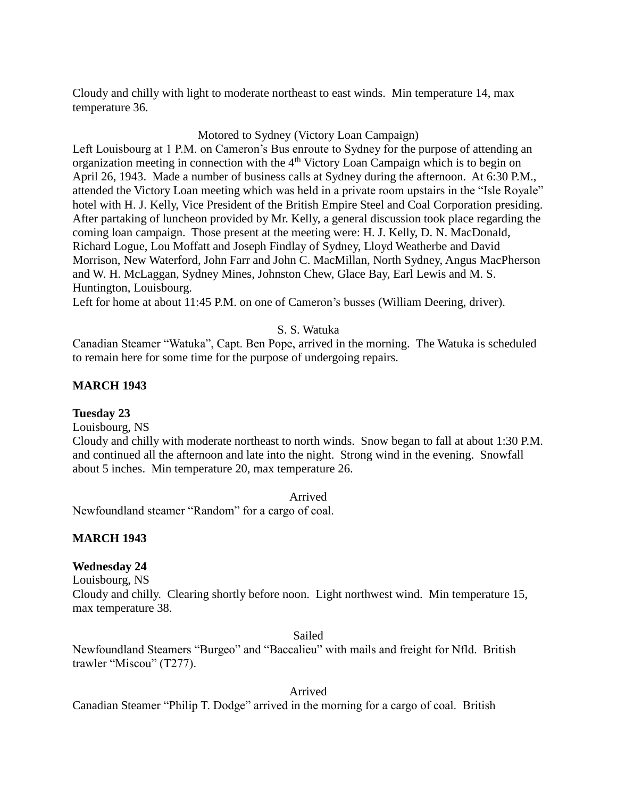Cloudy and chilly with light to moderate northeast to east winds. Min temperature 14, max temperature 36.

## Motored to Sydney (Victory Loan Campaign)

Left Louisbourg at 1 P.M. on Cameron's Bus enroute to Sydney for the purpose of attending an organization meeting in connection with the  $4<sup>th</sup>$  Victory Loan Campaign which is to begin on April 26, 1943. Made a number of business calls at Sydney during the afternoon. At 6:30 P.M., attended the Victory Loan meeting which was held in a private room upstairs in the "Isle Royale" hotel with H. J. Kelly, Vice President of the British Empire Steel and Coal Corporation presiding. After partaking of luncheon provided by Mr. Kelly, a general discussion took place regarding the coming loan campaign. Those present at the meeting were: H. J. Kelly, D. N. MacDonald, Richard Logue, Lou Moffatt and Joseph Findlay of Sydney, Lloyd Weatherbe and David Morrison, New Waterford, John Farr and John C. MacMillan, North Sydney, Angus MacPherson and W. H. McLaggan, Sydney Mines, Johnston Chew, Glace Bay, Earl Lewis and M. S. Huntington, Louisbourg.

Left for home at about 11:45 P.M. on one of Cameron's busses (William Deering, driver).

# S. S. Watuka

Canadian Steamer "Watuka", Capt. Ben Pope, arrived in the morning. The Watuka is scheduled to remain here for some time for the purpose of undergoing repairs.

# **MARCH 1943**

# **Tuesday 23**

Louisbourg, NS

Cloudy and chilly with moderate northeast to north winds. Snow began to fall at about 1:30 P.M. and continued all the afternoon and late into the night. Strong wind in the evening. Snowfall about 5 inches. Min temperature 20, max temperature 26.

Arrived

Newfoundland steamer "Random" for a cargo of coal.

# **MARCH 1943**

# **Wednesday 24**

Louisbourg, NS

Cloudy and chilly. Clearing shortly before noon. Light northwest wind. Min temperature 15, max temperature 38.

Sailed

Newfoundland Steamers "Burgeo" and "Baccalieu" with mails and freight for Nfld. British trawler "Miscou" (T277).

Arrived

Canadian Steamer "Philip T. Dodge" arrived in the morning for a cargo of coal. British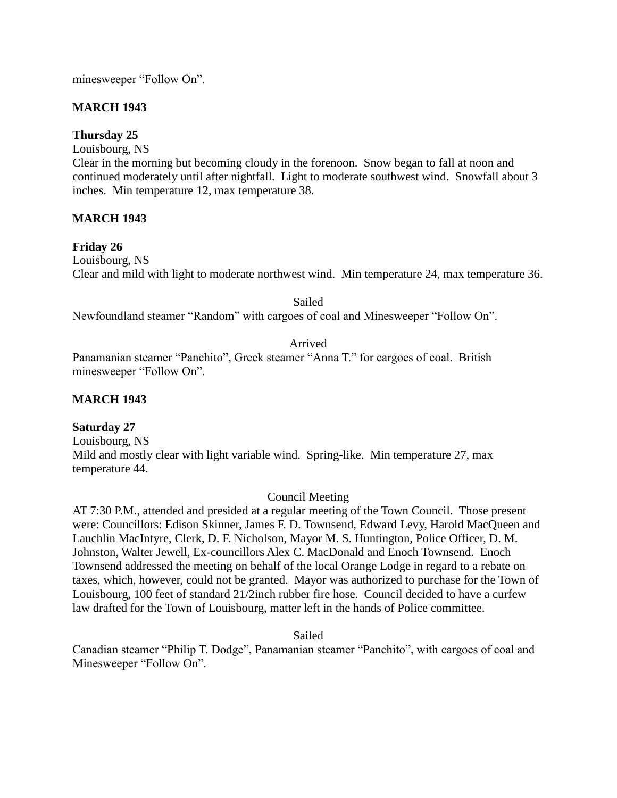minesweeper "Follow On".

# **MARCH 1943**

**Thursday 25**

Louisbourg, NS

Clear in the morning but becoming cloudy in the forenoon. Snow began to fall at noon and continued moderately until after nightfall. Light to moderate southwest wind. Snowfall about 3 inches. Min temperature 12, max temperature 38.

## **MARCH 1943**

## **Friday 26**

Louisbourg, NS Clear and mild with light to moderate northwest wind. Min temperature 24, max temperature 36.

Sailed

Newfoundland steamer "Random" with cargoes of coal and Minesweeper "Follow On".

## Arrived

Panamanian steamer "Panchito", Greek steamer "Anna T." for cargoes of coal. British minesweeper "Follow On".

## **MARCH 1943**

## **Saturday 27**

Louisbourg, NS Mild and mostly clear with light variable wind. Spring-like. Min temperature 27, max temperature 44.

## Council Meeting

AT 7:30 P.M., attended and presided at a regular meeting of the Town Council. Those present were: Councillors: Edison Skinner, James F. D. Townsend, Edward Levy, Harold MacQueen and Lauchlin MacIntyre, Clerk, D. F. Nicholson, Mayor M. S. Huntington, Police Officer, D. M. Johnston, Walter Jewell, Ex-councillors Alex C. MacDonald and Enoch Townsend. Enoch Townsend addressed the meeting on behalf of the local Orange Lodge in regard to a rebate on taxes, which, however, could not be granted. Mayor was authorized to purchase for the Town of Louisbourg, 100 feet of standard 21/2inch rubber fire hose. Council decided to have a curfew law drafted for the Town of Louisbourg, matter left in the hands of Police committee.

Sailed

Canadian steamer "Philip T. Dodge", Panamanian steamer "Panchito", with cargoes of coal and Minesweeper "Follow On".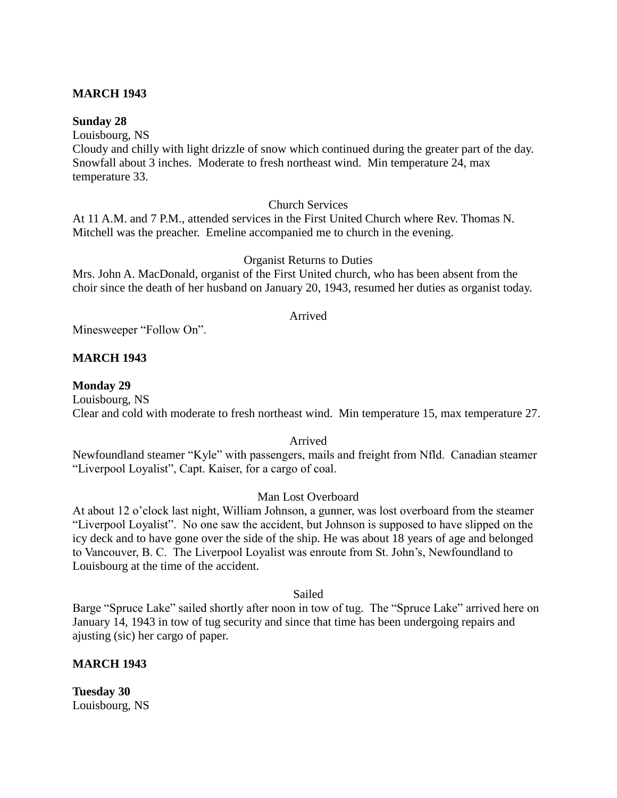## **MARCH 1943**

#### **Sunday 28**

Louisbourg, NS

Cloudy and chilly with light drizzle of snow which continued during the greater part of the day. Snowfall about 3 inches. Moderate to fresh northeast wind. Min temperature 24, max temperature 33.

## Church Services

At 11 A.M. and 7 P.M., attended services in the First United Church where Rev. Thomas N. Mitchell was the preacher. Emeline accompanied me to church in the evening.

## Organist Returns to Duties

Mrs. John A. MacDonald, organist of the First United church, who has been absent from the choir since the death of her husband on January 20, 1943, resumed her duties as organist today.

#### Arrived

Minesweeper "Follow On".

## **MARCH 1943**

#### **Monday 29**

Louisbourg, NS Clear and cold with moderate to fresh northeast wind. Min temperature 15, max temperature 27.

#### Arrived

Newfoundland steamer "Kyle" with passengers, mails and freight from Nfld. Canadian steamer "Liverpool Loyalist", Capt. Kaiser, for a cargo of coal.

## Man Lost Overboard

At about 12 o'clock last night, William Johnson, a gunner, was lost overboard from the steamer "Liverpool Loyalist". No one saw the accident, but Johnson is supposed to have slipped on the icy deck and to have gone over the side of the ship. He was about 18 years of age and belonged to Vancouver, B. C. The Liverpool Loyalist was enroute from St. John's, Newfoundland to Louisbourg at the time of the accident.

#### Sailed

Barge "Spruce Lake" sailed shortly after noon in tow of tug. The "Spruce Lake" arrived here on January 14, 1943 in tow of tug security and since that time has been undergoing repairs and ajusting (sic) her cargo of paper.

## **MARCH 1943**

**Tuesday 30** Louisbourg, NS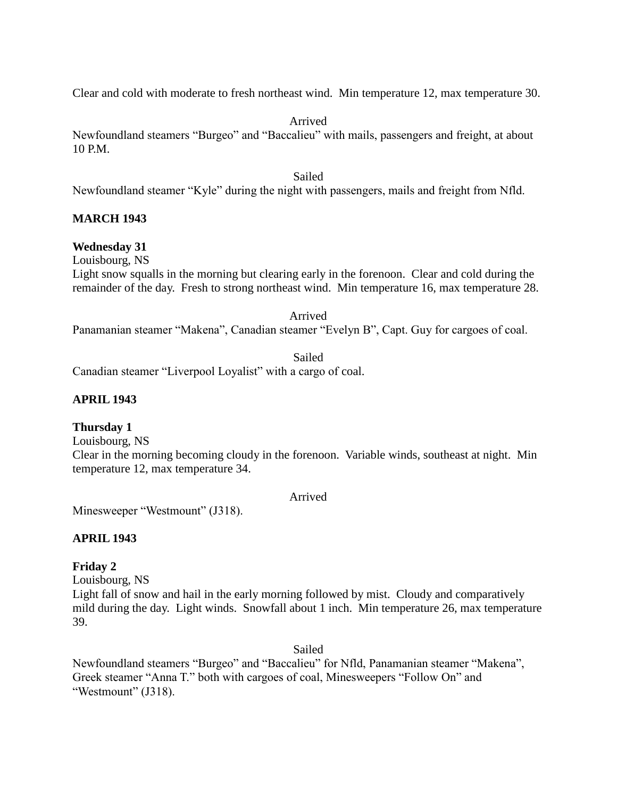Clear and cold with moderate to fresh northeast wind. Min temperature 12, max temperature 30.

Arrived

Newfoundland steamers "Burgeo" and "Baccalieu" with mails, passengers and freight, at about 10 P.M.

Sailed

Newfoundland steamer "Kyle" during the night with passengers, mails and freight from Nfld.

## **MARCH 1943**

## **Wednesday 31**

Louisbourg, NS

Light snow squalls in the morning but clearing early in the forenoon. Clear and cold during the remainder of the day. Fresh to strong northeast wind. Min temperature 16, max temperature 28.

Arrived

Panamanian steamer "Makena", Canadian steamer "Evelyn B", Capt. Guy for cargoes of coal.

Sailed Canadian steamer "Liverpool Loyalist" with a cargo of coal.

## **APRIL 1943**

## **Thursday 1**

Louisbourg, NS

Clear in the morning becoming cloudy in the forenoon. Variable winds, southeast at night. Min temperature 12, max temperature 34.

Arrived

Minesweeper "Westmount" (J318).

## **APRIL 1943**

## **Friday 2**

Louisbourg, NS

Light fall of snow and hail in the early morning followed by mist. Cloudy and comparatively mild during the day. Light winds. Snowfall about 1 inch. Min temperature 26, max temperature 39.

Sailed

Newfoundland steamers "Burgeo" and "Baccalieu" for Nfld, Panamanian steamer "Makena", Greek steamer "Anna T." both with cargoes of coal, Minesweepers "Follow On" and "Westmount" (J318).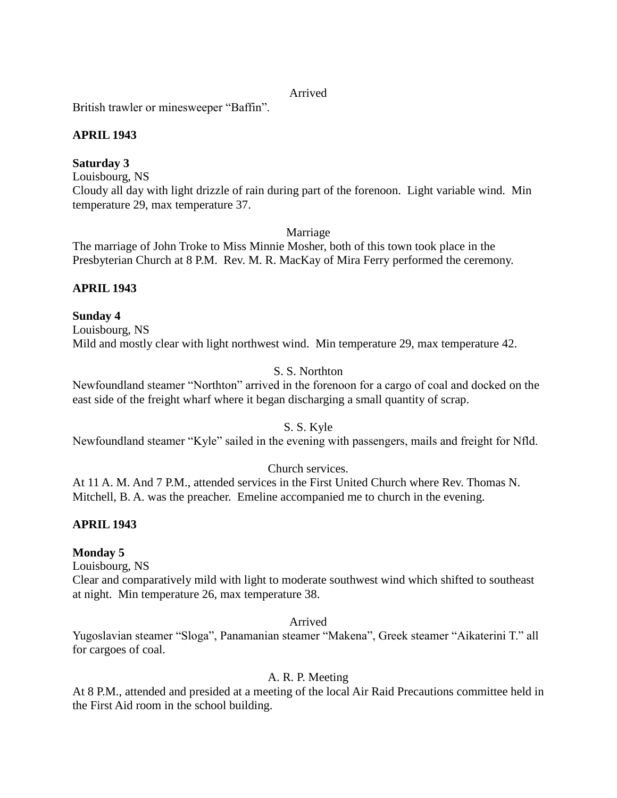#### Arrived

British trawler or minesweeper "Baffin".

# **APRIL 1943**

# **Saturday 3**

Louisbourg, NS Cloudy all day with light drizzle of rain during part of the forenoon. Light variable wind. Min temperature 29, max temperature 37.

Marriage

The marriage of John Troke to Miss Minnie Mosher, both of this town took place in the Presbyterian Church at 8 P.M. Rev. M. R. MacKay of Mira Ferry performed the ceremony.

# **APRIL 1943**

# **Sunday 4**

Louisbourg, NS Mild and mostly clear with light northwest wind. Min temperature 29, max temperature 42.

# S. S. Northton

Newfoundland steamer "Northton" arrived in the forenoon for a cargo of coal and docked on the east side of the freight wharf where it began discharging a small quantity of scrap.

# S. S. Kyle

Newfoundland steamer "Kyle" sailed in the evening with passengers, mails and freight for Nfld.

# Church services.

At 11 A. M. And 7 P.M., attended services in the First United Church where Rev. Thomas N. Mitchell, B. A. was the preacher. Emeline accompanied me to church in the evening.

# **APRIL 1943**

# **Monday 5**

Louisbourg, NS

Clear and comparatively mild with light to moderate southwest wind which shifted to southeast at night. Min temperature 26, max temperature 38.

## Arrived

Yugoslavian steamer "Sloga", Panamanian steamer "Makena", Greek steamer "Aikaterini T." all for cargoes of coal.

# A. R. P. Meeting

At 8 P.M., attended and presided at a meeting of the local Air Raid Precautions committee held in the First Aid room in the school building.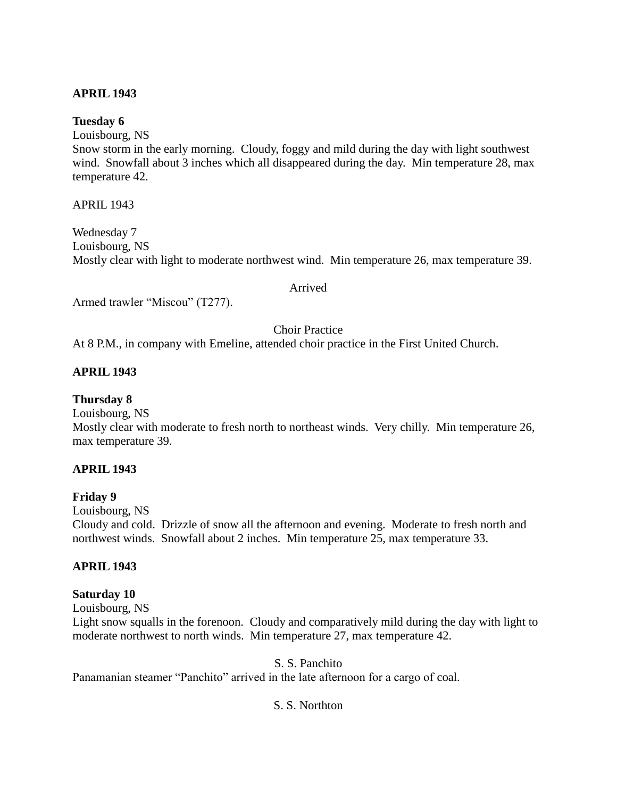# **APRIL 1943**

#### **Tuesday 6**

Louisbourg, NS

Snow storm in the early morning. Cloudy, foggy and mild during the day with light southwest wind. Snowfall about 3 inches which all disappeared during the day. Min temperature 28, max temperature 42.

APRIL 1943

Wednesday 7 Louisbourg, NS Mostly clear with light to moderate northwest wind. Min temperature 26, max temperature 39.

#### Arrived

Armed trawler "Miscou" (T277).

Choir Practice

At 8 P.M., in company with Emeline, attended choir practice in the First United Church.

## **APRIL 1943**

## **Thursday 8**

Louisbourg, NS

Mostly clear with moderate to fresh north to northeast winds. Very chilly. Min temperature 26, max temperature 39.

## **APRIL 1943**

## **Friday 9**

Louisbourg, NS

Cloudy and cold. Drizzle of snow all the afternoon and evening. Moderate to fresh north and northwest winds. Snowfall about 2 inches. Min temperature 25, max temperature 33.

# **APRIL 1943**

## **Saturday 10**

Louisbourg, NS

Light snow squalls in the forenoon. Cloudy and comparatively mild during the day with light to moderate northwest to north winds. Min temperature 27, max temperature 42.

S. S. Panchito

Panamanian steamer "Panchito" arrived in the late afternoon for a cargo of coal.

## S. S. Northton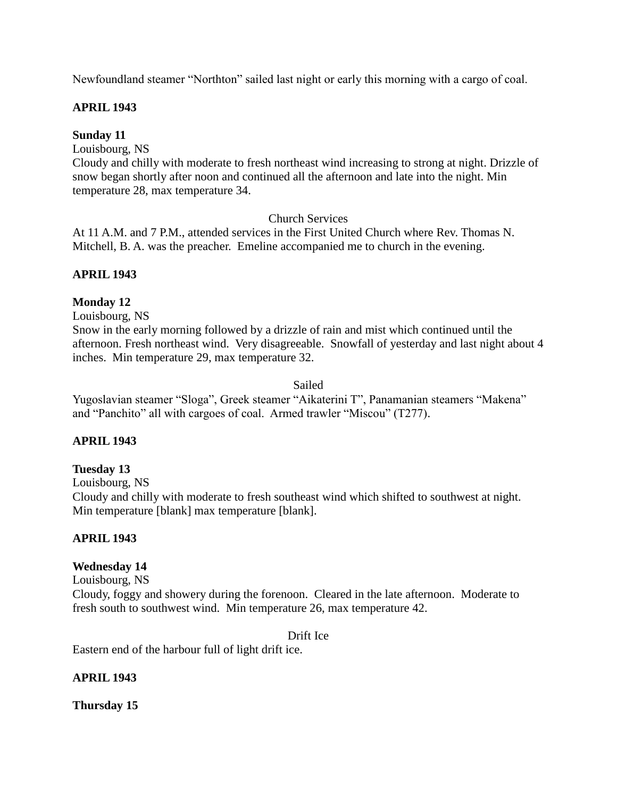Newfoundland steamer "Northton" sailed last night or early this morning with a cargo of coal.

# **APRIL 1943**

# **Sunday 11**

Louisbourg, NS

Cloudy and chilly with moderate to fresh northeast wind increasing to strong at night. Drizzle of snow began shortly after noon and continued all the afternoon and late into the night. Min temperature 28, max temperature 34.

# Church Services

At 11 A.M. and 7 P.M., attended services in the First United Church where Rev. Thomas N. Mitchell, B. A. was the preacher. Emeline accompanied me to church in the evening.

# **APRIL 1943**

# **Monday 12**

Louisbourg, NS

Snow in the early morning followed by a drizzle of rain and mist which continued until the afternoon. Fresh northeast wind. Very disagreeable. Snowfall of yesterday and last night about 4 inches. Min temperature 29, max temperature 32.

Sailed

Yugoslavian steamer "Sloga", Greek steamer "Aikaterini T", Panamanian steamers "Makena" and "Panchito" all with cargoes of coal. Armed trawler "Miscou" (T277).

# **APRIL 1943**

# **Tuesday 13**

Louisbourg, NS Cloudy and chilly with moderate to fresh southeast wind which shifted to southwest at night. Min temperature [blank] max temperature [blank].

# **APRIL 1943**

# **Wednesday 14**

Louisbourg, NS

Cloudy, foggy and showery during the forenoon. Cleared in the late afternoon. Moderate to fresh south to southwest wind. Min temperature 26, max temperature 42.

Drift Ice

Eastern end of the harbour full of light drift ice.

# **APRIL 1943**

**Thursday 15**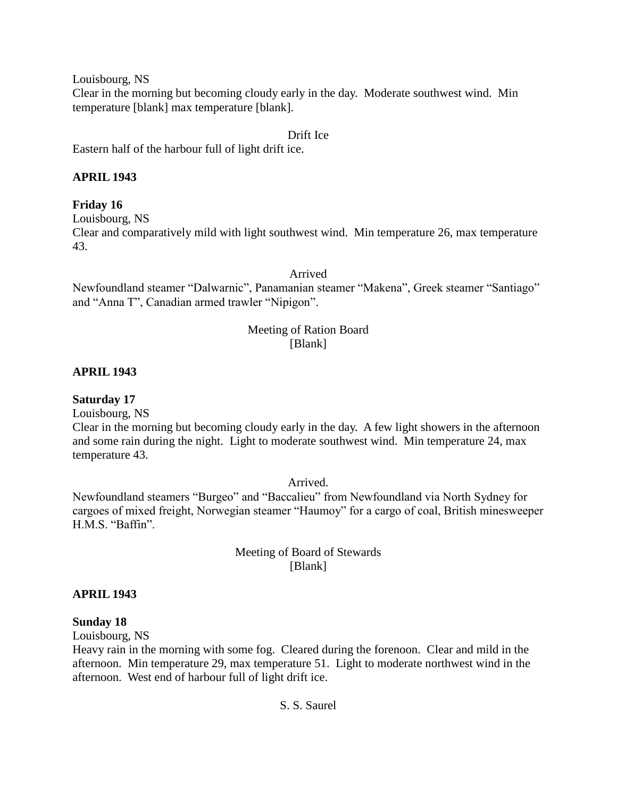Louisbourg, NS

Clear in the morning but becoming cloudy early in the day. Moderate southwest wind. Min temperature [blank] max temperature [blank].

#### Drift Ice

Eastern half of the harbour full of light drift ice.

# **APRIL 1943**

# **Friday 16**

Louisbourg, NS

Clear and comparatively mild with light southwest wind. Min temperature 26, max temperature 43.

Arrived

Newfoundland steamer "Dalwarnic", Panamanian steamer "Makena", Greek steamer "Santiago" and "Anna T", Canadian armed trawler "Nipigon".

# Meeting of Ration Board [Blank]

# **APRIL 1943**

**Saturday 17**

Louisbourg, NS

Clear in the morning but becoming cloudy early in the day. A few light showers in the afternoon and some rain during the night. Light to moderate southwest wind. Min temperature 24, max temperature 43.

Arrived.

Newfoundland steamers "Burgeo" and "Baccalieu" from Newfoundland via North Sydney for cargoes of mixed freight, Norwegian steamer "Haumoy" for a cargo of coal, British minesweeper H.M.S. "Baffin".

> Meeting of Board of Stewards [Blank]

# **APRIL 1943**

# **Sunday 18**

Louisbourg, NS

Heavy rain in the morning with some fog. Cleared during the forenoon. Clear and mild in the afternoon. Min temperature 29, max temperature 51. Light to moderate northwest wind in the afternoon. West end of harbour full of light drift ice.

# S. S. Saurel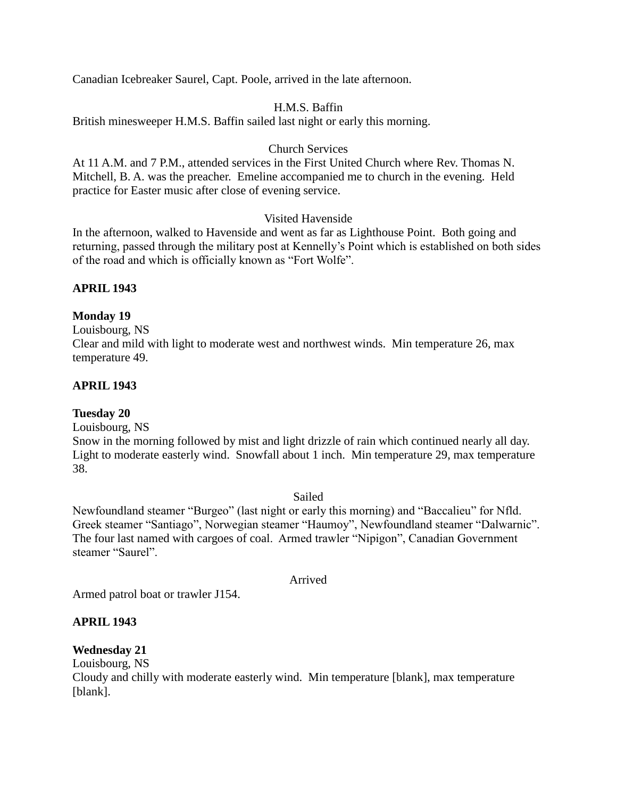Canadian Icebreaker Saurel, Capt. Poole, arrived in the late afternoon.

# H.M.S. Baffin

British minesweeper H.M.S. Baffin sailed last night or early this morning.

# Church Services

At 11 A.M. and 7 P.M., attended services in the First United Church where Rev. Thomas N. Mitchell, B. A. was the preacher. Emeline accompanied me to church in the evening. Held practice for Easter music after close of evening service.

# Visited Havenside

In the afternoon, walked to Havenside and went as far as Lighthouse Point. Both going and returning, passed through the military post at Kennelly's Point which is established on both sides of the road and which is officially known as "Fort Wolfe".

# **APRIL 1943**

# **Monday 19**

Louisbourg, NS Clear and mild with light to moderate west and northwest winds. Min temperature 26, max temperature 49.

# **APRIL 1943**

# **Tuesday 20**

Louisbourg, NS

Snow in the morning followed by mist and light drizzle of rain which continued nearly all day. Light to moderate easterly wind. Snowfall about 1 inch. Min temperature 29, max temperature 38.

# Sailed

Newfoundland steamer "Burgeo" (last night or early this morning) and "Baccalieu" for Nfld. Greek steamer "Santiago", Norwegian steamer "Haumoy", Newfoundland steamer "Dalwarnic". The four last named with cargoes of coal. Armed trawler "Nipigon", Canadian Government steamer "Saurel".

# Arrived

Armed patrol boat or trawler J154.

# **APRIL 1943**

# **Wednesday 21**

Louisbourg, NS Cloudy and chilly with moderate easterly wind. Min temperature [blank], max temperature [blank].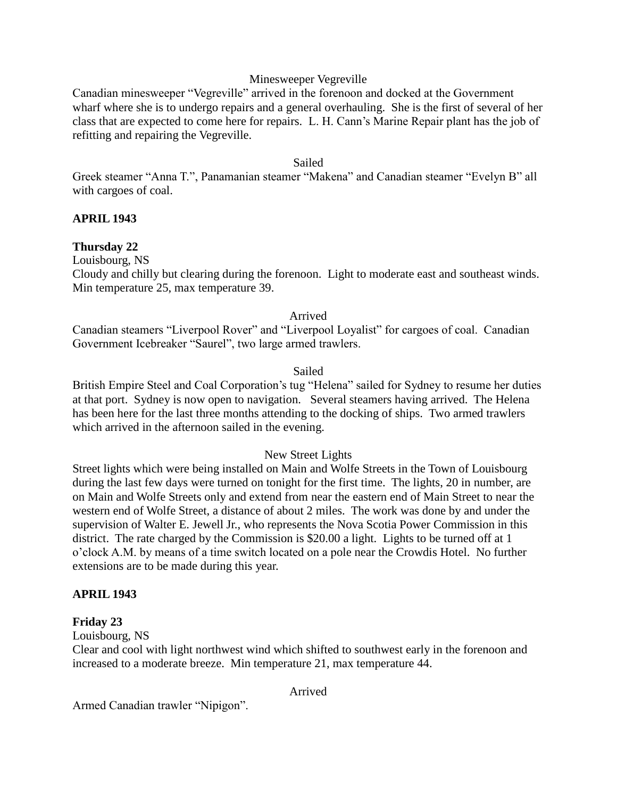# Minesweeper Vegreville

Canadian minesweeper "Vegreville" arrived in the forenoon and docked at the Government wharf where she is to undergo repairs and a general overhauling. She is the first of several of her class that are expected to come here for repairs. L. H. Cann's Marine Repair plant has the job of refitting and repairing the Vegreville.

#### Sailed

Greek steamer "Anna T.", Panamanian steamer "Makena" and Canadian steamer "Evelyn B" all with cargoes of coal.

# **APRIL 1943**

# **Thursday 22**

Louisbourg, NS

Cloudy and chilly but clearing during the forenoon. Light to moderate east and southeast winds. Min temperature 25, max temperature 39.

# Arrived

Canadian steamers "Liverpool Rover" and "Liverpool Loyalist" for cargoes of coal. Canadian Government Icebreaker "Saurel", two large armed trawlers.

# Sailed

British Empire Steel and Coal Corporation's tug "Helena" sailed for Sydney to resume her duties at that port. Sydney is now open to navigation. Several steamers having arrived. The Helena has been here for the last three months attending to the docking of ships. Two armed trawlers which arrived in the afternoon sailed in the evening.

# New Street Lights

Street lights which were being installed on Main and Wolfe Streets in the Town of Louisbourg during the last few days were turned on tonight for the first time. The lights, 20 in number, are on Main and Wolfe Streets only and extend from near the eastern end of Main Street to near the western end of Wolfe Street, a distance of about 2 miles. The work was done by and under the supervision of Walter E. Jewell Jr., who represents the Nova Scotia Power Commission in this district. The rate charged by the Commission is \$20.00 a light. Lights to be turned off at 1 o'clock A.M. by means of a time switch located on a pole near the Crowdis Hotel. No further extensions are to be made during this year.

# **APRIL 1943**

# **Friday 23**

Louisbourg, NS

Clear and cool with light northwest wind which shifted to southwest early in the forenoon and increased to a moderate breeze. Min temperature 21, max temperature 44.

Arrived

Armed Canadian trawler "Nipigon".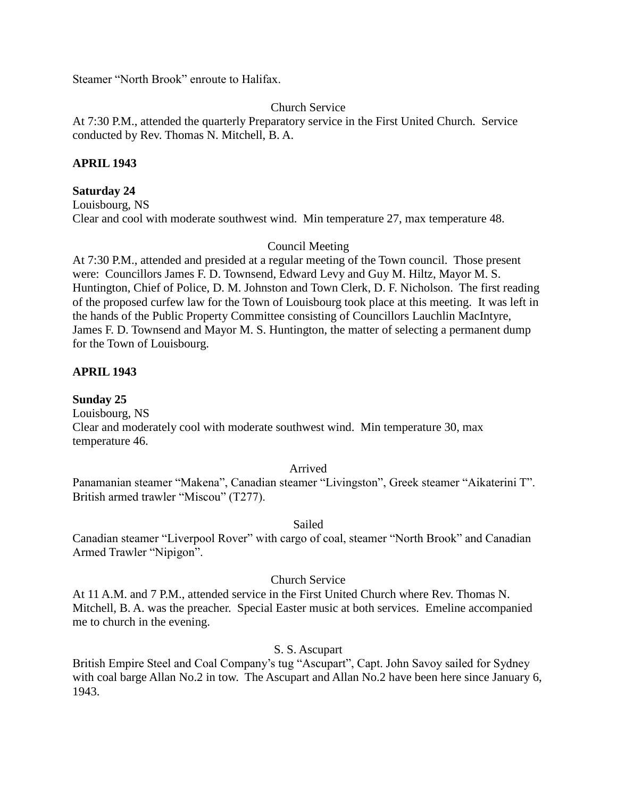Steamer "North Brook" enroute to Halifax.

# Church Service

At 7:30 P.M., attended the quarterly Preparatory service in the First United Church. Service conducted by Rev. Thomas N. Mitchell, B. A.

# **APRIL 1943**

#### **Saturday 24**

Louisbourg, NS Clear and cool with moderate southwest wind. Min temperature 27, max temperature 48.

#### Council Meeting

At 7:30 P.M., attended and presided at a regular meeting of the Town council. Those present were: Councillors James F. D. Townsend, Edward Levy and Guy M. Hiltz, Mayor M. S. Huntington, Chief of Police, D. M. Johnston and Town Clerk, D. F. Nicholson. The first reading of the proposed curfew law for the Town of Louisbourg took place at this meeting. It was left in the hands of the Public Property Committee consisting of Councillors Lauchlin MacIntyre, James F. D. Townsend and Mayor M. S. Huntington, the matter of selecting a permanent dump for the Town of Louisbourg.

#### **APRIL 1943**

**Sunday 25** Louisbourg, NS Clear and moderately cool with moderate southwest wind. Min temperature 30, max temperature 46.

#### Arrived

Panamanian steamer "Makena", Canadian steamer "Livingston", Greek steamer "Aikaterini T". British armed trawler "Miscou" (T277).

#### Sailed

Canadian steamer "Liverpool Rover" with cargo of coal, steamer "North Brook" and Canadian Armed Trawler "Nipigon".

#### Church Service

At 11 A.M. and 7 P.M., attended service in the First United Church where Rev. Thomas N. Mitchell, B. A. was the preacher. Special Easter music at both services. Emeline accompanied me to church in the evening.

#### S. S. Ascupart

British Empire Steel and Coal Company's tug "Ascupart", Capt. John Savoy sailed for Sydney with coal barge Allan No.2 in tow. The Ascupart and Allan No.2 have been here since January 6, 1943.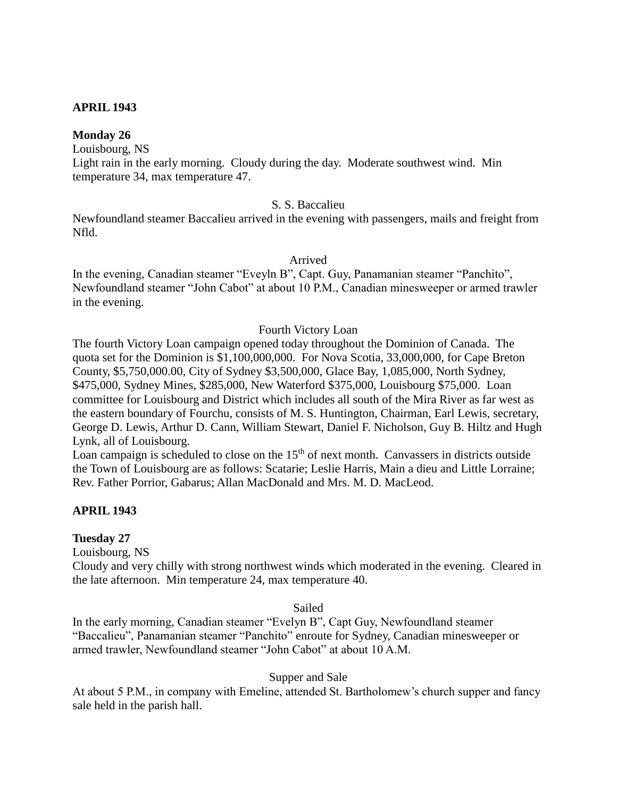# **APRIL 1943**

#### **Monday 26**

Louisbourg, NS

Light rain in the early morning. Cloudy during the day. Moderate southwest wind. Min temperature 34, max temperature 47.

#### S. S. Baccalieu

Newfoundland steamer Baccalieu arrived in the evening with passengers, mails and freight from Nfld.

Arrived

In the evening, Canadian steamer "Eveyln B", Capt. Guy, Panamanian steamer "Panchito", Newfoundland steamer "John Cabot" at about 10 P.M., Canadian minesweeper or armed trawler in the evening.

#### Fourth Victory Loan

The fourth Victory Loan campaign opened today throughout the Dominion of Canada. The quota set for the Dominion is \$1,100,000,000. For Nova Scotia, 33,000,000, for Cape Breton County, \$5,750,000.00, City of Sydney \$3,500,000, Glace Bay, 1,085,000, North Sydney, \$475,000, Sydney Mines, \$285,000, New Waterford \$375,000, Louisbourg \$75,000. Loan committee for Louisbourg and District which includes all south of the Mira River as far west as the eastern boundary of Fourchu, consists of M. S. Huntington, Chairman, Earl Lewis, secretary, George D. Lewis, Arthur D. Cann, William Stewart, Daniel F. Nicholson, Guy B. Hiltz and Hugh Lynk, all of Louisbourg.

Loan campaign is scheduled to close on the  $15<sup>th</sup>$  of next month. Canvassers in districts outside the Town of Louisbourg are as follows: Scatarie; Leslie Harris, Main a dieu and Little Lorraine; Rev. Father Porrior, Gabarus; Allan MacDonald and Mrs. M. D. MacLeod.

# **APRIL 1943**

#### **Tuesday 27**

Louisbourg, NS

Cloudy and very chilly with strong northwest winds which moderated in the evening. Cleared in the late afternoon. Min temperature 24, max temperature 40.

Sailed

In the early morning, Canadian steamer "Evelyn B", Capt Guy, Newfoundland steamer "Baccalieu", Panamanian steamer "Panchito" enroute for Sydney, Canadian minesweeper or armed trawler, Newfoundland steamer "John Cabot" at about 10 A.M.

#### Supper and Sale

At about 5 P.M., in company with Emeline, attended St. Bartholomew's church supper and fancy sale held in the parish hall.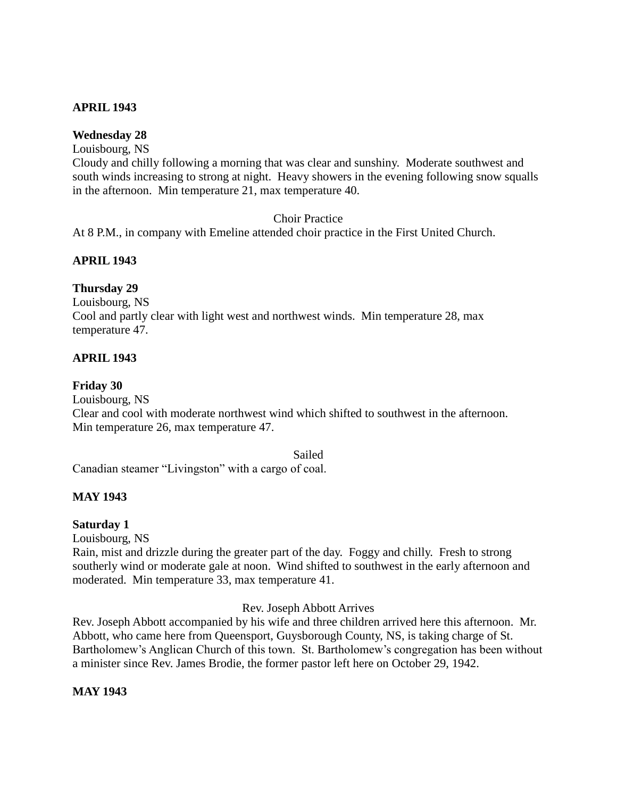# **APRIL 1943**

# **Wednesday 28**

Louisbourg, NS

Cloudy and chilly following a morning that was clear and sunshiny. Moderate southwest and south winds increasing to strong at night. Heavy showers in the evening following snow squalls in the afternoon. Min temperature 21, max temperature 40.

# Choir Practice

At 8 P.M., in company with Emeline attended choir practice in the First United Church.

# **APRIL 1943**

# **Thursday 29**

Louisbourg, NS Cool and partly clear with light west and northwest winds. Min temperature 28, max temperature 47.

# **APRIL 1943**

# **Friday 30**

Louisbourg, NS

Clear and cool with moderate northwest wind which shifted to southwest in the afternoon. Min temperature 26, max temperature 47.

Sailed

Canadian steamer "Livingston" with a cargo of coal.

# **MAY 1943**

# **Saturday 1**

Louisbourg, NS

Rain, mist and drizzle during the greater part of the day. Foggy and chilly. Fresh to strong southerly wind or moderate gale at noon. Wind shifted to southwest in the early afternoon and moderated. Min temperature 33, max temperature 41.

#### Rev. Joseph Abbott Arrives

Rev. Joseph Abbott accompanied by his wife and three children arrived here this afternoon. Mr. Abbott, who came here from Queensport, Guysborough County, NS, is taking charge of St. Bartholomew's Anglican Church of this town. St. Bartholomew's congregation has been without a minister since Rev. James Brodie, the former pastor left here on October 29, 1942.

# **MAY 1943**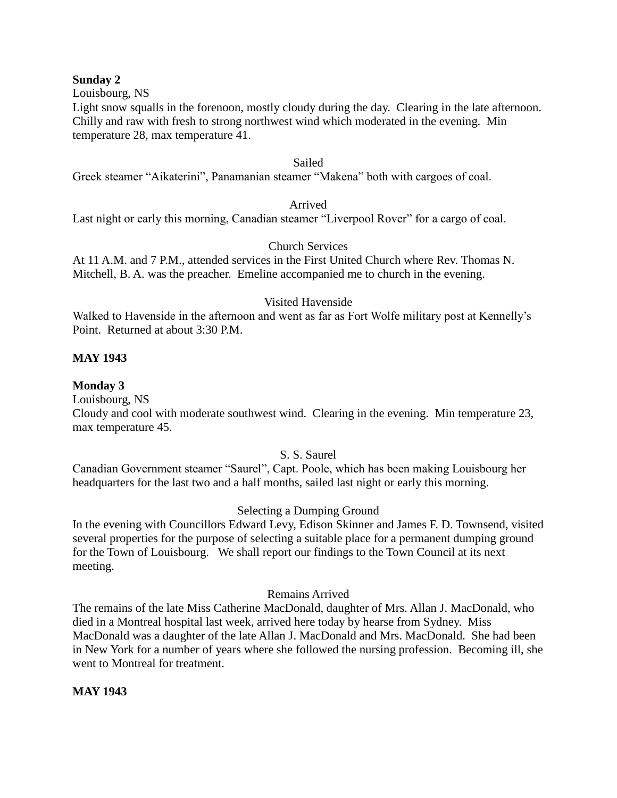#### **Sunday 2**

Louisbourg, NS

Light snow squalls in the forenoon, mostly cloudy during the day. Clearing in the late afternoon. Chilly and raw with fresh to strong northwest wind which moderated in the evening. Min temperature 28, max temperature 41.

#### Sailed

Greek steamer "Aikaterini", Panamanian steamer "Makena" both with cargoes of coal.

#### Arrived

Last night or early this morning, Canadian steamer "Liverpool Rover" for a cargo of coal.

# Church Services

At 11 A.M. and 7 P.M., attended services in the First United Church where Rev. Thomas N. Mitchell, B. A. was the preacher. Emeline accompanied me to church in the evening.

#### Visited Havenside

Walked to Havenside in the afternoon and went as far as Fort Wolfe military post at Kennelly's Point. Returned at about 3:30 P.M.

# **MAY 1943**

#### **Monday 3**

Louisbourg, NS

Cloudy and cool with moderate southwest wind. Clearing in the evening. Min temperature 23, max temperature 45.

# S. S. Saurel

Canadian Government steamer "Saurel", Capt. Poole, which has been making Louisbourg her headquarters for the last two and a half months, sailed last night or early this morning.

# Selecting a Dumping Ground

In the evening with Councillors Edward Levy, Edison Skinner and James F. D. Townsend, visited several properties for the purpose of selecting a suitable place for a permanent dumping ground for the Town of Louisbourg. We shall report our findings to the Town Council at its next meeting.

# Remains Arrived

The remains of the late Miss Catherine MacDonald, daughter of Mrs. Allan J. MacDonald, who died in a Montreal hospital last week, arrived here today by hearse from Sydney. Miss MacDonald was a daughter of the late Allan J. MacDonald and Mrs. MacDonald. She had been in New York for a number of years where she followed the nursing profession. Becoming ill, she went to Montreal for treatment.

# **MAY 1943**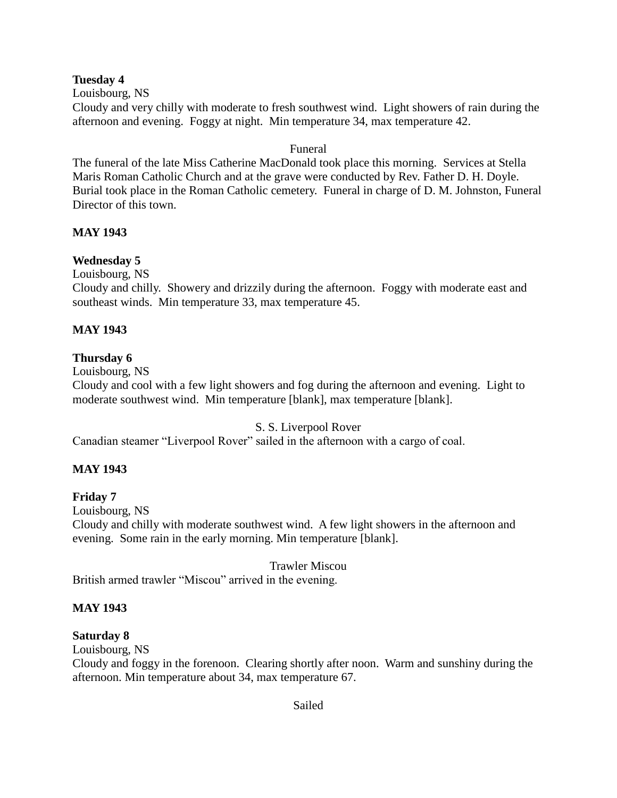# **Tuesday 4**

Louisbourg, NS

Cloudy and very chilly with moderate to fresh southwest wind. Light showers of rain during the afternoon and evening. Foggy at night. Min temperature 34, max temperature 42.

# Funeral

The funeral of the late Miss Catherine MacDonald took place this morning. Services at Stella Maris Roman Catholic Church and at the grave were conducted by Rev. Father D. H. Doyle. Burial took place in the Roman Catholic cemetery. Funeral in charge of D. M. Johnston, Funeral Director of this town.

# **MAY 1943**

# **Wednesday 5**

Louisbourg, NS

Cloudy and chilly. Showery and drizzily during the afternoon. Foggy with moderate east and southeast winds. Min temperature 33, max temperature 45.

# **MAY 1943**

# **Thursday 6**

Louisbourg, NS

Cloudy and cool with a few light showers and fog during the afternoon and evening. Light to moderate southwest wind. Min temperature [blank], max temperature [blank].

# S. S. Liverpool Rover

Canadian steamer "Liverpool Rover" sailed in the afternoon with a cargo of coal.

# **MAY 1943**

**Friday 7**

Louisbourg, NS

Cloudy and chilly with moderate southwest wind. A few light showers in the afternoon and evening. Some rain in the early morning. Min temperature [blank].

# Trawler Miscou

British armed trawler "Miscou" arrived in the evening.

# **MAY 1943**

# **Saturday 8**

Louisbourg, NS

Cloudy and foggy in the forenoon. Clearing shortly after noon. Warm and sunshiny during the afternoon. Min temperature about 34, max temperature 67.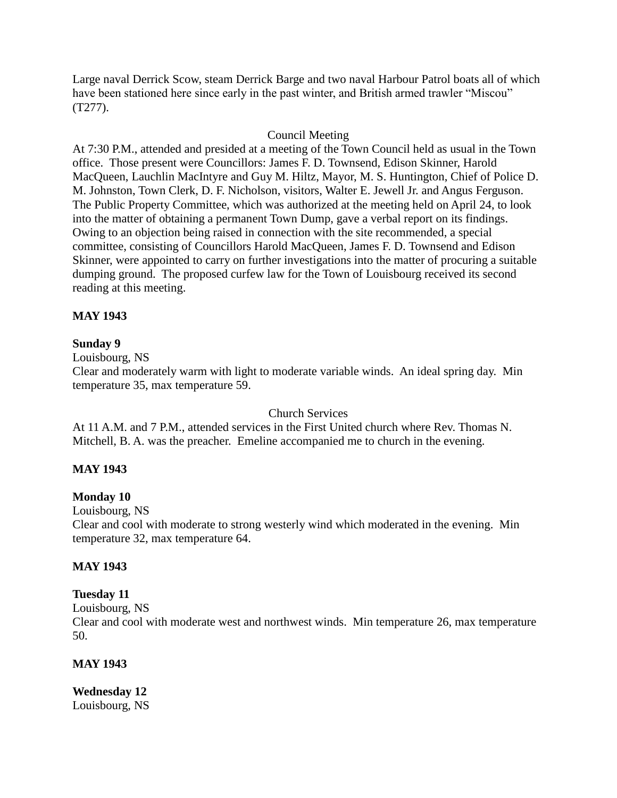Large naval Derrick Scow, steam Derrick Barge and two naval Harbour Patrol boats all of which have been stationed here since early in the past winter, and British armed trawler "Miscou" (T277).

# Council Meeting

At 7:30 P.M., attended and presided at a meeting of the Town Council held as usual in the Town office. Those present were Councillors: James F. D. Townsend, Edison Skinner, Harold MacQueen, Lauchlin MacIntyre and Guy M. Hiltz, Mayor, M. S. Huntington, Chief of Police D. M. Johnston, Town Clerk, D. F. Nicholson, visitors, Walter E. Jewell Jr. and Angus Ferguson. The Public Property Committee, which was authorized at the meeting held on April 24, to look into the matter of obtaining a permanent Town Dump, gave a verbal report on its findings. Owing to an objection being raised in connection with the site recommended, a special committee, consisting of Councillors Harold MacQueen, James F. D. Townsend and Edison Skinner, were appointed to carry on further investigations into the matter of procuring a suitable dumping ground. The proposed curfew law for the Town of Louisbourg received its second reading at this meeting.

# **MAY 1943**

# **Sunday 9**

Louisbourg, NS

Clear and moderately warm with light to moderate variable winds. An ideal spring day. Min temperature 35, max temperature 59.

# Church Services

At 11 A.M. and 7 P.M., attended services in the First United church where Rev. Thomas N. Mitchell, B. A. was the preacher. Emeline accompanied me to church in the evening.

# **MAY 1943**

# **Monday 10**

Louisbourg, NS

Clear and cool with moderate to strong westerly wind which moderated in the evening. Min temperature 32, max temperature 64.

# **MAY 1943**

# **Tuesday 11**

Louisbourg, NS

Clear and cool with moderate west and northwest winds. Min temperature 26, max temperature 50.

# **MAY 1943**

**Wednesday 12** Louisbourg, NS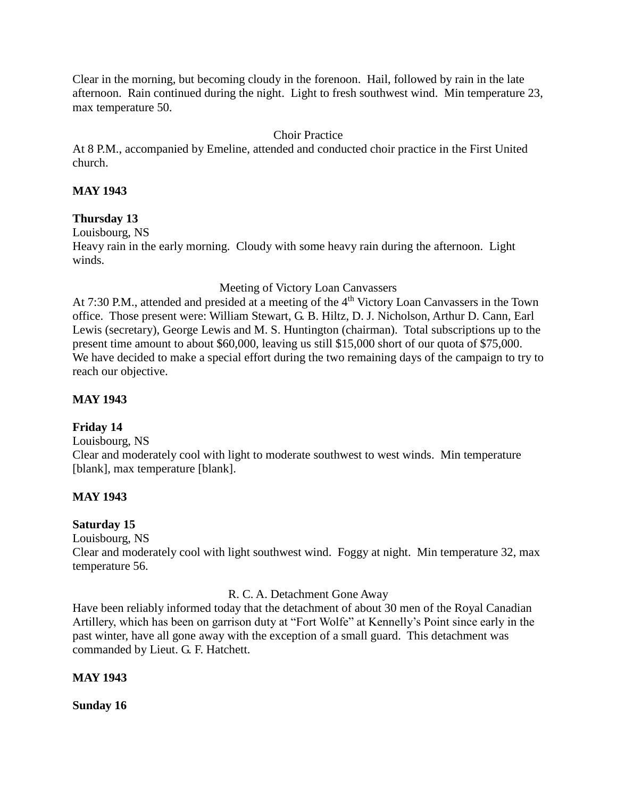Clear in the morning, but becoming cloudy in the forenoon. Hail, followed by rain in the late afternoon. Rain continued during the night. Light to fresh southwest wind. Min temperature 23, max temperature 50.

# Choir Practice

At 8 P.M., accompanied by Emeline, attended and conducted choir practice in the First United church.

# **MAY 1943**

# **Thursday 13**

Louisbourg, NS

Heavy rain in the early morning. Cloudy with some heavy rain during the afternoon. Light winds.

Meeting of Victory Loan Canvassers

At 7:30 P.M., attended and presided at a meeting of the 4<sup>th</sup> Victory Loan Canvassers in the Town office. Those present were: William Stewart, G. B. Hiltz, D. J. Nicholson, Arthur D. Cann, Earl Lewis (secretary), George Lewis and M. S. Huntington (chairman). Total subscriptions up to the present time amount to about \$60,000, leaving us still \$15,000 short of our quota of \$75,000. We have decided to make a special effort during the two remaining days of the campaign to try to reach our objective.

# **MAY 1943**

# **Friday 14**

Louisbourg, NS

Clear and moderately cool with light to moderate southwest to west winds. Min temperature [blank], max temperature [blank].

# **MAY 1943**

# **Saturday 15**

Louisbourg, NS

Clear and moderately cool with light southwest wind. Foggy at night. Min temperature 32, max temperature 56.

# R. C. A. Detachment Gone Away

Have been reliably informed today that the detachment of about 30 men of the Royal Canadian Artillery, which has been on garrison duty at "Fort Wolfe" at Kennelly's Point since early in the past winter, have all gone away with the exception of a small guard. This detachment was commanded by Lieut. G. F. Hatchett.

# **MAY 1943**

**Sunday 16**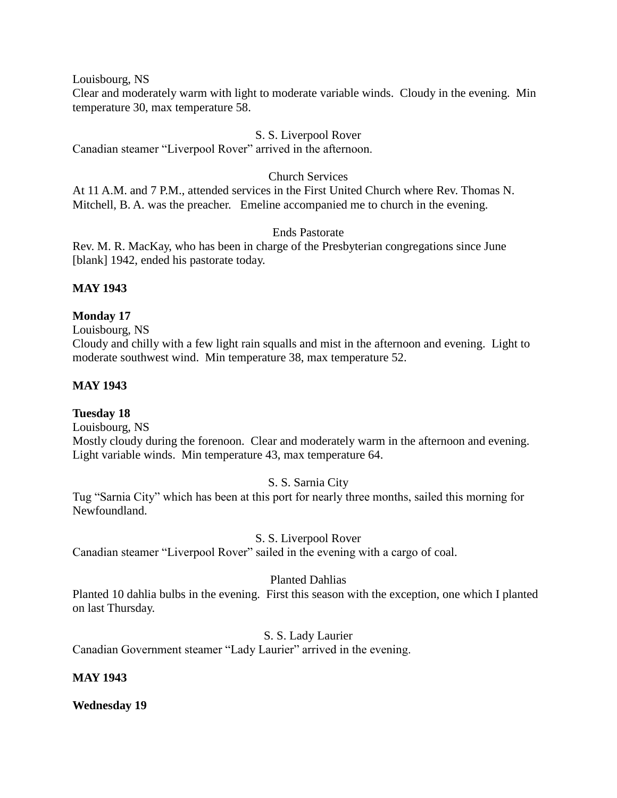Louisbourg, NS

Clear and moderately warm with light to moderate variable winds. Cloudy in the evening. Min temperature 30, max temperature 58.

# S. S. Liverpool Rover

Canadian steamer "Liverpool Rover" arrived in the afternoon.

# Church Services

At 11 A.M. and 7 P.M., attended services in the First United Church where Rev. Thomas N. Mitchell, B. A. was the preacher. Emeline accompanied me to church in the evening.

# Ends Pastorate

Rev. M. R. MacKay, who has been in charge of the Presbyterian congregations since June [blank] 1942, ended his pastorate today.

# **MAY 1943**

# **Monday 17**

Louisbourg, NS

Cloudy and chilly with a few light rain squalls and mist in the afternoon and evening. Light to moderate southwest wind. Min temperature 38, max temperature 52.

# **MAY 1943**

# **Tuesday 18**

Louisbourg, NS Mostly cloudy during the forenoon. Clear and moderately warm in the afternoon and evening. Light variable winds. Min temperature 43, max temperature 64.

# S. S. Sarnia City

Tug "Sarnia City" which has been at this port for nearly three months, sailed this morning for Newfoundland.

# S. S. Liverpool Rover

Canadian steamer "Liverpool Rover" sailed in the evening with a cargo of coal.

# Planted Dahlias

Planted 10 dahlia bulbs in the evening. First this season with the exception, one which I planted on last Thursday.

# S. S. Lady Laurier

Canadian Government steamer "Lady Laurier" arrived in the evening.

# **MAY 1943**

**Wednesday 19**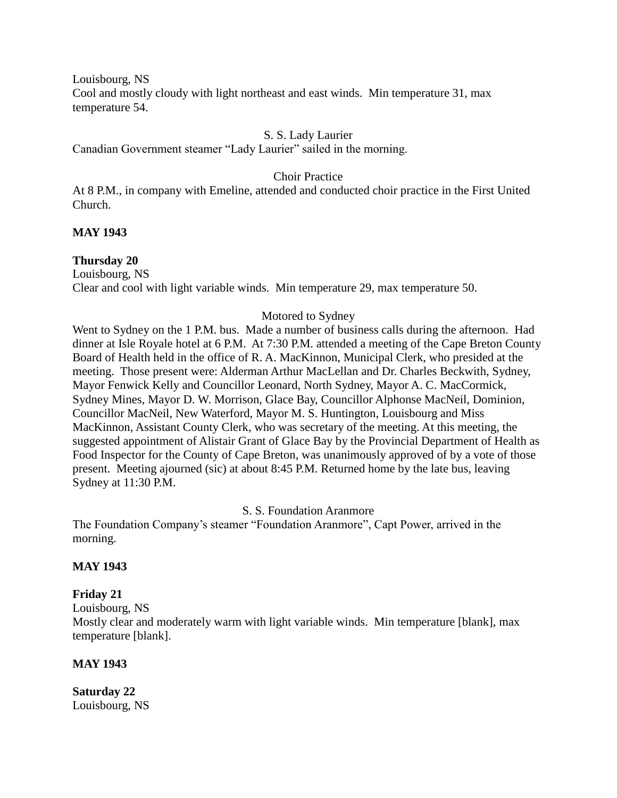Louisbourg, NS Cool and mostly cloudy with light northeast and east winds. Min temperature 31, max temperature 54.

#### S. S. Lady Laurier

Canadian Government steamer "Lady Laurier" sailed in the morning.

# Choir Practice

At 8 P.M., in company with Emeline, attended and conducted choir practice in the First United Church.

# **MAY 1943**

#### **Thursday 20**

Louisbourg, NS Clear and cool with light variable winds. Min temperature 29, max temperature 50.

#### Motored to Sydney

Went to Sydney on the 1 P.M. bus. Made a number of business calls during the afternoon. Had dinner at Isle Royale hotel at 6 P.M. At 7:30 P.M. attended a meeting of the Cape Breton County Board of Health held in the office of R. A. MacKinnon, Municipal Clerk, who presided at the meeting. Those present were: Alderman Arthur MacLellan and Dr. Charles Beckwith, Sydney, Mayor Fenwick Kelly and Councillor Leonard, North Sydney, Mayor A. C. MacCormick, Sydney Mines, Mayor D. W. Morrison, Glace Bay, Councillor Alphonse MacNeil, Dominion, Councillor MacNeil, New Waterford, Mayor M. S. Huntington, Louisbourg and Miss MacKinnon, Assistant County Clerk, who was secretary of the meeting. At this meeting, the suggested appointment of Alistair Grant of Glace Bay by the Provincial Department of Health as Food Inspector for the County of Cape Breton, was unanimously approved of by a vote of those present. Meeting ajourned (sic) at about 8:45 P.M. Returned home by the late bus, leaving Sydney at 11:30 P.M.

#### S. S. Foundation Aranmore

The Foundation Company's steamer "Foundation Aranmore", Capt Power, arrived in the morning.

#### **MAY 1943**

# **Friday 21**

Louisbourg, NS

Mostly clear and moderately warm with light variable winds. Min temperature [blank], max temperature [blank].

#### **MAY 1943**

**Saturday 22** Louisbourg, NS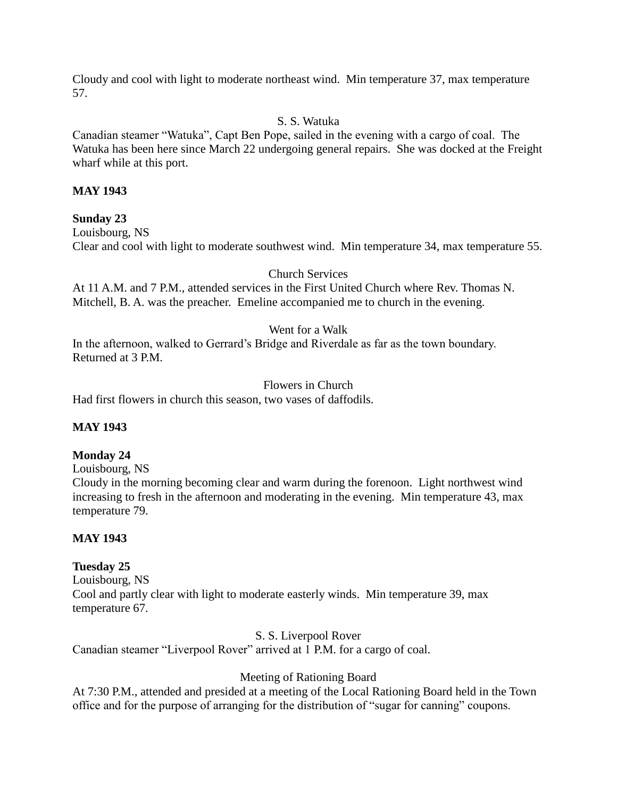Cloudy and cool with light to moderate northeast wind. Min temperature 37, max temperature 57.

# S. S. Watuka

Canadian steamer "Watuka", Capt Ben Pope, sailed in the evening with a cargo of coal. The Watuka has been here since March 22 undergoing general repairs. She was docked at the Freight wharf while at this port.

# **MAY 1943**

# **Sunday 23**

Louisbourg, NS Clear and cool with light to moderate southwest wind. Min temperature 34, max temperature 55.

# Church Services

At 11 A.M. and 7 P.M., attended services in the First United Church where Rev. Thomas N. Mitchell, B. A. was the preacher. Emeline accompanied me to church in the evening.

# Went for a Walk

In the afternoon, walked to Gerrard's Bridge and Riverdale as far as the town boundary. Returned at 3 P.M.

# Flowers in Church

Had first flowers in church this season, two vases of daffodils.

# **MAY 1943**

# **Monday 24**

Louisbourg, NS

Cloudy in the morning becoming clear and warm during the forenoon. Light northwest wind increasing to fresh in the afternoon and moderating in the evening. Min temperature 43, max temperature 79.

# **MAY 1943**

# **Tuesday 25**

Louisbourg, NS Cool and partly clear with light to moderate easterly winds. Min temperature 39, max temperature 67.

# S. S. Liverpool Rover

Canadian steamer "Liverpool Rover" arrived at 1 P.M. for a cargo of coal.

# Meeting of Rationing Board

At 7:30 P.M., attended and presided at a meeting of the Local Rationing Board held in the Town office and for the purpose of arranging for the distribution of "sugar for canning" coupons.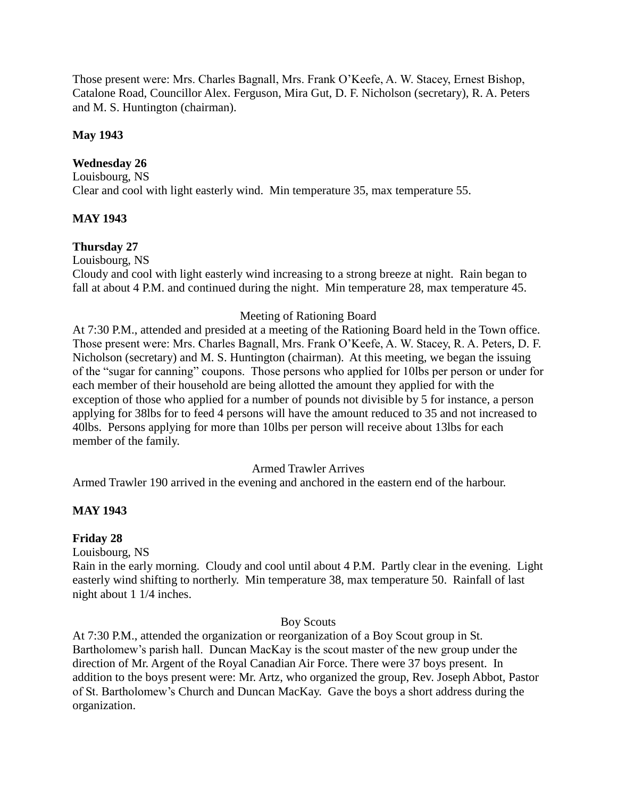Those present were: Mrs. Charles Bagnall, Mrs. Frank O'Keefe, A. W. Stacey, Ernest Bishop, Catalone Road, Councillor Alex. Ferguson, Mira Gut, D. F. Nicholson (secretary), R. A. Peters and M. S. Huntington (chairman).

# **May 1943**

# **Wednesday 26**

Louisbourg, NS Clear and cool with light easterly wind. Min temperature 35, max temperature 55.

# **MAY 1943**

# **Thursday 27**

Louisbourg, NS

Cloudy and cool with light easterly wind increasing to a strong breeze at night. Rain began to fall at about 4 P.M. and continued during the night. Min temperature 28, max temperature 45.

# Meeting of Rationing Board

At 7:30 P.M., attended and presided at a meeting of the Rationing Board held in the Town office. Those present were: Mrs. Charles Bagnall, Mrs. Frank O'Keefe, A. W. Stacey, R. A. Peters, D. F. Nicholson (secretary) and M. S. Huntington (chairman). At this meeting, we began the issuing of the "sugar for canning" coupons. Those persons who applied for 10lbs per person or under for each member of their household are being allotted the amount they applied for with the exception of those who applied for a number of pounds not divisible by 5 for instance, a person applying for 38lbs for to feed 4 persons will have the amount reduced to 35 and not increased to 40lbs. Persons applying for more than 10lbs per person will receive about 13lbs for each member of the family.

# Armed Trawler Arrives

Armed Trawler 190 arrived in the evening and anchored in the eastern end of the harbour.

# **MAY 1943**

# **Friday 28**

Louisbourg, NS

Rain in the early morning. Cloudy and cool until about 4 P.M. Partly clear in the evening. Light easterly wind shifting to northerly. Min temperature 38, max temperature 50. Rainfall of last night about 1 1/4 inches.

# Boy Scouts

At 7:30 P.M., attended the organization or reorganization of a Boy Scout group in St. Bartholomew's parish hall. Duncan MacKay is the scout master of the new group under the direction of Mr. Argent of the Royal Canadian Air Force. There were 37 boys present. In addition to the boys present were: Mr. Artz, who organized the group, Rev. Joseph Abbot, Pastor of St. Bartholomew's Church and Duncan MacKay. Gave the boys a short address during the organization.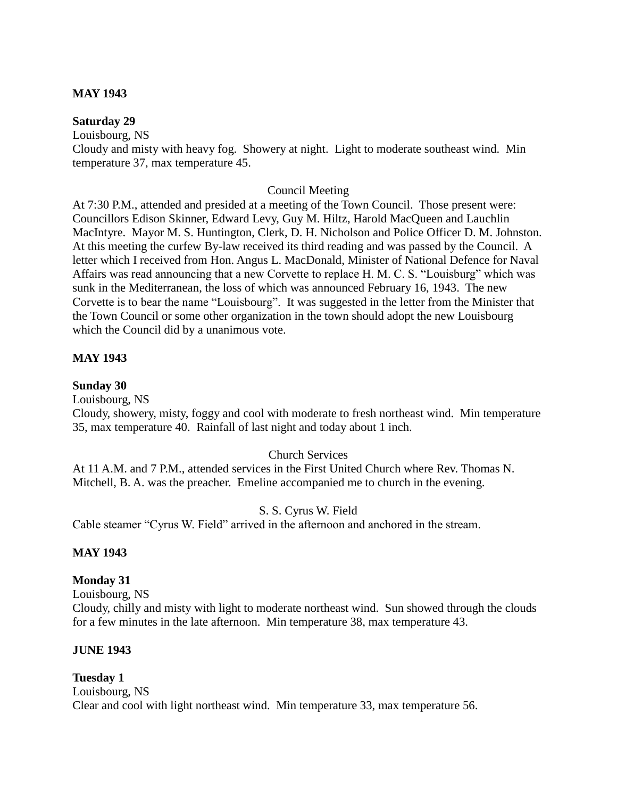# **MAY 1943**

#### **Saturday 29**

Louisbourg, NS

Cloudy and misty with heavy fog. Showery at night. Light to moderate southeast wind. Min temperature 37, max temperature 45.

# Council Meeting

At 7:30 P.M., attended and presided at a meeting of the Town Council. Those present were: Councillors Edison Skinner, Edward Levy, Guy M. Hiltz, Harold MacQueen and Lauchlin MacIntyre. Mayor M. S. Huntington, Clerk, D. H. Nicholson and Police Officer D. M. Johnston. At this meeting the curfew By-law received its third reading and was passed by the Council. A letter which I received from Hon. Angus L. MacDonald, Minister of National Defence for Naval Affairs was read announcing that a new Corvette to replace H. M. C. S. "Louisburg" which was sunk in the Mediterranean, the loss of which was announced February 16, 1943. The new Corvette is to bear the name "Louisbourg". It was suggested in the letter from the Minister that the Town Council or some other organization in the town should adopt the new Louisbourg which the Council did by a unanimous vote.

# **MAY 1943**

# **Sunday 30**

Louisbourg, NS

Cloudy, showery, misty, foggy and cool with moderate to fresh northeast wind. Min temperature 35, max temperature 40. Rainfall of last night and today about 1 inch.

# Church Services

At 11 A.M. and 7 P.M., attended services in the First United Church where Rev. Thomas N. Mitchell, B. A. was the preacher. Emeline accompanied me to church in the evening.

# S. S. Cyrus W. Field

Cable steamer "Cyrus W. Field" arrived in the afternoon and anchored in the stream.

# **MAY 1943**

# **Monday 31**

Louisbourg, NS

Cloudy, chilly and misty with light to moderate northeast wind. Sun showed through the clouds for a few minutes in the late afternoon. Min temperature 38, max temperature 43.

# **JUNE 1943**

# **Tuesday 1**

Louisbourg, NS Clear and cool with light northeast wind. Min temperature 33, max temperature 56.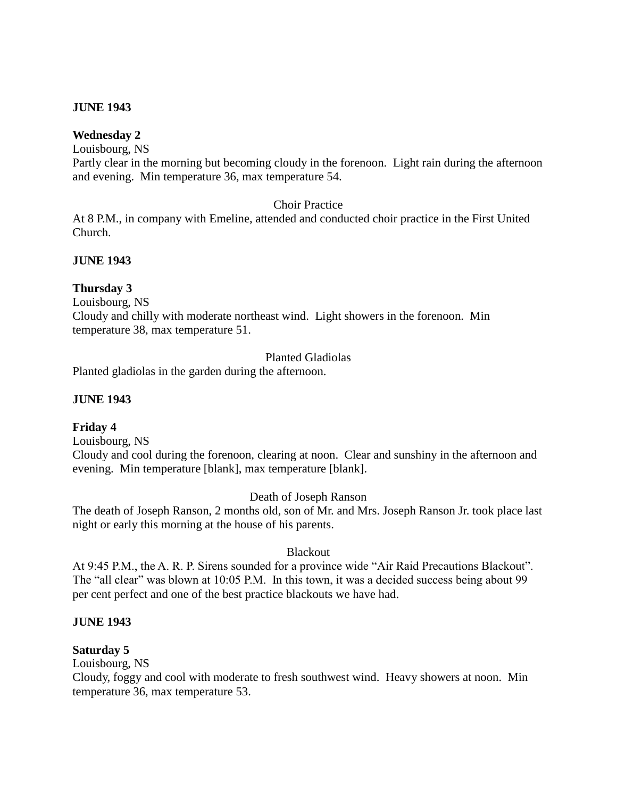# **JUNE 1943**

# **Wednesday 2**

Louisbourg, NS

Partly clear in the morning but becoming cloudy in the forenoon. Light rain during the afternoon and evening. Min temperature 36, max temperature 54.

# Choir Practice

At 8 P.M., in company with Emeline, attended and conducted choir practice in the First United Church.

# **JUNE 1943**

# **Thursday 3**

Louisbourg, NS

Cloudy and chilly with moderate northeast wind. Light showers in the forenoon. Min temperature 38, max temperature 51.

# Planted Gladiolas

Planted gladiolas in the garden during the afternoon.

# **JUNE 1943**

# **Friday 4**

Louisbourg, NS

Cloudy and cool during the forenoon, clearing at noon. Clear and sunshiny in the afternoon and evening. Min temperature [blank], max temperature [blank].

# Death of Joseph Ranson

The death of Joseph Ranson, 2 months old, son of Mr. and Mrs. Joseph Ranson Jr. took place last night or early this morning at the house of his parents.

# Blackout

At 9:45 P.M., the A. R. P. Sirens sounded for a province wide "Air Raid Precautions Blackout". The "all clear" was blown at 10:05 P.M. In this town, it was a decided success being about 99 per cent perfect and one of the best practice blackouts we have had.

# **JUNE 1943**

# **Saturday 5**

Louisbourg, NS

Cloudy, foggy and cool with moderate to fresh southwest wind. Heavy showers at noon. Min temperature 36, max temperature 53.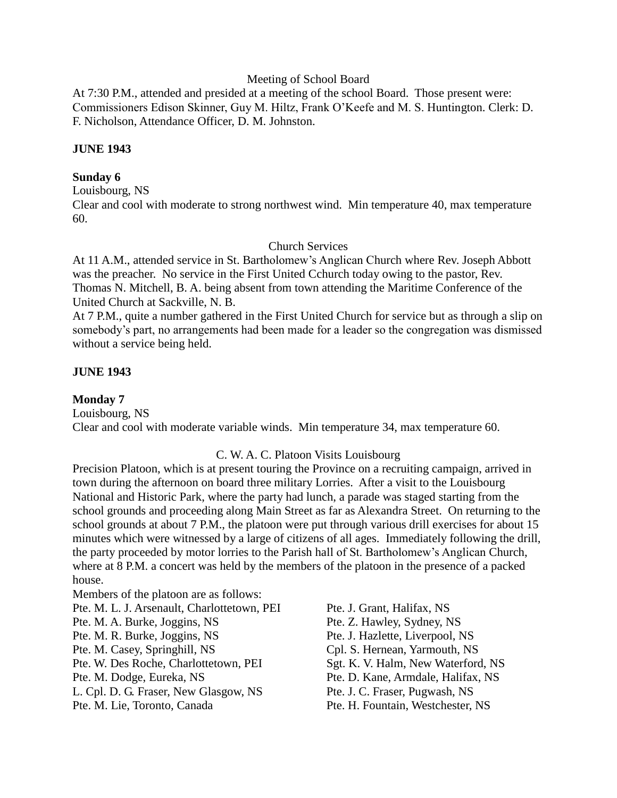Meeting of School Board

At 7:30 P.M., attended and presided at a meeting of the school Board. Those present were: Commissioners Edison Skinner, Guy M. Hiltz, Frank O'Keefe and M. S. Huntington. Clerk: D. F. Nicholson, Attendance Officer, D. M. Johnston.

# **JUNE 1943**

# **Sunday 6**

Louisbourg, NS

Clear and cool with moderate to strong northwest wind. Min temperature 40, max temperature 60.

# Church Services

At 11 A.M., attended service in St. Bartholomew's Anglican Church where Rev. Joseph Abbott was the preacher. No service in the First United Cchurch today owing to the pastor, Rev. Thomas N. Mitchell, B. A. being absent from town attending the Maritime Conference of the United Church at Sackville, N. B.

At 7 P.M., quite a number gathered in the First United Church for service but as through a slip on somebody's part, no arrangements had been made for a leader so the congregation was dismissed without a service being held.

# **JUNE 1943**

**Monday 7** Louisbourg, NS Clear and cool with moderate variable winds. Min temperature 34, max temperature 60.

# C. W. A. C. Platoon Visits Louisbourg

Precision Platoon, which is at present touring the Province on a recruiting campaign, arrived in town during the afternoon on board three military Lorries. After a visit to the Louisbourg National and Historic Park, where the party had lunch, a parade was staged starting from the school grounds and proceeding along Main Street as far as Alexandra Street. On returning to the school grounds at about 7 P.M., the platoon were put through various drill exercises for about 15 minutes which were witnessed by a large of citizens of all ages. Immediately following the drill, the party proceeded by motor lorries to the Parish hall of St. Bartholomew's Anglican Church, where at 8 P.M. a concert was held by the members of the platoon in the presence of a packed house.

Members of the platoon are as follows: Pte. M. L. J. Arsenault, Charlottetown, PEI Pte. J. Grant, Halifax, NS Pte. M. A. Burke, Joggins, NS Pte. Z. Hawley, Sydney, NS Pte. M. R. Burke, Joggins, NS Pte. J. Hazlette, Liverpool, NS Pte. M. Casey, Springhill, NS Cpl. S. Hernean, Yarmouth, NS Pte. W. Des Roche, Charlottetown, PEI Sgt. K. V. Halm, New Waterford, NS Pte. M. Dodge, Eureka, NS Pte. D. Kane, Armdale, Halifax, NS L. Cpl. D. G. Fraser, New Glasgow, NS Pte. J. C. Fraser, Pugwash, NS Pte. M. Lie, Toronto, Canada Pte. H. Fountain, Westchester, NS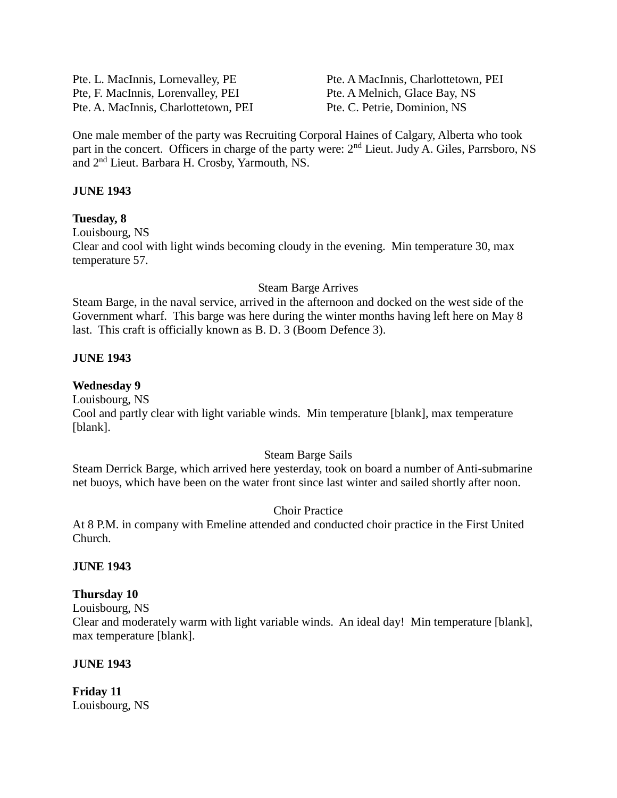Pte. L. MacInnis, Lornevalley, PE Pte. A MacInnis, Charlottetown, PEI Pte, F. MacInnis, Lorenvalley, PEI Pte. A Melnich, Glace Bay, NS Pte. A. MacInnis, Charlottetown, PEI Pte. C. Petrie, Dominion, NS

One male member of the party was Recruiting Corporal Haines of Calgary, Alberta who took part in the concert. Officers in charge of the party were: 2<sup>nd</sup> Lieut. Judy A. Giles, Parrsboro, NS and 2nd Lieut. Barbara H. Crosby, Yarmouth, NS.

# **JUNE 1943**

#### **Tuesday, 8**

Louisbourg, NS Clear and cool with light winds becoming cloudy in the evening. Min temperature 30, max temperature 57.

#### Steam Barge Arrives

Steam Barge, in the naval service, arrived in the afternoon and docked on the west side of the Government wharf. This barge was here during the winter months having left here on May 8 last. This craft is officially known as B. D. 3 (Boom Defence 3).

#### **JUNE 1943**

#### **Wednesday 9**

Louisbourg, NS

Cool and partly clear with light variable winds. Min temperature [blank], max temperature [blank].

#### Steam Barge Sails

Steam Derrick Barge, which arrived here yesterday, took on board a number of Anti-submarine net buoys, which have been on the water front since last winter and sailed shortly after noon.

# Choir Practice

At 8 P.M. in company with Emeline attended and conducted choir practice in the First United Church.

#### **JUNE 1943**

# **Thursday 10**

Louisbourg, NS

Clear and moderately warm with light variable winds. An ideal day! Min temperature [blank], max temperature [blank].

#### **JUNE 1943**

**Friday 11** Louisbourg, NS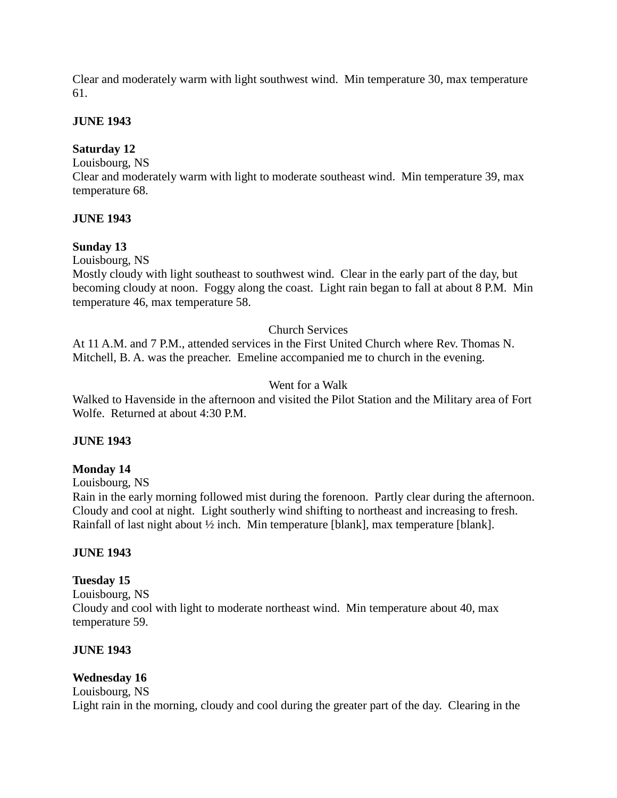Clear and moderately warm with light southwest wind. Min temperature 30, max temperature 61.

# **JUNE 1943**

# **Saturday 12**

# Louisbourg, NS

Clear and moderately warm with light to moderate southeast wind. Min temperature 39, max temperature 68.

# **JUNE 1943**

# **Sunday 13**

Louisbourg, NS

Mostly cloudy with light southeast to southwest wind. Clear in the early part of the day, but becoming cloudy at noon. Foggy along the coast. Light rain began to fall at about 8 P.M. Min temperature 46, max temperature 58.

# Church Services

At 11 A.M. and 7 P.M., attended services in the First United Church where Rev. Thomas N. Mitchell, B. A. was the preacher. Emeline accompanied me to church in the evening.

# Went for a Walk

Walked to Havenside in the afternoon and visited the Pilot Station and the Military area of Fort Wolfe. Returned at about 4:30 P.M.

# **JUNE 1943**

# **Monday 14**

Louisbourg, NS

Rain in the early morning followed mist during the forenoon. Partly clear during the afternoon. Cloudy and cool at night. Light southerly wind shifting to northeast and increasing to fresh. Rainfall of last night about ½ inch. Min temperature [blank], max temperature [blank].

# **JUNE 1943**

# **Tuesday 15**

Louisbourg, NS Cloudy and cool with light to moderate northeast wind. Min temperature about 40, max temperature 59.

# **JUNE 1943**

# **Wednesday 16**

Louisbourg, NS

Light rain in the morning, cloudy and cool during the greater part of the day. Clearing in the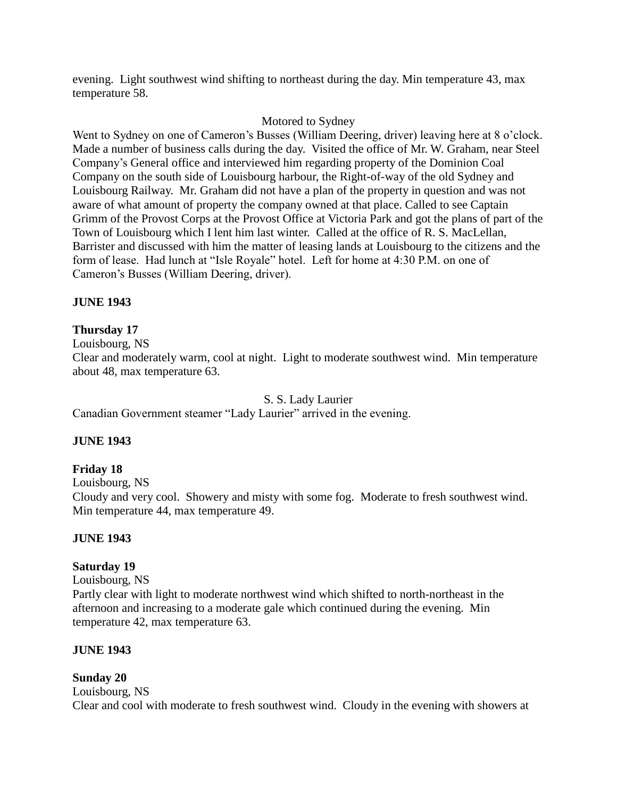evening. Light southwest wind shifting to northeast during the day. Min temperature 43, max temperature 58.

# Motored to Sydney

Went to Sydney on one of Cameron's Busses (William Deering, driver) leaving here at 8 o'clock. Made a number of business calls during the day. Visited the office of Mr. W. Graham, near Steel Company's General office and interviewed him regarding property of the Dominion Coal Company on the south side of Louisbourg harbour, the Right-of-way of the old Sydney and Louisbourg Railway. Mr. Graham did not have a plan of the property in question and was not aware of what amount of property the company owned at that place. Called to see Captain Grimm of the Provost Corps at the Provost Office at Victoria Park and got the plans of part of the Town of Louisbourg which I lent him last winter. Called at the office of R. S. MacLellan, Barrister and discussed with him the matter of leasing lands at Louisbourg to the citizens and the form of lease. Had lunch at "Isle Royale" hotel. Left for home at 4:30 P.M. on one of Cameron's Busses (William Deering, driver).

# **JUNE 1943**

# **Thursday 17**

Louisbourg, NS

Clear and moderately warm, cool at night. Light to moderate southwest wind. Min temperature about 48, max temperature 63.

S. S. Lady Laurier

Canadian Government steamer "Lady Laurier" arrived in the evening.

# **JUNE 1943**

# **Friday 18**

Louisbourg, NS

Cloudy and very cool. Showery and misty with some fog. Moderate to fresh southwest wind. Min temperature 44, max temperature 49.

# **JUNE 1943**

# **Saturday 19**

Louisbourg, NS

Partly clear with light to moderate northwest wind which shifted to north-northeast in the afternoon and increasing to a moderate gale which continued during the evening. Min temperature 42, max temperature 63.

# **JUNE 1943**

# **Sunday 20**

Louisbourg, NS Clear and cool with moderate to fresh southwest wind. Cloudy in the evening with showers at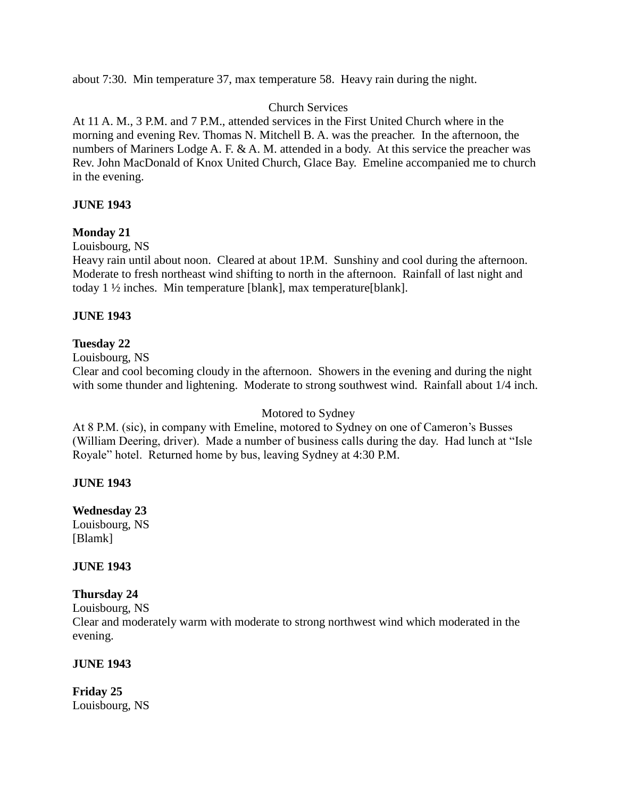about 7:30. Min temperature 37, max temperature 58. Heavy rain during the night.

# Church Services

At 11 A. M., 3 P.M. and 7 P.M., attended services in the First United Church where in the morning and evening Rev. Thomas N. Mitchell B. A. was the preacher. In the afternoon, the numbers of Mariners Lodge A. F. & A. M. attended in a body. At this service the preacher was Rev. John MacDonald of Knox United Church, Glace Bay. Emeline accompanied me to church in the evening.

# **JUNE 1943**

# **Monday 21**

# Louisbourg, NS

Heavy rain until about noon. Cleared at about 1P.M. Sunshiny and cool during the afternoon. Moderate to fresh northeast wind shifting to north in the afternoon. Rainfall of last night and today 1 ½ inches. Min temperature [blank], max temperature[blank].

# **JUNE 1943**

# **Tuesday 22**

Louisbourg, NS

Clear and cool becoming cloudy in the afternoon. Showers in the evening and during the night with some thunder and lightening. Moderate to strong southwest wind. Rainfall about  $1/4$  inch.

# Motored to Sydney

At 8 P.M. (sic), in company with Emeline, motored to Sydney on one of Cameron's Busses (William Deering, driver). Made a number of business calls during the day. Had lunch at "Isle Royale" hotel. Returned home by bus, leaving Sydney at 4:30 P.M.

# **JUNE 1943**

**Wednesday 23** Louisbourg, NS [Blamk]

# **JUNE 1943**

# **Thursday 24**

Louisbourg, NS

Clear and moderately warm with moderate to strong northwest wind which moderated in the evening.

# **JUNE 1943**

**Friday 25** Louisbourg, NS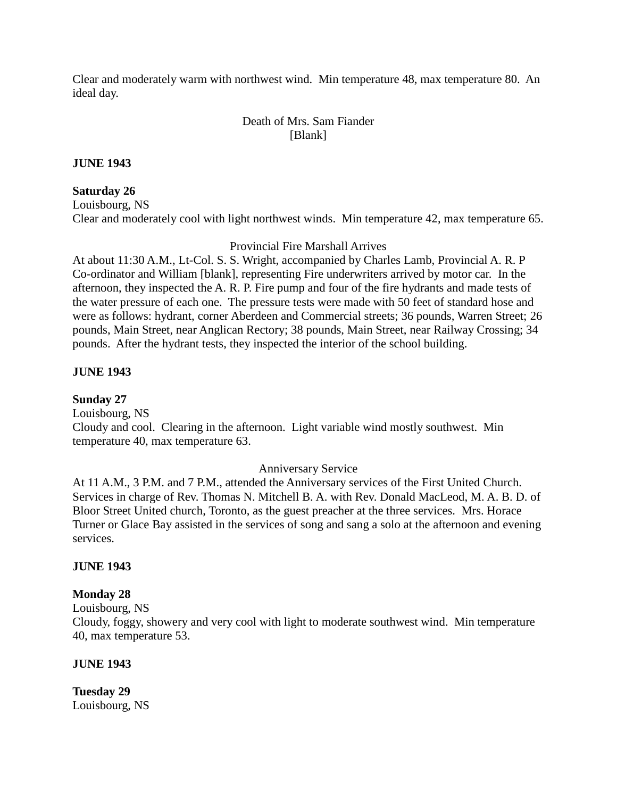Clear and moderately warm with northwest wind. Min temperature 48, max temperature 80. An ideal day.

# Death of Mrs. Sam Fiander [Blank]

#### **JUNE 1943**

#### **Saturday 26**

Louisbourg, NS Clear and moderately cool with light northwest winds. Min temperature 42, max temperature 65.

#### Provincial Fire Marshall Arrives

At about 11:30 A.M., Lt-Col. S. S. Wright, accompanied by Charles Lamb, Provincial A. R. P Co-ordinator and William [blank], representing Fire underwriters arrived by motor car. In the afternoon, they inspected the A. R. P. Fire pump and four of the fire hydrants and made tests of the water pressure of each one. The pressure tests were made with 50 feet of standard hose and were as follows: hydrant, corner Aberdeen and Commercial streets; 36 pounds, Warren Street; 26 pounds, Main Street, near Anglican Rectory; 38 pounds, Main Street, near Railway Crossing; 34 pounds. After the hydrant tests, they inspected the interior of the school building.

# **JUNE 1943**

**Sunday 27** Louisbourg, NS Cloudy and cool. Clearing in the afternoon. Light variable wind mostly southwest. Min temperature 40, max temperature 63.

# Anniversary Service

At 11 A.M., 3 P.M. and 7 P.M., attended the Anniversary services of the First United Church. Services in charge of Rev. Thomas N. Mitchell B. A. with Rev. Donald MacLeod, M. A. B. D. of Bloor Street United church, Toronto, as the guest preacher at the three services. Mrs. Horace Turner or Glace Bay assisted in the services of song and sang a solo at the afternoon and evening services.

#### **JUNE 1943**

# **Monday 28**

Louisbourg, NS

Cloudy, foggy, showery and very cool with light to moderate southwest wind. Min temperature 40, max temperature 53.

#### **JUNE 1943**

**Tuesday 29** Louisbourg, NS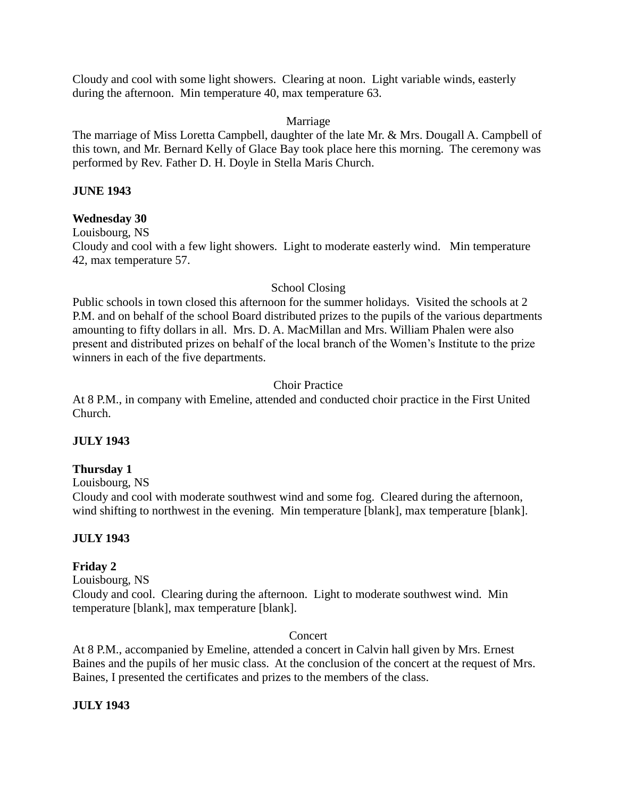Cloudy and cool with some light showers. Clearing at noon. Light variable winds, easterly during the afternoon. Min temperature 40, max temperature 63.

# Marriage

The marriage of Miss Loretta Campbell, daughter of the late Mr. & Mrs. Dougall A. Campbell of this town, and Mr. Bernard Kelly of Glace Bay took place here this morning. The ceremony was performed by Rev. Father D. H. Doyle in Stella Maris Church.

# **JUNE 1943**

# **Wednesday 30**

Louisbourg, NS Cloudy and cool with a few light showers. Light to moderate easterly wind. Min temperature 42, max temperature 57.

# School Closing

Public schools in town closed this afternoon for the summer holidays. Visited the schools at 2 P.M. and on behalf of the school Board distributed prizes to the pupils of the various departments amounting to fifty dollars in all. Mrs. D. A. MacMillan and Mrs. William Phalen were also present and distributed prizes on behalf of the local branch of the Women's Institute to the prize winners in each of the five departments.

# Choir Practice

At 8 P.M., in company with Emeline, attended and conducted choir practice in the First United Church.

# **JULY 1943**

# **Thursday 1**

Louisbourg, NS

Cloudy and cool with moderate southwest wind and some fog. Cleared during the afternoon, wind shifting to northwest in the evening. Min temperature [blank], max temperature [blank].

# **JULY 1943**

# **Friday 2**

Louisbourg, NS

Cloudy and cool. Clearing during the afternoon. Light to moderate southwest wind. Min temperature [blank], max temperature [blank].

# Concert

At 8 P.M., accompanied by Emeline, attended a concert in Calvin hall given by Mrs. Ernest Baines and the pupils of her music class. At the conclusion of the concert at the request of Mrs. Baines, I presented the certificates and prizes to the members of the class.

# **JULY 1943**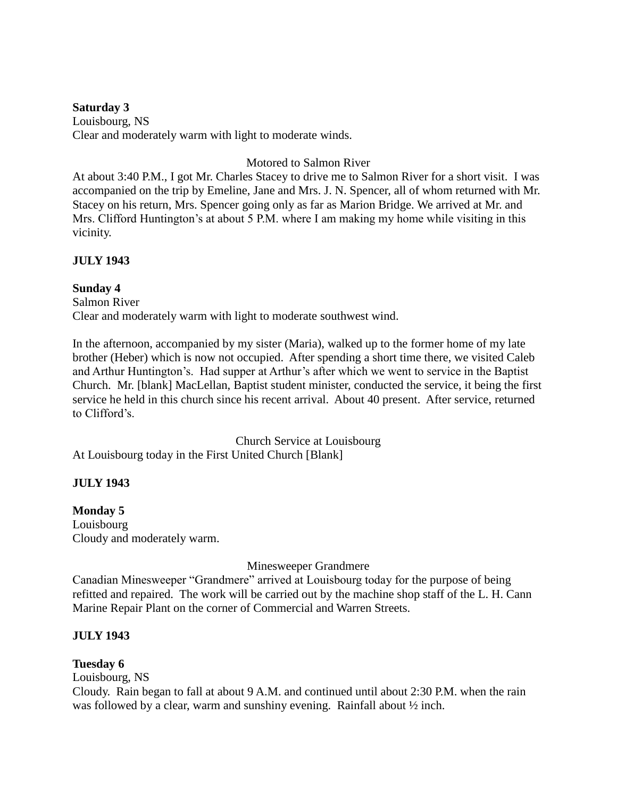**Saturday 3** Louisbourg, NS Clear and moderately warm with light to moderate winds.

# Motored to Salmon River

At about 3:40 P.M., I got Mr. Charles Stacey to drive me to Salmon River for a short visit. I was accompanied on the trip by Emeline, Jane and Mrs. J. N. Spencer, all of whom returned with Mr. Stacey on his return, Mrs. Spencer going only as far as Marion Bridge. We arrived at Mr. and Mrs. Clifford Huntington's at about 5 P.M. where I am making my home while visiting in this vicinity.

# **JULY 1943**

**Sunday 4** Salmon River Clear and moderately warm with light to moderate southwest wind.

In the afternoon, accompanied by my sister (Maria), walked up to the former home of my late brother (Heber) which is now not occupied. After spending a short time there, we visited Caleb and Arthur Huntington's. Had supper at Arthur's after which we went to service in the Baptist Church. Mr. [blank] MacLellan, Baptist student minister, conducted the service, it being the first service he held in this church since his recent arrival. About 40 present. After service, returned to Clifford's.

Church Service at Louisbourg At Louisbourg today in the First United Church [Blank]

# **JULY 1943**

# **Monday 5**

Louisbourg Cloudy and moderately warm.

Minesweeper Grandmere

Canadian Minesweeper "Grandmere" arrived at Louisbourg today for the purpose of being refitted and repaired. The work will be carried out by the machine shop staff of the L. H. Cann Marine Repair Plant on the corner of Commercial and Warren Streets.

# **JULY 1943**

# **Tuesday 6**

Louisbourg, NS

Cloudy. Rain began to fall at about 9 A.M. and continued until about 2:30 P.M. when the rain was followed by a clear, warm and sunshiny evening. Rainfall about ½ inch.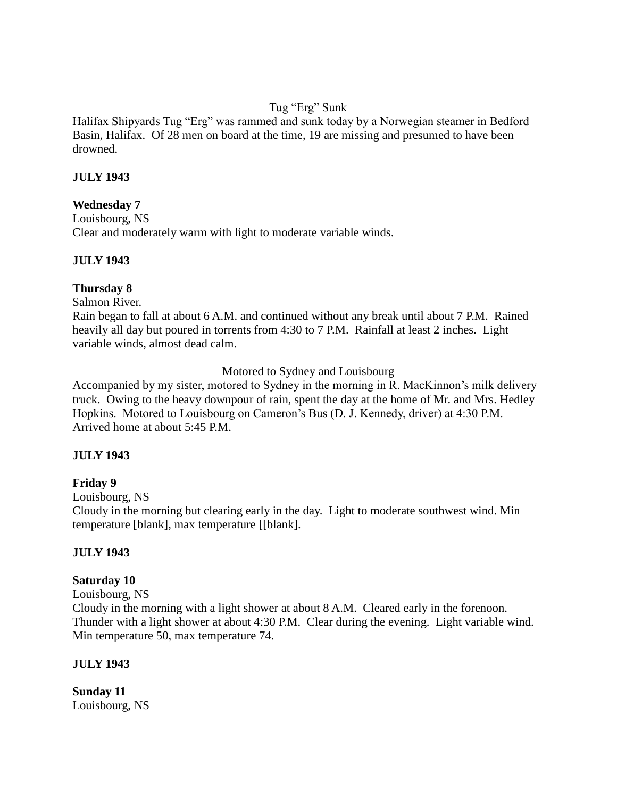# Tug "Erg" Sunk

Halifax Shipyards Tug "Erg" was rammed and sunk today by a Norwegian steamer in Bedford Basin, Halifax. Of 28 men on board at the time, 19 are missing and presumed to have been drowned.

# **JULY 1943**

# **Wednesday 7**

Louisbourg, NS Clear and moderately warm with light to moderate variable winds.

# **JULY 1943**

# **Thursday 8**

Salmon River.

Rain began to fall at about 6 A.M. and continued without any break until about 7 P.M. Rained heavily all day but poured in torrents from 4:30 to 7 P.M. Rainfall at least 2 inches. Light variable winds, almost dead calm.

# Motored to Sydney and Louisbourg

Accompanied by my sister, motored to Sydney in the morning in R. MacKinnon's milk delivery truck. Owing to the heavy downpour of rain, spent the day at the home of Mr. and Mrs. Hedley Hopkins. Motored to Louisbourg on Cameron's Bus (D. J. Kennedy, driver) at 4:30 P.M. Arrived home at about 5:45 P.M.

# **JULY 1943**

# **Friday 9**

Louisbourg, NS

Cloudy in the morning but clearing early in the day. Light to moderate southwest wind. Min temperature [blank], max temperature [[blank].

# **JULY 1943**

# **Saturday 10**

Louisbourg, NS

Cloudy in the morning with a light shower at about 8 A.M. Cleared early in the forenoon. Thunder with a light shower at about 4:30 P.M. Clear during the evening. Light variable wind. Min temperature 50, max temperature 74.

# **JULY 1943**

**Sunday 11** Louisbourg, NS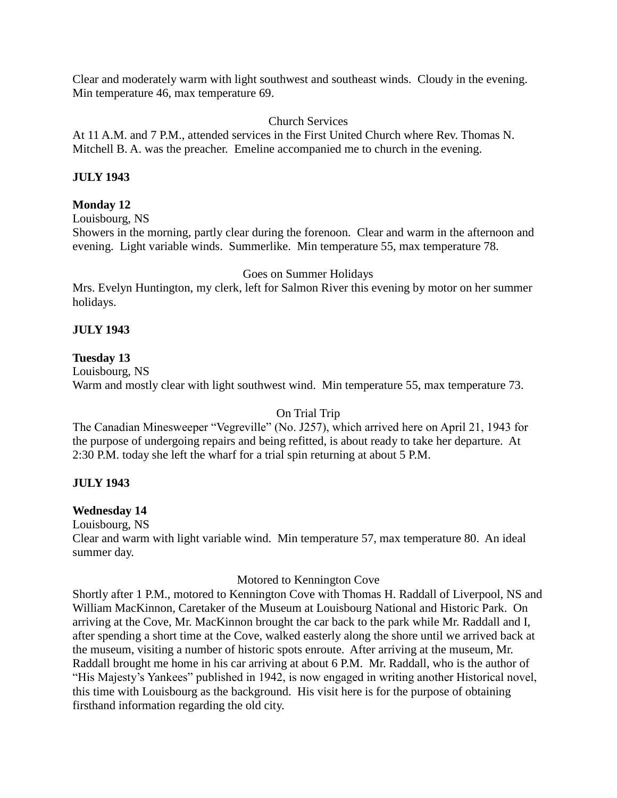Clear and moderately warm with light southwest and southeast winds. Cloudy in the evening. Min temperature 46, max temperature 69.

# Church Services

At 11 A.M. and 7 P.M., attended services in the First United Church where Rev. Thomas N. Mitchell B. A. was the preacher. Emeline accompanied me to church in the evening.

# **JULY 1943**

# **Monday 12**

Louisbourg, NS

Showers in the morning, partly clear during the forenoon. Clear and warm in the afternoon and evening. Light variable winds. Summerlike. Min temperature 55, max temperature 78.

# Goes on Summer Holidays

Mrs. Evelyn Huntington, my clerk, left for Salmon River this evening by motor on her summer holidays.

# **JULY 1943**

# **Tuesday 13**

Louisbourg, NS Warm and mostly clear with light southwest wind. Min temperature 55, max temperature 73.

# On Trial Trip

The Canadian Minesweeper "Vegreville" (No. J257), which arrived here on April 21, 1943 for the purpose of undergoing repairs and being refitted, is about ready to take her departure. At 2:30 P.M. today she left the wharf for a trial spin returning at about 5 P.M.

# **JULY 1943**

# **Wednesday 14**

Louisbourg, NS

Clear and warm with light variable wind. Min temperature 57, max temperature 80. An ideal summer day.

# Motored to Kennington Cove

Shortly after 1 P.M., motored to Kennington Cove with Thomas H. Raddall of Liverpool, NS and William MacKinnon, Caretaker of the Museum at Louisbourg National and Historic Park. On arriving at the Cove, Mr. MacKinnon brought the car back to the park while Mr. Raddall and I, after spending a short time at the Cove, walked easterly along the shore until we arrived back at the museum, visiting a number of historic spots enroute. After arriving at the museum, Mr. Raddall brought me home in his car arriving at about 6 P.M. Mr. Raddall, who is the author of "His Majesty's Yankees" published in 1942, is now engaged in writing another Historical novel, this time with Louisbourg as the background. His visit here is for the purpose of obtaining firsthand information regarding the old city.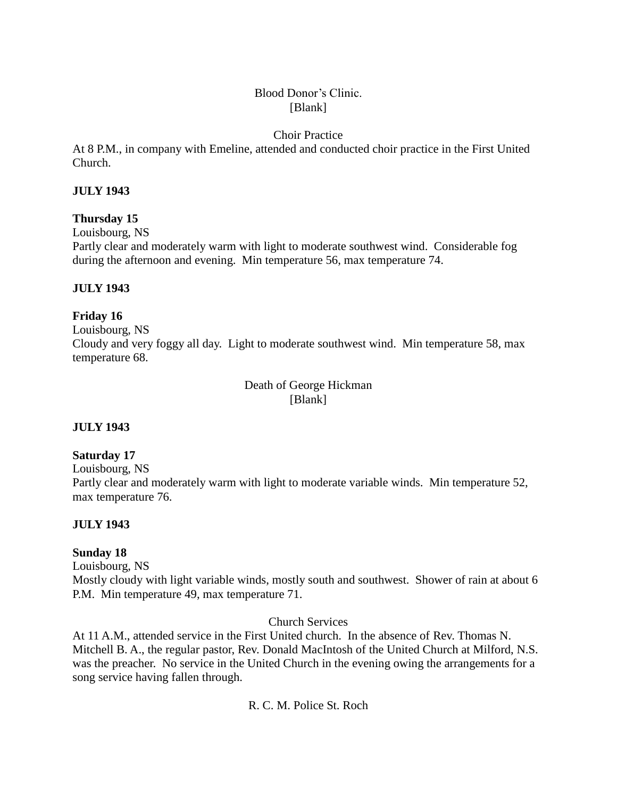# Blood Donor's Clinic. [Blank]

# Choir Practice

At 8 P.M., in company with Emeline, attended and conducted choir practice in the First United Church.

# **JULY 1943**

# **Thursday 15**

Louisbourg, NS

Partly clear and moderately warm with light to moderate southwest wind. Considerable fog during the afternoon and evening. Min temperature 56, max temperature 74.

# **JULY 1943**

# **Friday 16**

Louisbourg, NS Cloudy and very foggy all day. Light to moderate southwest wind. Min temperature 58, max temperature 68.

> Death of George Hickman [Blank]

# **JULY 1943**

# **Saturday 17**

Louisbourg, NS

Partly clear and moderately warm with light to moderate variable winds. Min temperature 52, max temperature 76.

# **JULY 1943**

# **Sunday 18**

Louisbourg, NS

Mostly cloudy with light variable winds, mostly south and southwest. Shower of rain at about 6 P.M. Min temperature 49, max temperature 71.

# Church Services

At 11 A.M., attended service in the First United church. In the absence of Rev. Thomas N. Mitchell B. A., the regular pastor, Rev. Donald MacIntosh of the United Church at Milford, N.S. was the preacher. No service in the United Church in the evening owing the arrangements for a song service having fallen through.

R. C. M. Police St. Roch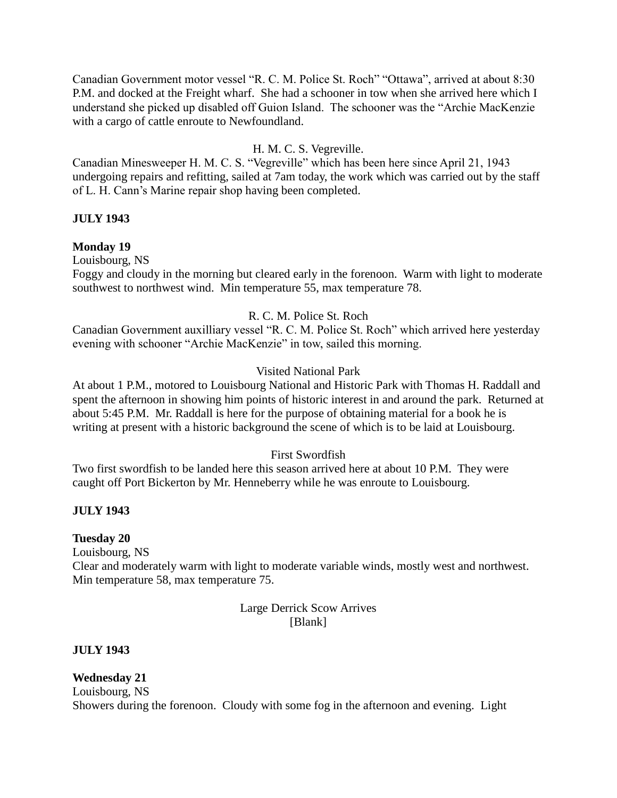Canadian Government motor vessel "R. C. M. Police St. Roch" "Ottawa", arrived at about 8:30 P.M. and docked at the Freight wharf. She had a schooner in tow when she arrived here which I understand she picked up disabled off Guion Island. The schooner was the "Archie MacKenzie with a cargo of cattle enroute to Newfoundland.

# H. M. C. S. Vegreville.

Canadian Minesweeper H. M. C. S. "Vegreville" which has been here since April 21, 1943 undergoing repairs and refitting, sailed at 7am today, the work which was carried out by the staff of L. H. Cann's Marine repair shop having been completed.

# **JULY 1943**

# **Monday 19**

Louisbourg, NS

Foggy and cloudy in the morning but cleared early in the forenoon. Warm with light to moderate southwest to northwest wind. Min temperature 55, max temperature 78.

# R. C. M. Police St. Roch

Canadian Government auxilliary vessel "R. C. M. Police St. Roch" which arrived here yesterday evening with schooner "Archie MacKenzie" in tow, sailed this morning.

# Visited National Park

At about 1 P.M., motored to Louisbourg National and Historic Park with Thomas H. Raddall and spent the afternoon in showing him points of historic interest in and around the park. Returned at about 5:45 P.M. Mr. Raddall is here for the purpose of obtaining material for a book he is writing at present with a historic background the scene of which is to be laid at Louisbourg.

# First Swordfish

Two first swordfish to be landed here this season arrived here at about 10 P.M. They were caught off Port Bickerton by Mr. Henneberry while he was enroute to Louisbourg.

# **JULY 1943**

# **Tuesday 20**

Louisbourg, NS

Clear and moderately warm with light to moderate variable winds, mostly west and northwest. Min temperature 58, max temperature 75.

#### Large Derrick Scow Arrives [Blank]

# **JULY 1943**

**Wednesday 21** Louisbourg, NS Showers during the forenoon. Cloudy with some fog in the afternoon and evening. Light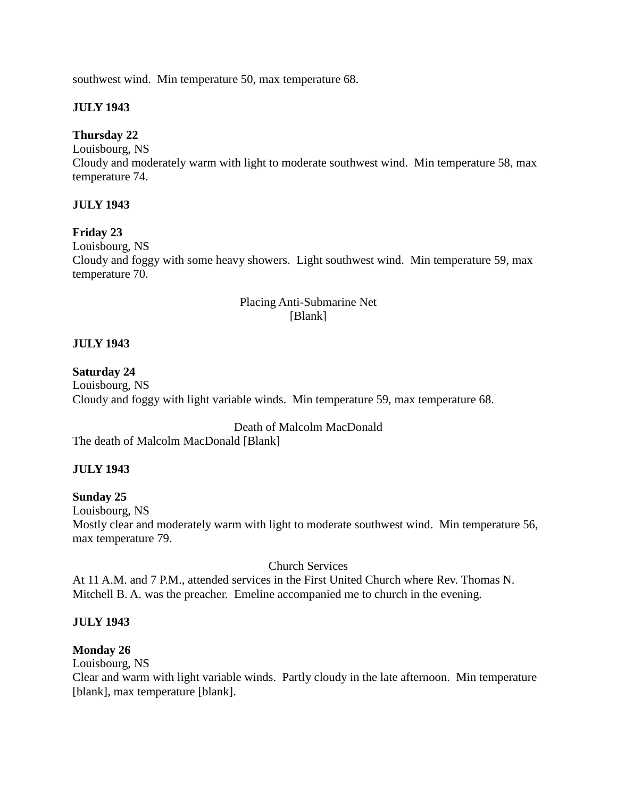southwest wind. Min temperature 50, max temperature 68.

# **JULY 1943**

# **Thursday 22**

Louisbourg, NS Cloudy and moderately warm with light to moderate southwest wind. Min temperature 58, max temperature 74.

# **JULY 1943**

# **Friday 23**

Louisbourg, NS

Cloudy and foggy with some heavy showers. Light southwest wind. Min temperature 59, max temperature 70.

# Placing Anti-Submarine Net [Blank]

# **JULY 1943**

# **Saturday 24**

Louisbourg, NS Cloudy and foggy with light variable winds. Min temperature 59, max temperature 68.

Death of Malcolm MacDonald

The death of Malcolm MacDonald [Blank]

# **JULY 1943**

# **Sunday 25**

Louisbourg, NS

Mostly clear and moderately warm with light to moderate southwest wind. Min temperature 56, max temperature 79.

# Church Services

At 11 A.M. and 7 P.M., attended services in the First United Church where Rev. Thomas N. Mitchell B. A. was the preacher. Emeline accompanied me to church in the evening.

# **JULY 1943**

# **Monday 26**

Louisbourg, NS

Clear and warm with light variable winds. Partly cloudy in the late afternoon. Min temperature [blank], max temperature [blank].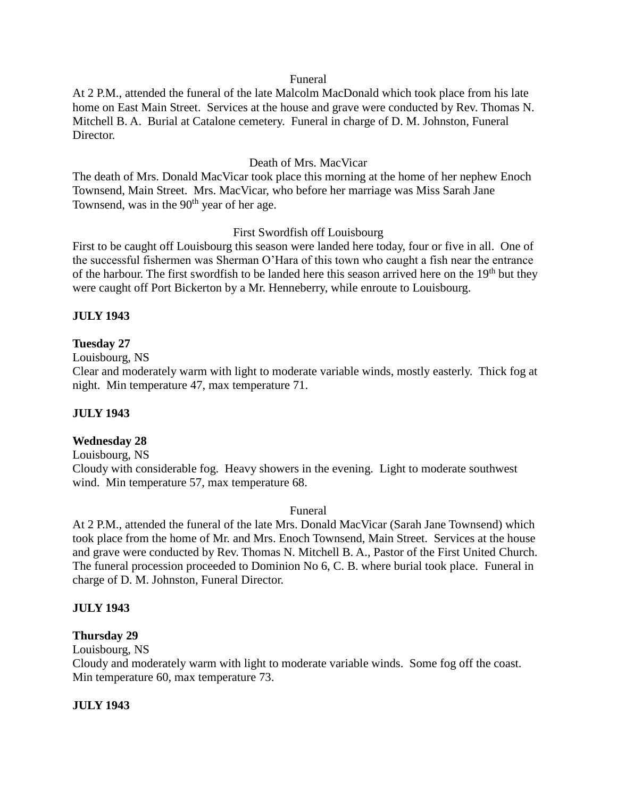#### Funeral

At 2 P.M., attended the funeral of the late Malcolm MacDonald which took place from his late home on East Main Street. Services at the house and grave were conducted by Rev. Thomas N. Mitchell B. A. Burial at Catalone cemetery. Funeral in charge of D. M. Johnston, Funeral Director.

# Death of Mrs. MacVicar

The death of Mrs. Donald MacVicar took place this morning at the home of her nephew Enoch Townsend, Main Street. Mrs. MacVicar, who before her marriage was Miss Sarah Jane Townsend, was in the  $90<sup>th</sup>$  year of her age.

# First Swordfish off Louisbourg

First to be caught off Louisbourg this season were landed here today, four or five in all. One of the successful fishermen was Sherman O'Hara of this town who caught a fish near the entrance of the harbour. The first swordfish to be landed here this season arrived here on the 19<sup>th</sup> but they were caught off Port Bickerton by a Mr. Henneberry, while enroute to Louisbourg.

# **JULY 1943**

# **Tuesday 27**

Louisbourg, NS

Clear and moderately warm with light to moderate variable winds, mostly easterly. Thick fog at night. Min temperature 47, max temperature 71.

# **JULY 1943**

# **Wednesday 28**

Louisbourg, NS

Cloudy with considerable fog. Heavy showers in the evening. Light to moderate southwest wind. Min temperature 57, max temperature 68.

# Funeral

At 2 P.M., attended the funeral of the late Mrs. Donald MacVicar (Sarah Jane Townsend) which took place from the home of Mr. and Mrs. Enoch Townsend, Main Street. Services at the house and grave were conducted by Rev. Thomas N. Mitchell B. A., Pastor of the First United Church. The funeral procession proceeded to Dominion No 6, C. B. where burial took place. Funeral in charge of D. M. Johnston, Funeral Director.

# **JULY 1943**

# **Thursday 29**

Louisbourg, NS

Cloudy and moderately warm with light to moderate variable winds. Some fog off the coast. Min temperature 60, max temperature 73.

# **JULY 1943**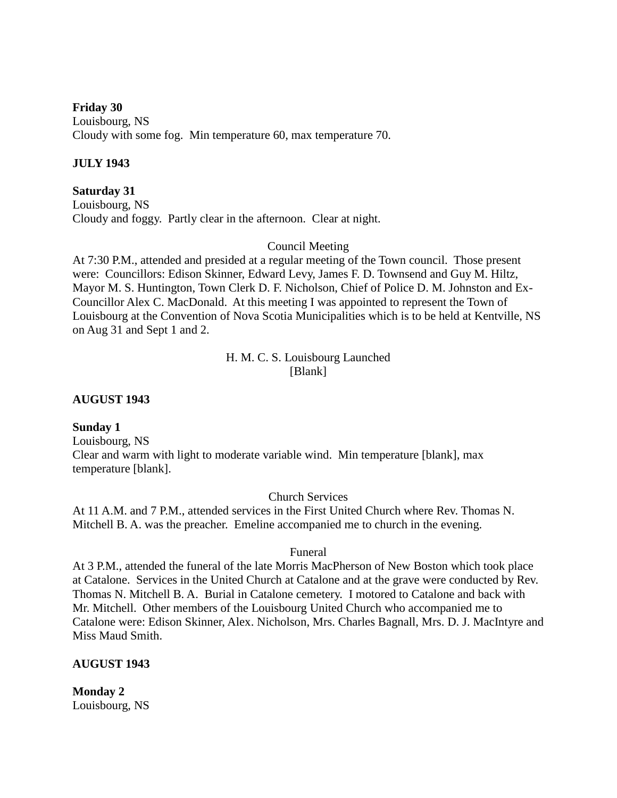**Friday 30** Louisbourg, NS Cloudy with some fog. Min temperature 60, max temperature 70.

#### **JULY 1943**

**Saturday 31** Louisbourg, NS Cloudy and foggy. Partly clear in the afternoon. Clear at night.

#### Council Meeting

At 7:30 P.M., attended and presided at a regular meeting of the Town council. Those present were: Councillors: Edison Skinner, Edward Levy, James F. D. Townsend and Guy M. Hiltz, Mayor M. S. Huntington, Town Clerk D. F. Nicholson, Chief of Police D. M. Johnston and Ex-Councillor Alex C. MacDonald. At this meeting I was appointed to represent the Town of Louisbourg at the Convention of Nova Scotia Municipalities which is to be held at Kentville, NS on Aug 31 and Sept 1 and 2.

> H. M. C. S. Louisbourg Launched [Blank]

#### **AUGUST 1943**

#### **Sunday 1**

Louisbourg, NS Clear and warm with light to moderate variable wind. Min temperature [blank], max temperature [blank].

Church Services

At 11 A.M. and 7 P.M., attended services in the First United Church where Rev. Thomas N. Mitchell B. A. was the preacher. Emeline accompanied me to church in the evening.

# Funeral

At 3 P.M., attended the funeral of the late Morris MacPherson of New Boston which took place at Catalone. Services in the United Church at Catalone and at the grave were conducted by Rev. Thomas N. Mitchell B. A. Burial in Catalone cemetery. I motored to Catalone and back with Mr. Mitchell. Other members of the Louisbourg United Church who accompanied me to Catalone were: Edison Skinner, Alex. Nicholson, Mrs. Charles Bagnall, Mrs. D. J. MacIntyre and Miss Maud Smith.

#### **AUGUST 1943**

**Monday 2** Louisbourg, NS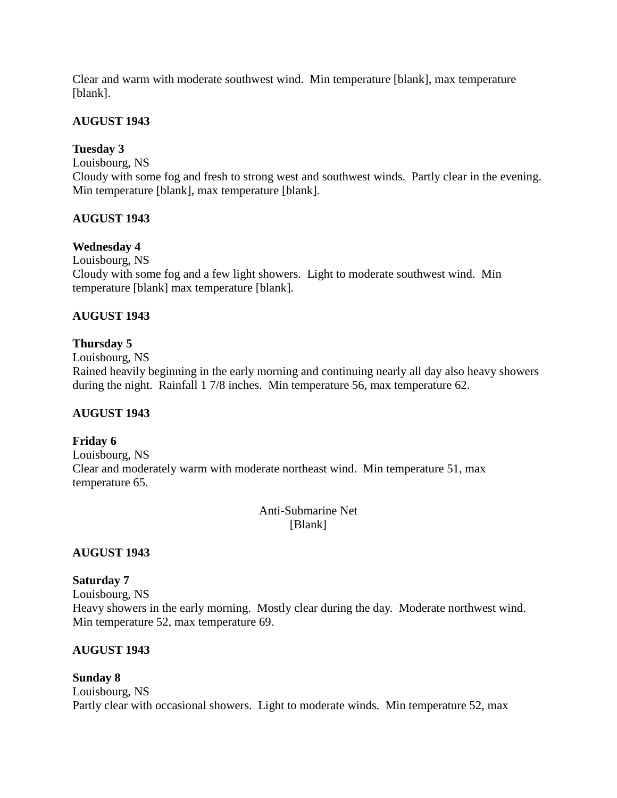Clear and warm with moderate southwest wind. Min temperature [blank], max temperature [blank].

# **AUGUST 1943**

# **Tuesday 3**

Louisbourg, NS

Cloudy with some fog and fresh to strong west and southwest winds. Partly clear in the evening. Min temperature [blank], max temperature [blank].

# **AUGUST 1943**

# **Wednesday 4**

Louisbourg, NS Cloudy with some fog and a few light showers. Light to moderate southwest wind. Min temperature [blank] max temperature [blank].

# **AUGUST 1943**

# **Thursday 5**

Louisbourg, NS Rained heavily beginning in the early morning and continuing nearly all day also heavy showers during the night. Rainfall 1 7/8 inches. Min temperature 56, max temperature 62.

# **AUGUST 1943**

# **Friday 6**

Louisbourg, NS Clear and moderately warm with moderate northeast wind. Min temperature 51, max temperature 65.

> Anti-Submarine Net [Blank]

# **AUGUST 1943**

# **Saturday 7**

Louisbourg, NS Heavy showers in the early morning. Mostly clear during the day. Moderate northwest wind. Min temperature 52, max temperature 69.

# **AUGUST 1943**

# **Sunday 8**

Louisbourg, NS Partly clear with occasional showers. Light to moderate winds. Min temperature 52, max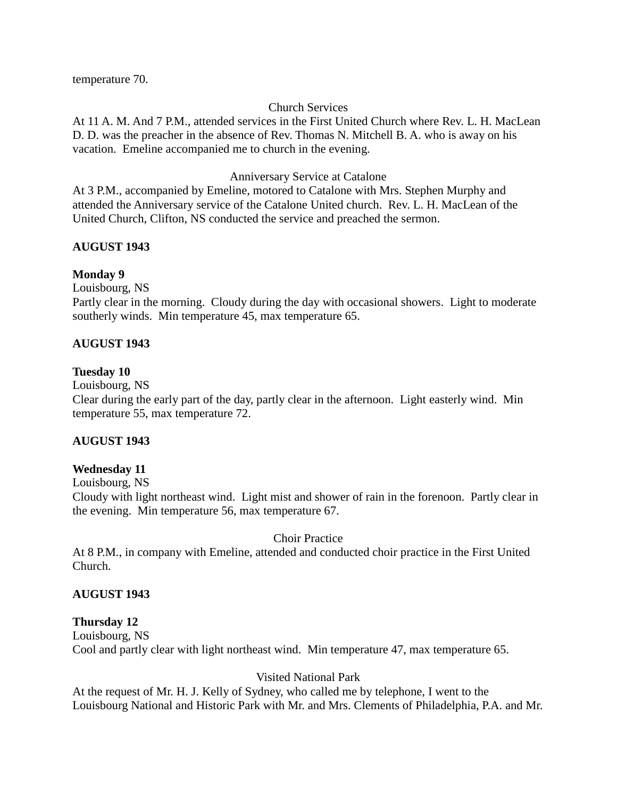temperature 70.

# Church Services

At 11 A. M. And 7 P.M., attended services in the First United Church where Rev. L. H. MacLean D. D. was the preacher in the absence of Rev. Thomas N. Mitchell B. A. who is away on his vacation. Emeline accompanied me to church in the evening.

# Anniversary Service at Catalone

At 3 P.M., accompanied by Emeline, motored to Catalone with Mrs. Stephen Murphy and attended the Anniversary service of the Catalone United church. Rev. L. H. MacLean of the United Church, Clifton, NS conducted the service and preached the sermon.

# **AUGUST 1943**

# **Monday 9**

Louisbourg, NS

Partly clear in the morning. Cloudy during the day with occasional showers. Light to moderate southerly winds. Min temperature 45, max temperature 65.

# **AUGUST 1943**

# **Tuesday 10**

Louisbourg, NS

Clear during the early part of the day, partly clear in the afternoon. Light easterly wind. Min temperature 55, max temperature 72.

# **AUGUST 1943**

# **Wednesday 11**

Louisbourg, NS

Cloudy with light northeast wind. Light mist and shower of rain in the forenoon. Partly clear in the evening. Min temperature 56, max temperature 67.

# Choir Practice

At 8 P.M., in company with Emeline, attended and conducted choir practice in the First United Church.

# **AUGUST 1943**

# **Thursday 12**

Louisbourg, NS Cool and partly clear with light northeast wind. Min temperature 47, max temperature 65.

# Visited National Park

At the request of Mr. H. J. Kelly of Sydney, who called me by telephone, I went to the Louisbourg National and Historic Park with Mr. and Mrs. Clements of Philadelphia, P.A. and Mr.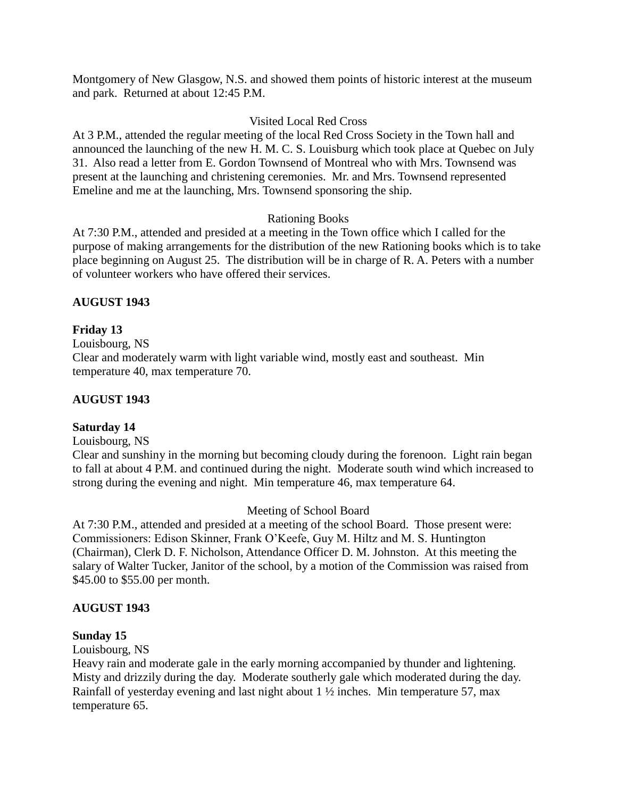Montgomery of New Glasgow, N.S. and showed them points of historic interest at the museum and park. Returned at about 12:45 P.M.

# Visited Local Red Cross

At 3 P.M., attended the regular meeting of the local Red Cross Society in the Town hall and announced the launching of the new H. M. C. S. Louisburg which took place at Quebec on July 31. Also read a letter from E. Gordon Townsend of Montreal who with Mrs. Townsend was present at the launching and christening ceremonies. Mr. and Mrs. Townsend represented Emeline and me at the launching, Mrs. Townsend sponsoring the ship.

# Rationing Books

At 7:30 P.M., attended and presided at a meeting in the Town office which I called for the purpose of making arrangements for the distribution of the new Rationing books which is to take place beginning on August 25. The distribution will be in charge of R. A. Peters with a number of volunteer workers who have offered their services.

# **AUGUST 1943**

# **Friday 13**

Louisbourg, NS

Clear and moderately warm with light variable wind, mostly east and southeast. Min temperature 40, max temperature 70.

# **AUGUST 1943**

# **Saturday 14**

Louisbourg, NS

Clear and sunshiny in the morning but becoming cloudy during the forenoon. Light rain began to fall at about 4 P.M. and continued during the night. Moderate south wind which increased to strong during the evening and night. Min temperature 46, max temperature 64.

# Meeting of School Board

At 7:30 P.M., attended and presided at a meeting of the school Board. Those present were: Commissioners: Edison Skinner, Frank O'Keefe, Guy M. Hiltz and M. S. Huntington (Chairman), Clerk D. F. Nicholson, Attendance Officer D. M. Johnston. At this meeting the salary of Walter Tucker, Janitor of the school, by a motion of the Commission was raised from \$45.00 to \$55.00 per month.

# **AUGUST 1943**

#### **Sunday 15**

Louisbourg, NS

Heavy rain and moderate gale in the early morning accompanied by thunder and lightening. Misty and drizzily during the day. Moderate southerly gale which moderated during the day. Rainfall of yesterday evening and last night about 1 ½ inches. Min temperature 57, max temperature 65.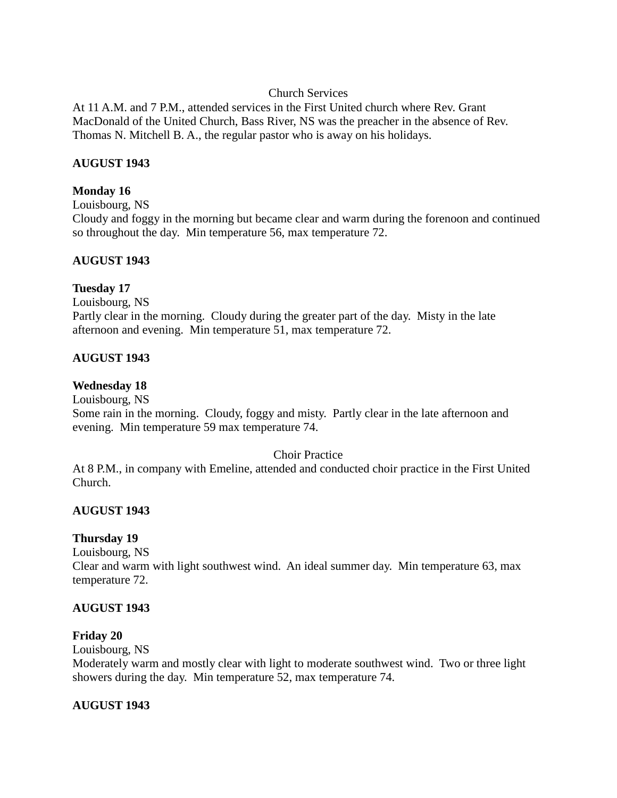# Church Services

At 11 A.M. and 7 P.M., attended services in the First United church where Rev. Grant MacDonald of the United Church, Bass River, NS was the preacher in the absence of Rev. Thomas N. Mitchell B. A., the regular pastor who is away on his holidays.

# **AUGUST 1943**

# **Monday 16**

Louisbourg, NS Cloudy and foggy in the morning but became clear and warm during the forenoon and continued so throughout the day. Min temperature 56, max temperature 72.

# **AUGUST 1943**

# **Tuesday 17**

Louisbourg, NS Partly clear in the morning. Cloudy during the greater part of the day. Misty in the late afternoon and evening. Min temperature 51, max temperature 72.

# **AUGUST 1943**

# **Wednesday 18**

Louisbourg, NS

Some rain in the morning. Cloudy, foggy and misty. Partly clear in the late afternoon and evening. Min temperature 59 max temperature 74.

# Choir Practice

At 8 P.M., in company with Emeline, attended and conducted choir practice in the First United Church.

# **AUGUST 1943**

# **Thursday 19**

Louisbourg, NS

Clear and warm with light southwest wind. An ideal summer day. Min temperature 63, max temperature 72.

# **AUGUST 1943**

# **Friday 20**

Louisbourg, NS

Moderately warm and mostly clear with light to moderate southwest wind. Two or three light showers during the day. Min temperature 52, max temperature 74.

# **AUGUST 1943**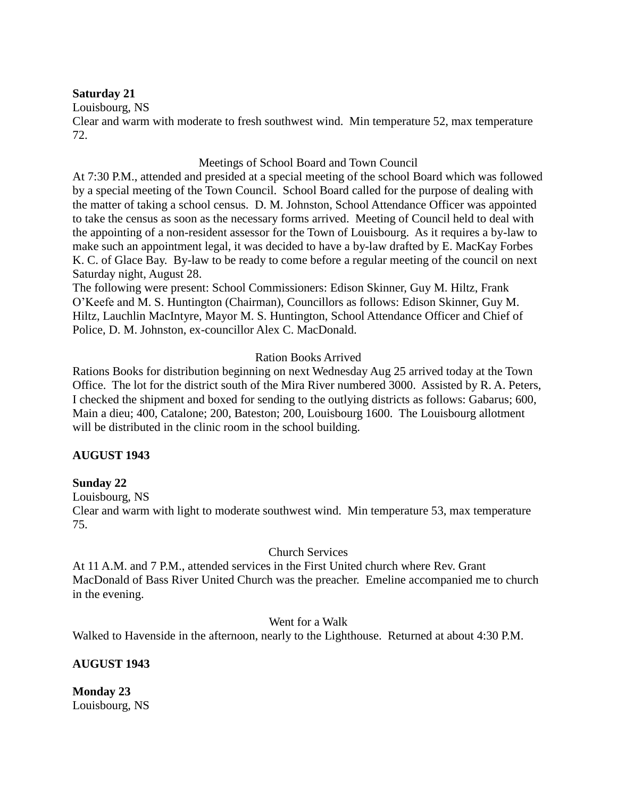# **Saturday 21**

Louisbourg, NS

Clear and warm with moderate to fresh southwest wind. Min temperature 52, max temperature 72.

# Meetings of School Board and Town Council

At 7:30 P.M., attended and presided at a special meeting of the school Board which was followed by a special meeting of the Town Council. School Board called for the purpose of dealing with the matter of taking a school census. D. M. Johnston, School Attendance Officer was appointed to take the census as soon as the necessary forms arrived. Meeting of Council held to deal with the appointing of a non-resident assessor for the Town of Louisbourg. As it requires a by-law to make such an appointment legal, it was decided to have a by-law drafted by E. MacKay Forbes K. C. of Glace Bay. By-law to be ready to come before a regular meeting of the council on next Saturday night, August 28.

The following were present: School Commissioners: Edison Skinner, Guy M. Hiltz, Frank O'Keefe and M. S. Huntington (Chairman), Councillors as follows: Edison Skinner, Guy M. Hiltz, Lauchlin MacIntyre, Mayor M. S. Huntington, School Attendance Officer and Chief of Police, D. M. Johnston, ex-councillor Alex C. MacDonald.

# Ration Books Arrived

Rations Books for distribution beginning on next Wednesday Aug 25 arrived today at the Town Office. The lot for the district south of the Mira River numbered 3000. Assisted by R. A. Peters, I checked the shipment and boxed for sending to the outlying districts as follows: Gabarus; 600, Main a dieu; 400, Catalone; 200, Bateston; 200, Louisbourg 1600. The Louisbourg allotment will be distributed in the clinic room in the school building.

# **AUGUST 1943**

# **Sunday 22**

Louisbourg, NS

Clear and warm with light to moderate southwest wind. Min temperature 53, max temperature 75.

# Church Services

At 11 A.M. and 7 P.M., attended services in the First United church where Rev. Grant MacDonald of Bass River United Church was the preacher. Emeline accompanied me to church in the evening.

# Went for a Walk

Walked to Havenside in the afternoon, nearly to the Lighthouse. Returned at about 4:30 P.M.

# **AUGUST 1943**

**Monday 23** Louisbourg, NS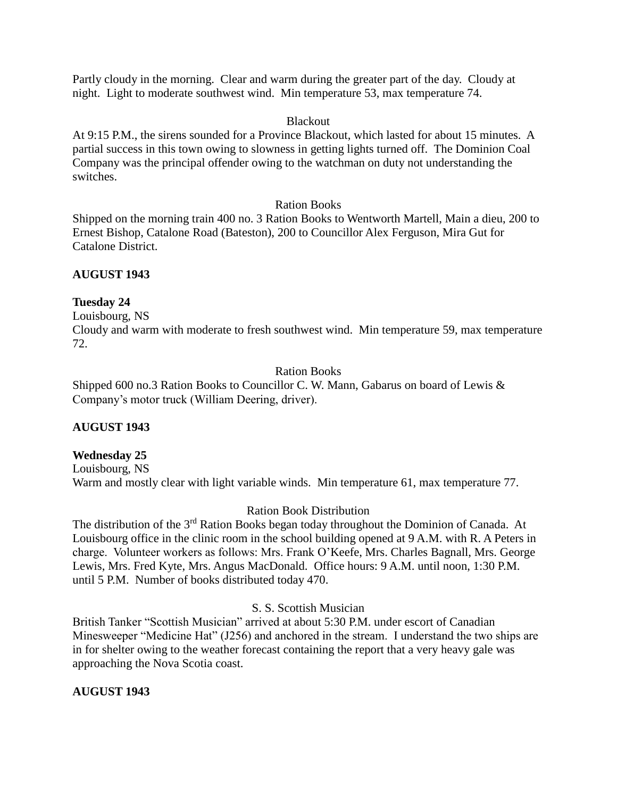Partly cloudy in the morning. Clear and warm during the greater part of the day. Cloudy at night. Light to moderate southwest wind. Min temperature 53, max temperature 74.

# Blackout

At 9:15 P.M., the sirens sounded for a Province Blackout, which lasted for about 15 minutes. A partial success in this town owing to slowness in getting lights turned off. The Dominion Coal Company was the principal offender owing to the watchman on duty not understanding the switches.

# Ration Books

Shipped on the morning train 400 no. 3 Ration Books to Wentworth Martell, Main a dieu, 200 to Ernest Bishop, Catalone Road (Bateston), 200 to Councillor Alex Ferguson, Mira Gut for Catalone District.

# **AUGUST 1943**

# **Tuesday 24**

Louisbourg, NS

Cloudy and warm with moderate to fresh southwest wind. Min temperature 59, max temperature 72.

# Ration Books

Shipped 600 no.3 Ration Books to Councillor C. W. Mann, Gabarus on board of Lewis & Company's motor truck (William Deering, driver).

# **AUGUST 1943**

# **Wednesday 25**

Louisbourg, NS Warm and mostly clear with light variable winds. Min temperature 61, max temperature 77.

# Ration Book Distribution

The distribution of the 3<sup>rd</sup> Ration Books began today throughout the Dominion of Canada. At Louisbourg office in the clinic room in the school building opened at 9 A.M. with R. A Peters in charge. Volunteer workers as follows: Mrs. Frank O'Keefe, Mrs. Charles Bagnall, Mrs. George Lewis, Mrs. Fred Kyte, Mrs. Angus MacDonald. Office hours: 9 A.M. until noon, 1:30 P.M. until 5 P.M. Number of books distributed today 470.

# S. S. Scottish Musician

British Tanker "Scottish Musician" arrived at about 5:30 P.M. under escort of Canadian Minesweeper "Medicine Hat" (J256) and anchored in the stream. I understand the two ships are in for shelter owing to the weather forecast containing the report that a very heavy gale was approaching the Nova Scotia coast.

# **AUGUST 1943**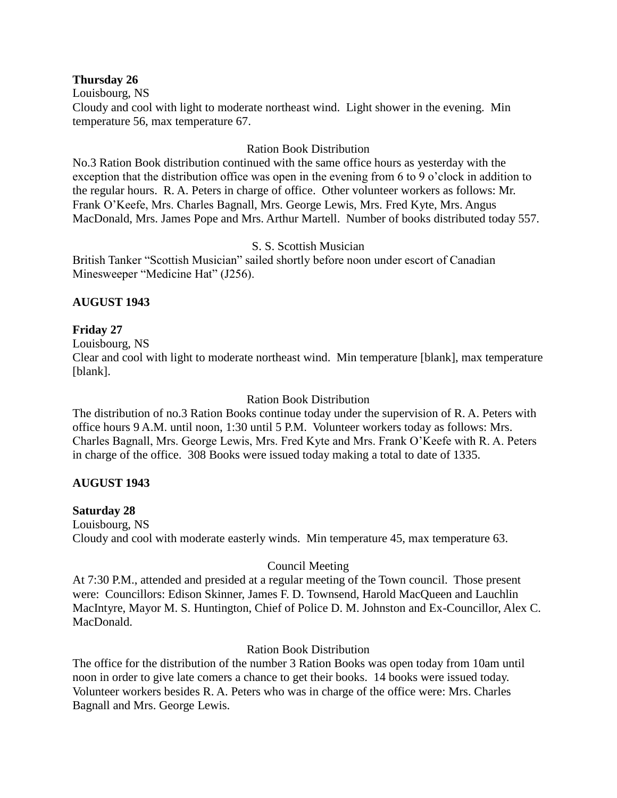#### **Thursday 26**

Louisbourg, NS

Cloudy and cool with light to moderate northeast wind. Light shower in the evening. Min temperature 56, max temperature 67.

# Ration Book Distribution

No.3 Ration Book distribution continued with the same office hours as yesterday with the exception that the distribution office was open in the evening from 6 to 9 o'clock in addition to the regular hours. R. A. Peters in charge of office. Other volunteer workers as follows: Mr. Frank O'Keefe, Mrs. Charles Bagnall, Mrs. George Lewis, Mrs. Fred Kyte, Mrs. Angus MacDonald, Mrs. James Pope and Mrs. Arthur Martell. Number of books distributed today 557.

# S. S. Scottish Musician

British Tanker "Scottish Musician" sailed shortly before noon under escort of Canadian Minesweeper "Medicine Hat" (J256).

# **AUGUST 1943**

# **Friday 27**

Louisbourg, NS

Clear and cool with light to moderate northeast wind. Min temperature [blank], max temperature [blank].

# Ration Book Distribution

The distribution of no.3 Ration Books continue today under the supervision of R. A. Peters with office hours 9 A.M. until noon, 1:30 until 5 P.M. Volunteer workers today as follows: Mrs. Charles Bagnall, Mrs. George Lewis, Mrs. Fred Kyte and Mrs. Frank O'Keefe with R. A. Peters in charge of the office. 308 Books were issued today making a total to date of 1335.

# **AUGUST 1943**

# **Saturday 28**

Louisbourg, NS Cloudy and cool with moderate easterly winds. Min temperature 45, max temperature 63.

# Council Meeting

At 7:30 P.M., attended and presided at a regular meeting of the Town council. Those present were: Councillors: Edison Skinner, James F. D. Townsend, Harold MacQueen and Lauchlin MacIntyre, Mayor M. S. Huntington, Chief of Police D. M. Johnston and Ex-Councillor, Alex C. MacDonald.

# Ration Book Distribution

The office for the distribution of the number 3 Ration Books was open today from 10am until noon in order to give late comers a chance to get their books. 14 books were issued today. Volunteer workers besides R. A. Peters who was in charge of the office were: Mrs. Charles Bagnall and Mrs. George Lewis.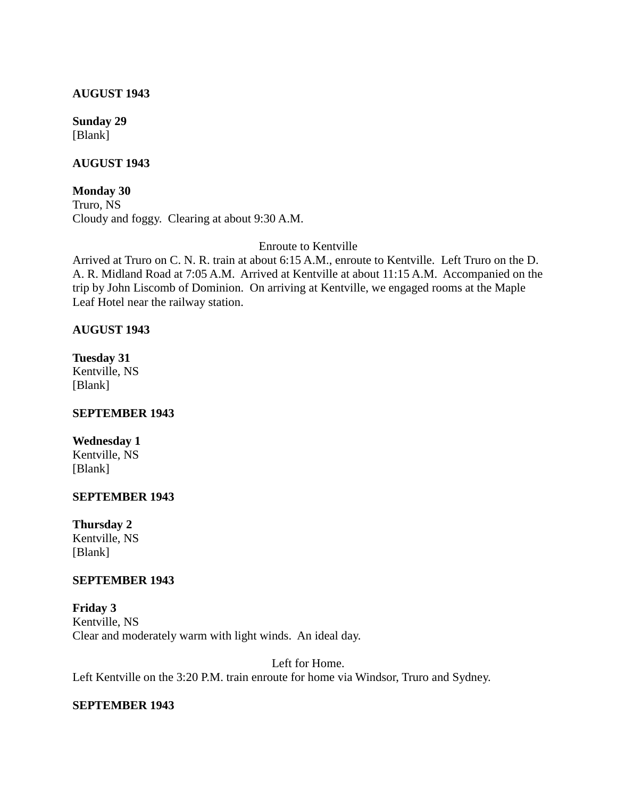#### **AUGUST 1943**

**Sunday 29** [Blank]

# **AUGUST 1943**

**Monday 30** Truro, NS Cloudy and foggy. Clearing at about 9:30 A.M.

# Enroute to Kentville

Arrived at Truro on C. N. R. train at about 6:15 A.M., enroute to Kentville. Left Truro on the D. A. R. Midland Road at 7:05 A.M. Arrived at Kentville at about 11:15 A.M. Accompanied on the trip by John Liscomb of Dominion. On arriving at Kentville, we engaged rooms at the Maple Leaf Hotel near the railway station.

# **AUGUST 1943**

**Tuesday 31** Kentville, NS [Blank]

# **SEPTEMBER 1943**

# **Wednesday 1**

Kentville, NS [Blank]

# **SEPTEMBER 1943**

**Thursday 2** Kentville, NS [Blank]

# **SEPTEMBER 1943**

**Friday 3** Kentville, NS Clear and moderately warm with light winds. An ideal day.

Left for Home. Left Kentville on the 3:20 P.M. train enroute for home via Windsor, Truro and Sydney.

# **SEPTEMBER 1943**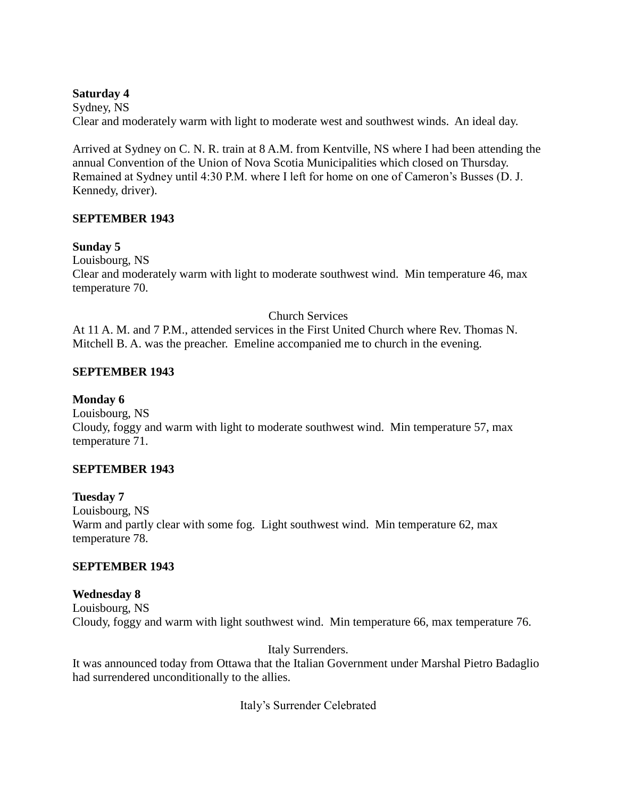# **Saturday 4**

Sydney, NS Clear and moderately warm with light to moderate west and southwest winds. An ideal day.

Arrived at Sydney on C. N. R. train at 8 A.M. from Kentville, NS where I had been attending the annual Convention of the Union of Nova Scotia Municipalities which closed on Thursday. Remained at Sydney until 4:30 P.M. where I left for home on one of Cameron's Busses (D. J. Kennedy, driver).

# **SEPTEMBER 1943**

# **Sunday 5**

Louisbourg, NS Clear and moderately warm with light to moderate southwest wind. Min temperature 46, max temperature 70.

Church Services

At 11 A. M. and 7 P.M., attended services in the First United Church where Rev. Thomas N. Mitchell B. A. was the preacher. Emeline accompanied me to church in the evening.

# **SEPTEMBER 1943**

# **Monday 6**

Louisbourg, NS Cloudy, foggy and warm with light to moderate southwest wind. Min temperature 57, max temperature 71.

# **SEPTEMBER 1943**

# **Tuesday 7**

Louisbourg, NS Warm and partly clear with some fog. Light southwest wind. Min temperature 62, max temperature 78.

# **SEPTEMBER 1943**

**Wednesday 8** Louisbourg, NS Cloudy, foggy and warm with light southwest wind. Min temperature 66, max temperature 76.

# Italy Surrenders.

It was announced today from Ottawa that the Italian Government under Marshal Pietro Badaglio had surrendered unconditionally to the allies.

Italy's Surrender Celebrated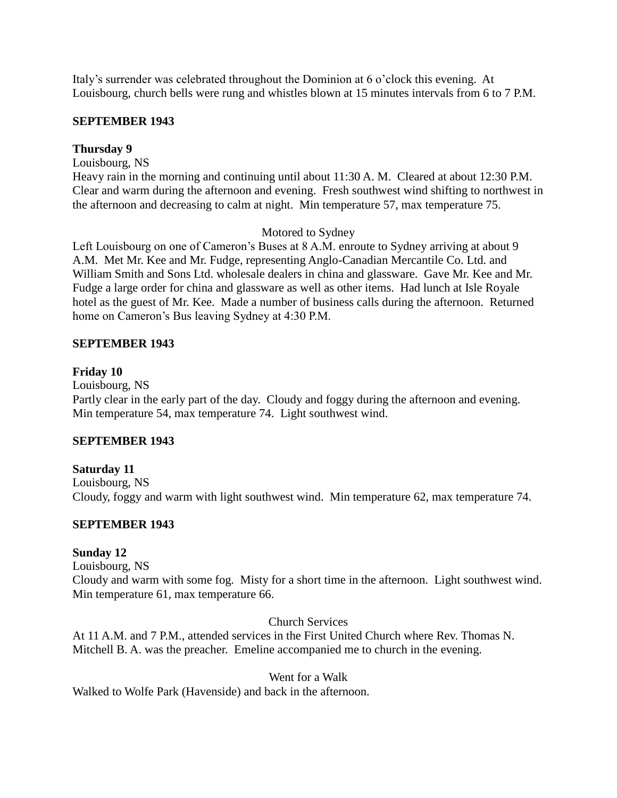Italy's surrender was celebrated throughout the Dominion at 6 o'clock this evening. At Louisbourg, church bells were rung and whistles blown at 15 minutes intervals from 6 to 7 P.M.

# **SEPTEMBER 1943**

# **Thursday 9**

Louisbourg, NS

Heavy rain in the morning and continuing until about 11:30 A. M. Cleared at about 12:30 P.M. Clear and warm during the afternoon and evening. Fresh southwest wind shifting to northwest in the afternoon and decreasing to calm at night. Min temperature 57, max temperature 75.

# Motored to Sydney

Left Louisbourg on one of Cameron's Buses at 8 A.M. enroute to Sydney arriving at about 9 A.M. Met Mr. Kee and Mr. Fudge, representing Anglo-Canadian Mercantile Co. Ltd. and William Smith and Sons Ltd. wholesale dealers in china and glassware. Gave Mr. Kee and Mr. Fudge a large order for china and glassware as well as other items. Had lunch at Isle Royale hotel as the guest of Mr. Kee. Made a number of business calls during the afternoon. Returned home on Cameron's Bus leaving Sydney at 4:30 P.M.

# **SEPTEMBER 1943**

# **Friday 10**

Louisbourg, NS

Partly clear in the early part of the day. Cloudy and foggy during the afternoon and evening. Min temperature 54, max temperature 74. Light southwest wind.

# **SEPTEMBER 1943**

# **Saturday 11**

Louisbourg, NS Cloudy, foggy and warm with light southwest wind. Min temperature 62, max temperature 74.

# **SEPTEMBER 1943**

# **Sunday 12**

Louisbourg, NS Cloudy and warm with some fog. Misty for a short time in the afternoon. Light southwest wind. Min temperature 61, max temperature 66.

Church Services

At 11 A.M. and 7 P.M., attended services in the First United Church where Rev. Thomas N. Mitchell B. A. was the preacher. Emeline accompanied me to church in the evening.

Went for a Walk

Walked to Wolfe Park (Havenside) and back in the afternoon.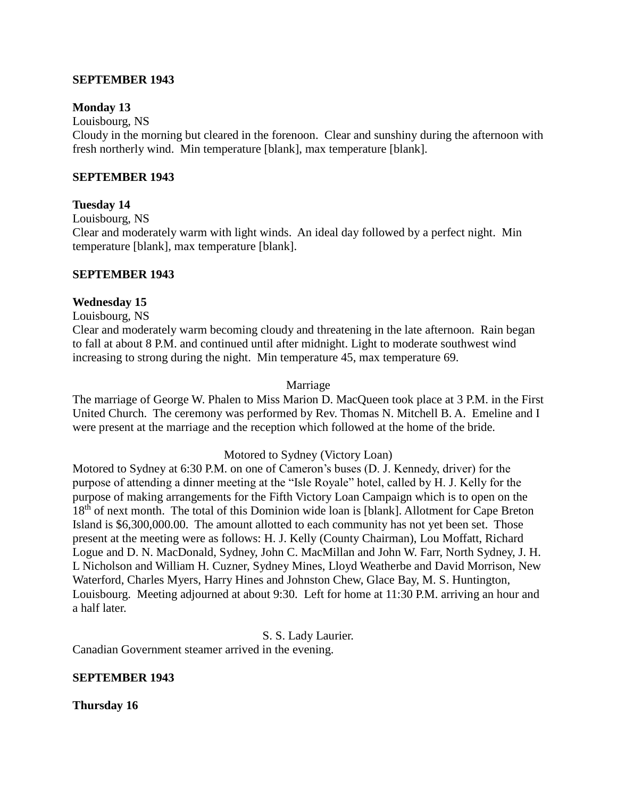#### **SEPTEMBER 1943**

#### **Monday 13**

Louisbourg, NS

Cloudy in the morning but cleared in the forenoon. Clear and sunshiny during the afternoon with fresh northerly wind. Min temperature [blank], max temperature [blank].

#### **SEPTEMBER 1943**

#### **Tuesday 14**

Louisbourg, NS

Clear and moderately warm with light winds. An ideal day followed by a perfect night. Min temperature [blank], max temperature [blank].

# **SEPTEMBER 1943**

#### **Wednesday 15**

Louisbourg, NS

Clear and moderately warm becoming cloudy and threatening in the late afternoon. Rain began to fall at about 8 P.M. and continued until after midnight. Light to moderate southwest wind increasing to strong during the night. Min temperature 45, max temperature 69.

#### Marriage

The marriage of George W. Phalen to Miss Marion D. MacQueen took place at 3 P.M. in the First United Church. The ceremony was performed by Rev. Thomas N. Mitchell B. A. Emeline and I were present at the marriage and the reception which followed at the home of the bride.

#### Motored to Sydney (Victory Loan)

Motored to Sydney at 6:30 P.M. on one of Cameron's buses (D. J. Kennedy, driver) for the purpose of attending a dinner meeting at the "Isle Royale" hotel, called by H. J. Kelly for the purpose of making arrangements for the Fifth Victory Loan Campaign which is to open on the 18<sup>th</sup> of next month. The total of this Dominion wide loan is [blank]. Allotment for Cape Breton Island is \$6,300,000.00. The amount allotted to each community has not yet been set. Those present at the meeting were as follows: H. J. Kelly (County Chairman), Lou Moffatt, Richard Logue and D. N. MacDonald, Sydney, John C. MacMillan and John W. Farr, North Sydney, J. H. L Nicholson and William H. Cuzner, Sydney Mines, Lloyd Weatherbe and David Morrison, New Waterford, Charles Myers, Harry Hines and Johnston Chew, Glace Bay, M. S. Huntington, Louisbourg. Meeting adjourned at about 9:30. Left for home at 11:30 P.M. arriving an hour and a half later.

S. S. Lady Laurier.

Canadian Government steamer arrived in the evening.

#### **SEPTEMBER 1943**

**Thursday 16**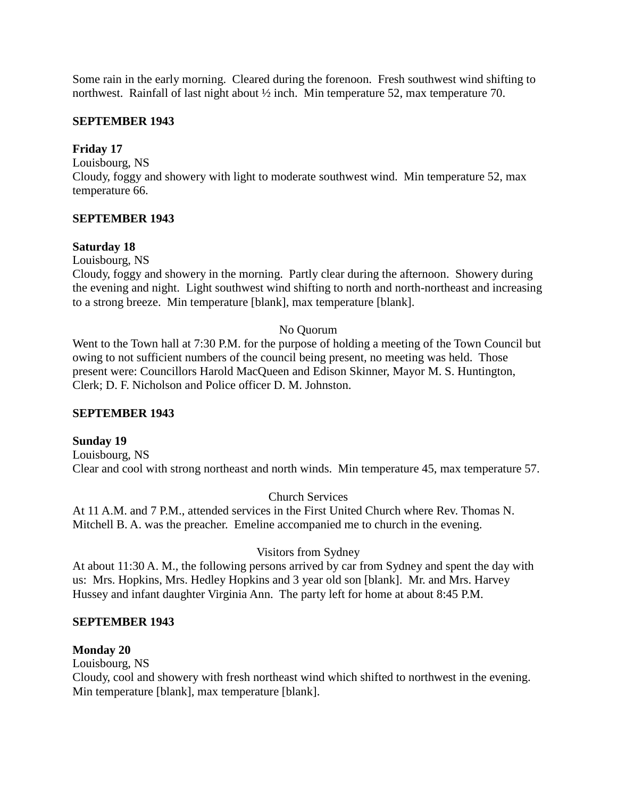Some rain in the early morning. Cleared during the forenoon. Fresh southwest wind shifting to northwest. Rainfall of last night about ½ inch. Min temperature 52, max temperature 70.

# **SEPTEMBER 1943**

# **Friday 17**

Louisbourg, NS Cloudy, foggy and showery with light to moderate southwest wind. Min temperature 52, max temperature 66.

# **SEPTEMBER 1943**

# **Saturday 18**

Louisbourg, NS

Cloudy, foggy and showery in the morning. Partly clear during the afternoon. Showery during the evening and night. Light southwest wind shifting to north and north-northeast and increasing to a strong breeze. Min temperature [blank], max temperature [blank].

# No Quorum

Went to the Town hall at 7:30 P.M. for the purpose of holding a meeting of the Town Council but owing to not sufficient numbers of the council being present, no meeting was held. Those present were: Councillors Harold MacQueen and Edison Skinner, Mayor M. S. Huntington, Clerk; D. F. Nicholson and Police officer D. M. Johnston.

# **SEPTEMBER 1943**

# **Sunday 19**

Louisbourg, NS Clear and cool with strong northeast and north winds. Min temperature 45, max temperature 57.

# Church Services

At 11 A.M. and 7 P.M., attended services in the First United Church where Rev. Thomas N. Mitchell B. A. was the preacher. Emeline accompanied me to church in the evening.

# Visitors from Sydney

At about 11:30 A. M., the following persons arrived by car from Sydney and spent the day with us: Mrs. Hopkins, Mrs. Hedley Hopkins and 3 year old son [blank]. Mr. and Mrs. Harvey Hussey and infant daughter Virginia Ann. The party left for home at about 8:45 P.M.

# **SEPTEMBER 1943**

# **Monday 20**

Louisbourg, NS

Cloudy, cool and showery with fresh northeast wind which shifted to northwest in the evening. Min temperature [blank], max temperature [blank].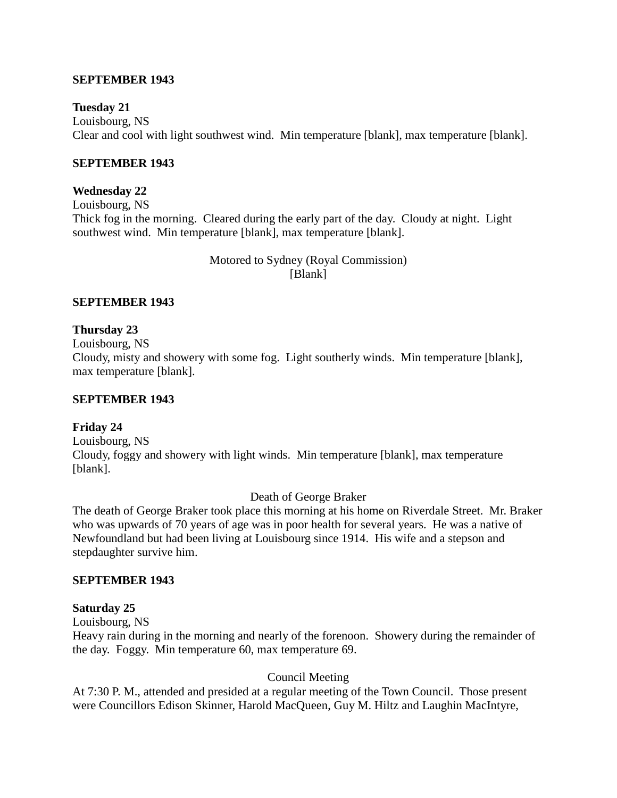# **SEPTEMBER 1943**

# **Tuesday 21**

Louisbourg, NS Clear and cool with light southwest wind. Min temperature [blank], max temperature [blank].

# **SEPTEMBER 1943**

# **Wednesday 22**

Louisbourg, NS Thick fog in the morning. Cleared during the early part of the day. Cloudy at night. Light southwest wind. Min temperature [blank], max temperature [blank].

> Motored to Sydney (Royal Commission) [Blank]

# **SEPTEMBER 1943**

# **Thursday 23**

Louisbourg, NS

Cloudy, misty and showery with some fog. Light southerly winds. Min temperature [blank], max temperature [blank].

#### **SEPTEMBER 1943**

# **Friday 24**

Louisbourg, NS Cloudy, foggy and showery with light winds. Min temperature [blank], max temperature [blank].

Death of George Braker

The death of George Braker took place this morning at his home on Riverdale Street. Mr. Braker who was upwards of 70 years of age was in poor health for several years. He was a native of Newfoundland but had been living at Louisbourg since 1914. His wife and a stepson and stepdaughter survive him.

# **SEPTEMBER 1943**

# **Saturday 25**

Louisbourg, NS

Heavy rain during in the morning and nearly of the forenoon. Showery during the remainder of the day. Foggy. Min temperature 60, max temperature 69.

# Council Meeting

At 7:30 P. M., attended and presided at a regular meeting of the Town Council. Those present were Councillors Edison Skinner, Harold MacQueen, Guy M. Hiltz and Laughin MacIntyre,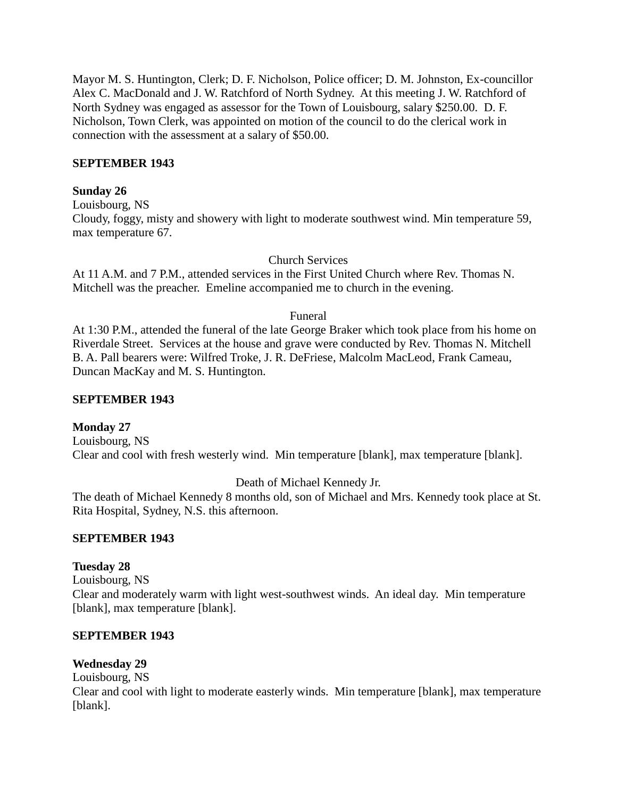Mayor M. S. Huntington, Clerk; D. F. Nicholson, Police officer; D. M. Johnston, Ex-councillor Alex C. MacDonald and J. W. Ratchford of North Sydney. At this meeting J. W. Ratchford of North Sydney was engaged as assessor for the Town of Louisbourg, salary \$250.00. D. F. Nicholson, Town Clerk, was appointed on motion of the council to do the clerical work in connection with the assessment at a salary of \$50.00.

# **SEPTEMBER 1943**

# **Sunday 26**

Louisbourg, NS Cloudy, foggy, misty and showery with light to moderate southwest wind. Min temperature 59, max temperature 67.

# Church Services

At 11 A.M. and 7 P.M., attended services in the First United Church where Rev. Thomas N. Mitchell was the preacher. Emeline accompanied me to church in the evening.

#### Funeral

At 1:30 P.M., attended the funeral of the late George Braker which took place from his home on Riverdale Street. Services at the house and grave were conducted by Rev. Thomas N. Mitchell B. A. Pall bearers were: Wilfred Troke, J. R. DeFriese, Malcolm MacLeod, Frank Cameau, Duncan MacKay and M. S. Huntington.

#### **SEPTEMBER 1943**

# **Monday 27**

Louisbourg, NS Clear and cool with fresh westerly wind. Min temperature [blank], max temperature [blank].

# Death of Michael Kennedy Jr.

The death of Michael Kennedy 8 months old, son of Michael and Mrs. Kennedy took place at St. Rita Hospital, Sydney, N.S. this afternoon.

# **SEPTEMBER 1943**

# **Tuesday 28**

Louisbourg, NS Clear and moderately warm with light west-southwest winds. An ideal day. Min temperature [blank], max temperature [blank].

#### **SEPTEMBER 1943**

# **Wednesday 29**

Louisbourg, NS

Clear and cool with light to moderate easterly winds. Min temperature [blank], max temperature [blank].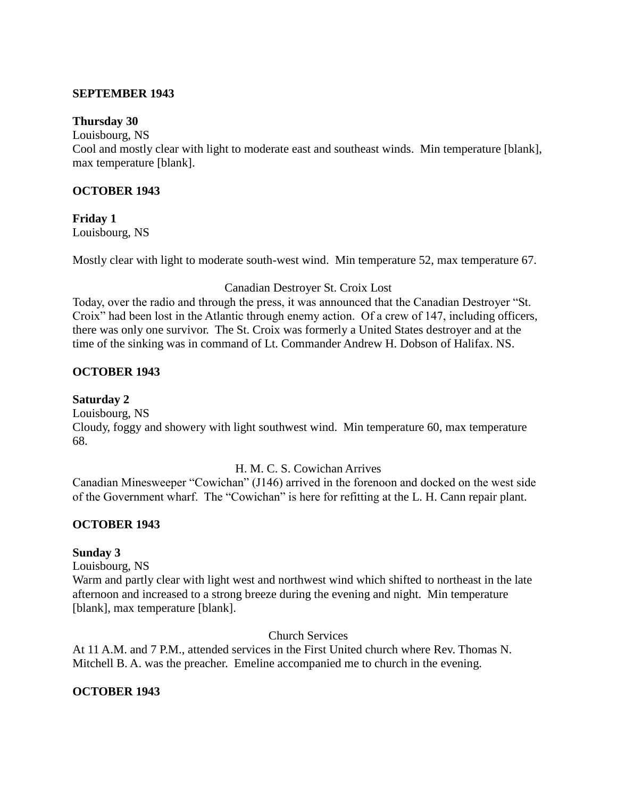#### **SEPTEMBER 1943**

#### **Thursday 30**

Louisbourg, NS

Cool and mostly clear with light to moderate east and southeast winds. Min temperature [blank], max temperature [blank].

# **OCTOBER 1943**

**Friday 1** Louisbourg, NS

Mostly clear with light to moderate south-west wind. Min temperature 52, max temperature 67.

#### Canadian Destroyer St. Croix Lost

Today, over the radio and through the press, it was announced that the Canadian Destroyer "St. Croix" had been lost in the Atlantic through enemy action. Of a crew of 147, including officers, there was only one survivor. The St. Croix was formerly a United States destroyer and at the time of the sinking was in command of Lt. Commander Andrew H. Dobson of Halifax. NS.

# **OCTOBER 1943**

**Saturday 2** Louisbourg, NS Cloudy, foggy and showery with light southwest wind. Min temperature 60, max temperature 68.

# H. M. C. S. Cowichan Arrives

Canadian Minesweeper "Cowichan" (J146) arrived in the forenoon and docked on the west side of the Government wharf. The "Cowichan" is here for refitting at the L. H. Cann repair plant.

# **OCTOBER 1943**

# **Sunday 3**

Louisbourg, NS

Warm and partly clear with light west and northwest wind which shifted to northeast in the late afternoon and increased to a strong breeze during the evening and night. Min temperature [blank], max temperature [blank].

Church Services

At 11 A.M. and 7 P.M., attended services in the First United church where Rev. Thomas N. Mitchell B. A. was the preacher. Emeline accompanied me to church in the evening.

# **OCTOBER 1943**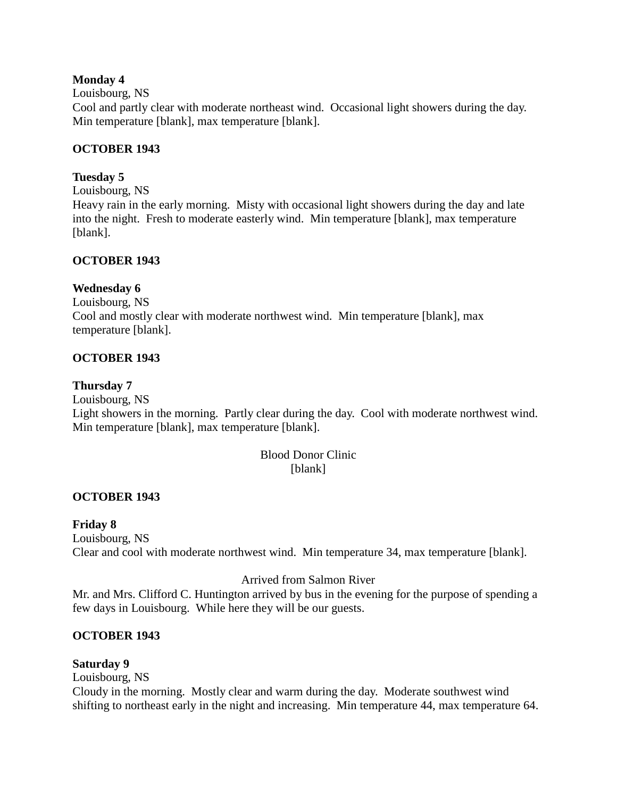# **Monday 4**

## Louisbourg, NS

Cool and partly clear with moderate northeast wind. Occasional light showers during the day. Min temperature [blank], max temperature [blank].

# **OCTOBER 1943**

# **Tuesday 5**

Louisbourg, NS

Heavy rain in the early morning. Misty with occasional light showers during the day and late into the night. Fresh to moderate easterly wind. Min temperature [blank], max temperature [blank].

# **OCTOBER 1943**

# **Wednesday 6**

Louisbourg, NS Cool and mostly clear with moderate northwest wind. Min temperature [blank], max temperature [blank].

# **OCTOBER 1943**

# **Thursday 7**

Louisbourg, NS Light showers in the morning. Partly clear during the day. Cool with moderate northwest wind. Min temperature [blank], max temperature [blank].

# Blood Donor Clinic [blank]

# **OCTOBER 1943**

# **Friday 8**

Louisbourg, NS Clear and cool with moderate northwest wind. Min temperature 34, max temperature [blank].

# Arrived from Salmon River

Mr. and Mrs. Clifford C. Huntington arrived by bus in the evening for the purpose of spending a few days in Louisbourg. While here they will be our guests.

# **OCTOBER 1943**

# **Saturday 9**

Louisbourg, NS

Cloudy in the morning. Mostly clear and warm during the day. Moderate southwest wind shifting to northeast early in the night and increasing. Min temperature 44, max temperature 64.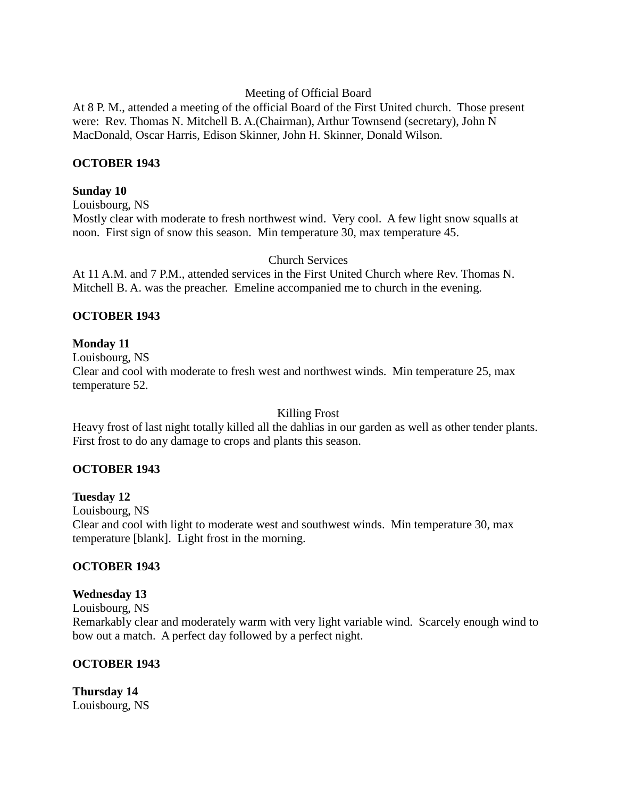# Meeting of Official Board

At 8 P. M., attended a meeting of the official Board of the First United church. Those present were: Rev. Thomas N. Mitchell B. A.(Chairman), Arthur Townsend (secretary), John N MacDonald, Oscar Harris, Edison Skinner, John H. Skinner, Donald Wilson.

# **OCTOBER 1943**

#### **Sunday 10**

Louisbourg, NS Mostly clear with moderate to fresh northwest wind. Very cool. A few light snow squalls at noon. First sign of snow this season. Min temperature 30, max temperature 45.

#### Church Services

At 11 A.M. and 7 P.M., attended services in the First United Church where Rev. Thomas N. Mitchell B. A. was the preacher. Emeline accompanied me to church in the evening.

# **OCTOBER 1943**

# **Monday 11**

Louisbourg, NS Clear and cool with moderate to fresh west and northwest winds. Min temperature 25, max temperature 52.

Killing Frost

Heavy frost of last night totally killed all the dahlias in our garden as well as other tender plants. First frost to do any damage to crops and plants this season.

# **OCTOBER 1943**

# **Tuesday 12**

Louisbourg, NS Clear and cool with light to moderate west and southwest winds. Min temperature 30, max temperature [blank]. Light frost in the morning.

# **OCTOBER 1943**

# **Wednesday 13**

Louisbourg, NS

Remarkably clear and moderately warm with very light variable wind. Scarcely enough wind to bow out a match. A perfect day followed by a perfect night.

# **OCTOBER 1943**

**Thursday 14** Louisbourg, NS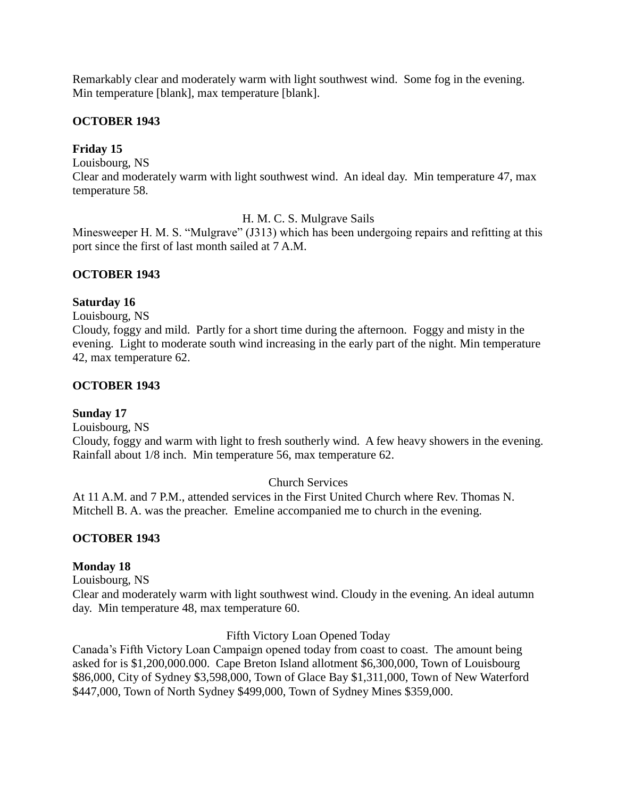Remarkably clear and moderately warm with light southwest wind. Some fog in the evening. Min temperature [blank], max temperature [blank].

# **OCTOBER 1943**

# **Friday 15**

Louisbourg, NS Clear and moderately warm with light southwest wind. An ideal day. Min temperature 47, max temperature 58.

H. M. C. S. Mulgrave Sails

Minesweeper H. M. S. "Mulgrave" (J313) which has been undergoing repairs and refitting at this port since the first of last month sailed at 7 A.M.

# **OCTOBER 1943**

# **Saturday 16**

Louisbourg, NS

Cloudy, foggy and mild. Partly for a short time during the afternoon. Foggy and misty in the evening. Light to moderate south wind increasing in the early part of the night. Min temperature 42, max temperature 62.

# **OCTOBER 1943**

# **Sunday 17**

Louisbourg, NS

Cloudy, foggy and warm with light to fresh southerly wind. A few heavy showers in the evening. Rainfall about 1/8 inch. Min temperature 56, max temperature 62.

# Church Services

At 11 A.M. and 7 P.M., attended services in the First United Church where Rev. Thomas N. Mitchell B. A. was the preacher. Emeline accompanied me to church in the evening.

# **OCTOBER 1943**

# **Monday 18**

Louisbourg, NS

Clear and moderately warm with light southwest wind. Cloudy in the evening. An ideal autumn day. Min temperature 48, max temperature 60.

Fifth Victory Loan Opened Today

Canada's Fifth Victory Loan Campaign opened today from coast to coast. The amount being asked for is \$1,200,000.000. Cape Breton Island allotment \$6,300,000, Town of Louisbourg \$86,000, City of Sydney \$3,598,000, Town of Glace Bay \$1,311,000, Town of New Waterford \$447,000, Town of North Sydney \$499,000, Town of Sydney Mines \$359,000.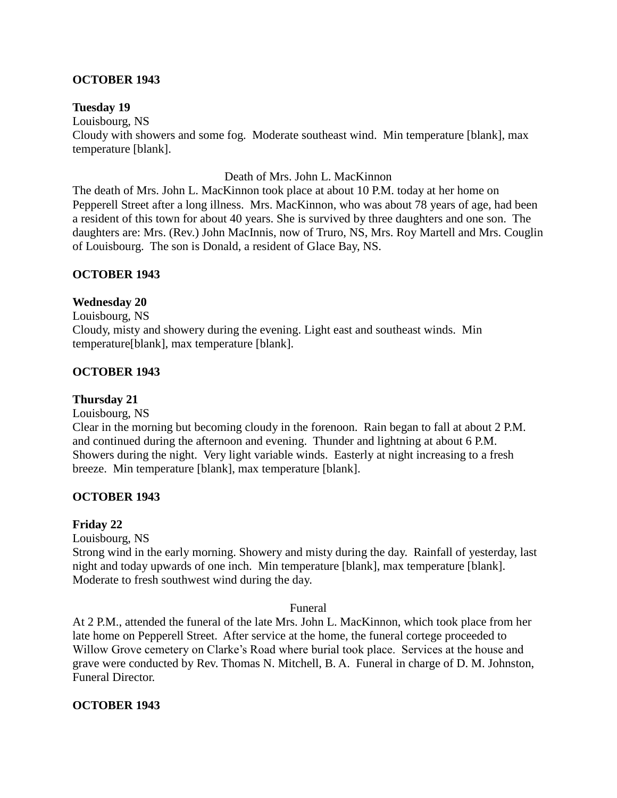# **OCTOBER 1943**

# **Tuesday 19**

Louisbourg, NS

Cloudy with showers and some fog. Moderate southeast wind. Min temperature [blank], max temperature [blank].

#### Death of Mrs. John L. MacKinnon

The death of Mrs. John L. MacKinnon took place at about 10 P.M. today at her home on Pepperell Street after a long illness. Mrs. MacKinnon, who was about 78 years of age, had been a resident of this town for about 40 years. She is survived by three daughters and one son. The daughters are: Mrs. (Rev.) John MacInnis, now of Truro, NS, Mrs. Roy Martell and Mrs. Couglin of Louisbourg. The son is Donald, a resident of Glace Bay, NS.

# **OCTOBER 1943**

# **Wednesday 20**

Louisbourg, NS Cloudy, misty and showery during the evening. Light east and southeast winds. Min temperature[blank], max temperature [blank].

# **OCTOBER 1943**

# **Thursday 21**

Louisbourg, NS

Clear in the morning but becoming cloudy in the forenoon. Rain began to fall at about 2 P.M. and continued during the afternoon and evening. Thunder and lightning at about 6 P.M. Showers during the night. Very light variable winds. Easterly at night increasing to a fresh breeze. Min temperature [blank], max temperature [blank].

# **OCTOBER 1943**

# **Friday 22**

Louisbourg, NS

Strong wind in the early morning. Showery and misty during the day. Rainfall of yesterday, last night and today upwards of one inch. Min temperature [blank], max temperature [blank]. Moderate to fresh southwest wind during the day.

#### Funeral

At 2 P.M., attended the funeral of the late Mrs. John L. MacKinnon, which took place from her late home on Pepperell Street. After service at the home, the funeral cortege proceeded to Willow Grove cemetery on Clarke's Road where burial took place. Services at the house and grave were conducted by Rev. Thomas N. Mitchell, B. A. Funeral in charge of D. M. Johnston, Funeral Director.

# **OCTOBER 1943**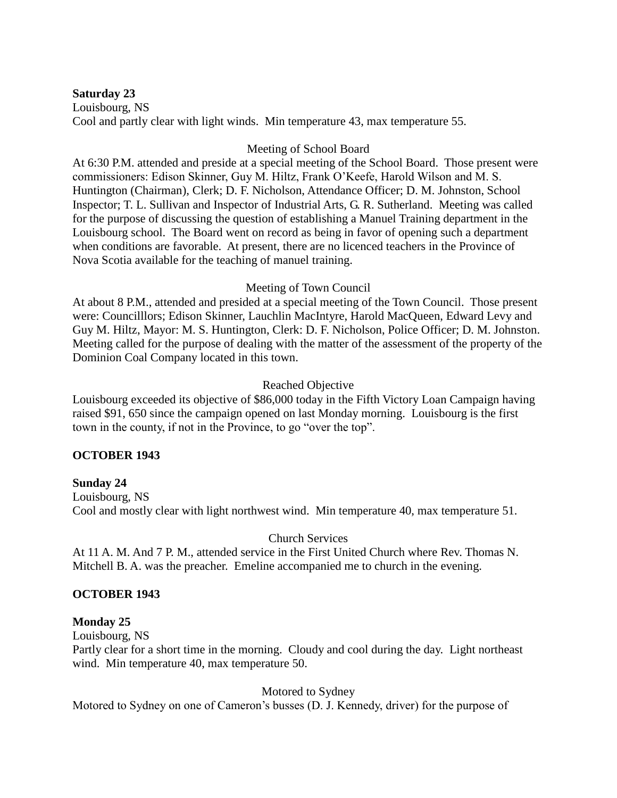# **Saturday 23**

Louisbourg, NS Cool and partly clear with light winds. Min temperature 43, max temperature 55.

# Meeting of School Board

At 6:30 P.M. attended and preside at a special meeting of the School Board. Those present were commissioners: Edison Skinner, Guy M. Hiltz, Frank O'Keefe, Harold Wilson and M. S. Huntington (Chairman), Clerk; D. F. Nicholson, Attendance Officer; D. M. Johnston, School Inspector; T. L. Sullivan and Inspector of Industrial Arts, G. R. Sutherland. Meeting was called for the purpose of discussing the question of establishing a Manuel Training department in the Louisbourg school. The Board went on record as being in favor of opening such a department when conditions are favorable. At present, there are no licenced teachers in the Province of Nova Scotia available for the teaching of manuel training.

# Meeting of Town Council

At about 8 P.M., attended and presided at a special meeting of the Town Council. Those present were: Councilllors; Edison Skinner, Lauchlin MacIntyre, Harold MacQueen, Edward Levy and Guy M. Hiltz, Mayor: M. S. Huntington, Clerk: D. F. Nicholson, Police Officer; D. M. Johnston. Meeting called for the purpose of dealing with the matter of the assessment of the property of the Dominion Coal Company located in this town.

# Reached Objective

Louisbourg exceeded its objective of \$86,000 today in the Fifth Victory Loan Campaign having raised \$91, 650 since the campaign opened on last Monday morning. Louisbourg is the first town in the county, if not in the Province, to go "over the top".

# **OCTOBER 1943**

# **Sunday 24**

Louisbourg, NS Cool and mostly clear with light northwest wind. Min temperature 40, max temperature 51.

# Church Services

At 11 A. M. And 7 P. M., attended service in the First United Church where Rev. Thomas N. Mitchell B. A. was the preacher. Emeline accompanied me to church in the evening.

# **OCTOBER 1943**

# **Monday 25**

Louisbourg, NS

Partly clear for a short time in the morning. Cloudy and cool during the day. Light northeast wind. Min temperature 40, max temperature 50.

# Motored to Sydney

Motored to Sydney on one of Cameron's busses (D. J. Kennedy, driver) for the purpose of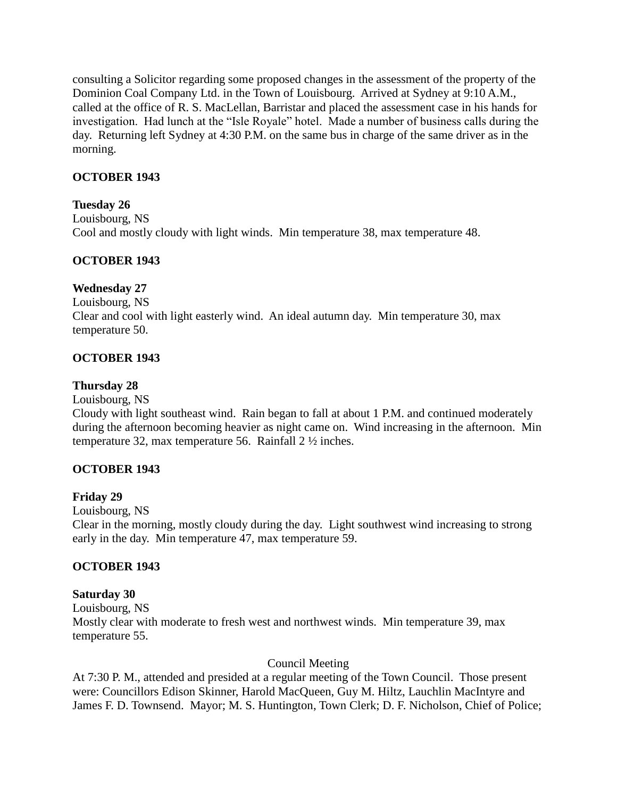consulting a Solicitor regarding some proposed changes in the assessment of the property of the Dominion Coal Company Ltd. in the Town of Louisbourg. Arrived at Sydney at 9:10 A.M., called at the office of R. S. MacLellan, Barristar and placed the assessment case in his hands for investigation. Had lunch at the "Isle Royale" hotel. Made a number of business calls during the day. Returning left Sydney at 4:30 P.M. on the same bus in charge of the same driver as in the morning.

# **OCTOBER 1943**

# **Tuesday 26**

Louisbourg, NS Cool and mostly cloudy with light winds. Min temperature 38, max temperature 48.

# **OCTOBER 1943**

# **Wednesday 27**

Louisbourg, NS Clear and cool with light easterly wind. An ideal autumn day. Min temperature 30, max temperature 50.

# **OCTOBER 1943**

# **Thursday 28**

Louisbourg, NS

Cloudy with light southeast wind. Rain began to fall at about 1 P.M. and continued moderately during the afternoon becoming heavier as night came on. Wind increasing in the afternoon. Min temperature 32, max temperature 56. Rainfall 2 ½ inches.

# **OCTOBER 1943**

# **Friday 29**

Louisbourg, NS

Clear in the morning, mostly cloudy during the day. Light southwest wind increasing to strong early in the day. Min temperature 47, max temperature 59.

# **OCTOBER 1943**

# **Saturday 30**

Louisbourg, NS Mostly clear with moderate to fresh west and northwest winds. Min temperature 39, max temperature 55.

#### Council Meeting

At 7:30 P. M., attended and presided at a regular meeting of the Town Council. Those present were: Councillors Edison Skinner, Harold MacQueen, Guy M. Hiltz, Lauchlin MacIntyre and James F. D. Townsend. Mayor; M. S. Huntington, Town Clerk; D. F. Nicholson, Chief of Police;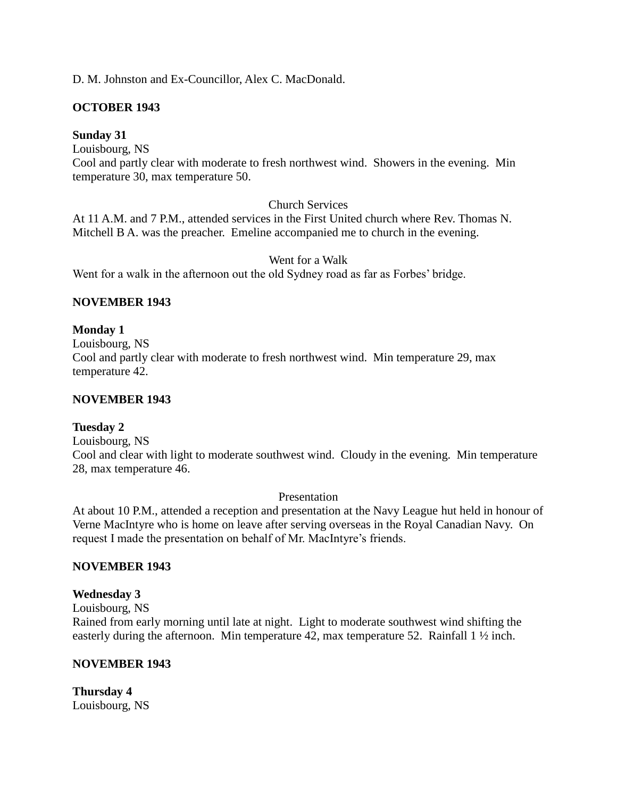# D. M. Johnston and Ex-Councillor, Alex C. MacDonald.

# **OCTOBER 1943**

# **Sunday 31**

Louisbourg, NS

Cool and partly clear with moderate to fresh northwest wind. Showers in the evening. Min temperature 30, max temperature 50.

# Church Services

At 11 A.M. and 7 P.M., attended services in the First United church where Rev. Thomas N. Mitchell B A. was the preacher. Emeline accompanied me to church in the evening.

Went for a Walk

Went for a walk in the afternoon out the old Sydney road as far as Forbes' bridge.

# **NOVEMBER 1943**

# **Monday 1**

Louisbourg, NS Cool and partly clear with moderate to fresh northwest wind. Min temperature 29, max temperature 42.

# **NOVEMBER 1943**

# **Tuesday 2**

Louisbourg, NS

Cool and clear with light to moderate southwest wind. Cloudy in the evening. Min temperature 28, max temperature 46.

Presentation

At about 10 P.M., attended a reception and presentation at the Navy League hut held in honour of Verne MacIntyre who is home on leave after serving overseas in the Royal Canadian Navy. On request I made the presentation on behalf of Mr. MacIntyre's friends.

# **NOVEMBER 1943**

# **Wednesday 3**

Louisbourg, NS

Rained from early morning until late at night. Light to moderate southwest wind shifting the easterly during the afternoon. Min temperature 42, max temperature 52. Rainfall 1  $\frac{1}{2}$  inch.

# **NOVEMBER 1943**

**Thursday 4** Louisbourg, NS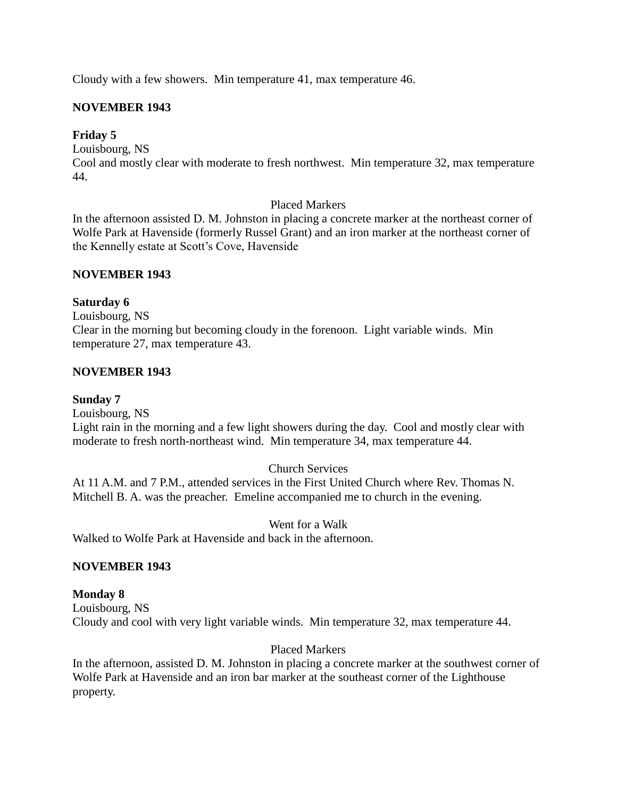Cloudy with a few showers. Min temperature 41, max temperature 46.

# **NOVEMBER 1943**

# **Friday 5**

Louisbourg, NS

Cool and mostly clear with moderate to fresh northwest. Min temperature 32, max temperature 44.

# Placed Markers

In the afternoon assisted D. M. Johnston in placing a concrete marker at the northeast corner of Wolfe Park at Havenside (formerly Russel Grant) and an iron marker at the northeast corner of the Kennelly estate at Scott's Cove, Havenside

# **NOVEMBER 1943**

# **Saturday 6**

Louisbourg, NS Clear in the morning but becoming cloudy in the forenoon. Light variable winds. Min temperature 27, max temperature 43.

# **NOVEMBER 1943**

#### **Sunday 7**

Louisbourg, NS

Light rain in the morning and a few light showers during the day. Cool and mostly clear with moderate to fresh north-northeast wind. Min temperature 34, max temperature 44.

# Church Services

At 11 A.M. and 7 P.M., attended services in the First United Church where Rev. Thomas N. Mitchell B. A. was the preacher. Emeline accompanied me to church in the evening.

Went for a Walk

Walked to Wolfe Park at Havenside and back in the afternoon.

# **NOVEMBER 1943**

# **Monday 8**

Louisbourg, NS Cloudy and cool with very light variable winds. Min temperature 32, max temperature 44.

# Placed Markers

In the afternoon, assisted D. M. Johnston in placing a concrete marker at the southwest corner of Wolfe Park at Havenside and an iron bar marker at the southeast corner of the Lighthouse property.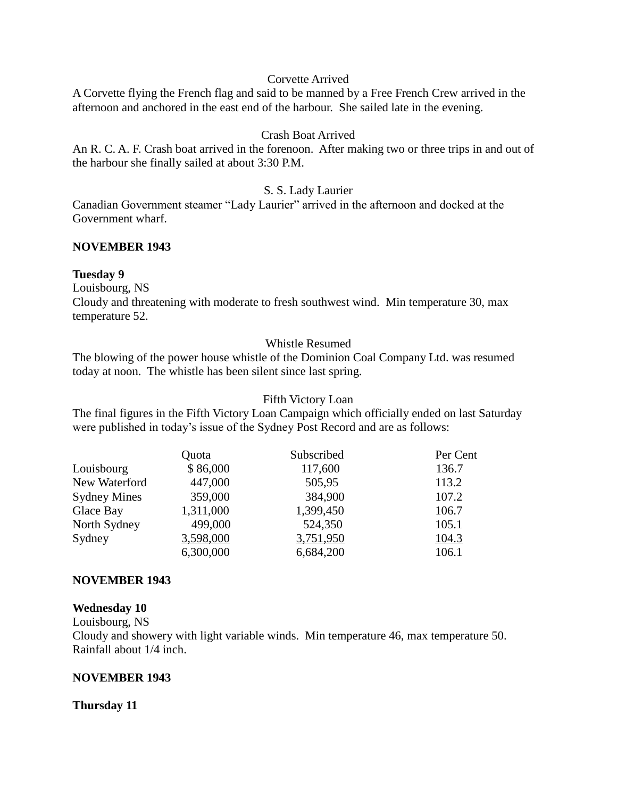#### Corvette Arrived

A Corvette flying the French flag and said to be manned by a Free French Crew arrived in the afternoon and anchored in the east end of the harbour. She sailed late in the evening.

# Crash Boat Arrived

An R. C. A. F. Crash boat arrived in the forenoon. After making two or three trips in and out of the harbour she finally sailed at about 3:30 P.M.

# S. S. Lady Laurier

Canadian Government steamer "Lady Laurier" arrived in the afternoon and docked at the Government wharf.

# **NOVEMBER 1943**

#### **Tuesday 9**

Louisbourg, NS

Cloudy and threatening with moderate to fresh southwest wind. Min temperature 30, max temperature 52.

# Whistle Resumed

The blowing of the power house whistle of the Dominion Coal Company Ltd. was resumed today at noon. The whistle has been silent since last spring.

#### Fifth Victory Loan

The final figures in the Fifth Victory Loan Campaign which officially ended on last Saturday were published in today's issue of the Sydney Post Record and are as follows:

|                     | Quota     | Subscribed | Per Cent |
|---------------------|-----------|------------|----------|
| Louisbourg          | \$86,000  | 117,600    | 136.7    |
| New Waterford       | 447,000   | 505,95     | 113.2    |
| <b>Sydney Mines</b> | 359,000   | 384,900    | 107.2    |
| Glace Bay           | 1,311,000 | 1,399,450  | 106.7    |
| North Sydney        | 499,000   | 524,350    | 105.1    |
| Sydney              | 3,598,000 | 3,751,950  | 104.3    |
|                     | 6,300,000 | 6,684,200  | 106.1    |

# **NOVEMBER 1943**

#### **Wednesday 10**

Louisbourg, NS

Cloudy and showery with light variable winds. Min temperature 46, max temperature 50. Rainfall about 1/4 inch.

# **NOVEMBER 1943**

# **Thursday 11**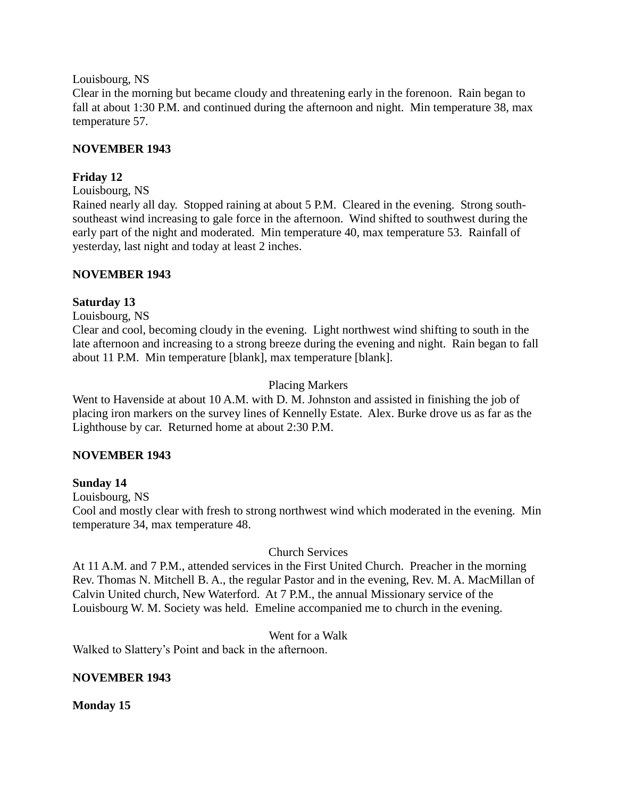Louisbourg, NS

Clear in the morning but became cloudy and threatening early in the forenoon. Rain began to fall at about 1:30 P.M. and continued during the afternoon and night. Min temperature 38, max temperature 57.

# **NOVEMBER 1943**

# **Friday 12**

Louisbourg, NS

Rained nearly all day. Stopped raining at about 5 P.M. Cleared in the evening. Strong southsoutheast wind increasing to gale force in the afternoon. Wind shifted to southwest during the early part of the night and moderated. Min temperature 40, max temperature 53. Rainfall of yesterday, last night and today at least 2 inches.

# **NOVEMBER 1943**

# **Saturday 13**

Louisbourg, NS

Clear and cool, becoming cloudy in the evening. Light northwest wind shifting to south in the late afternoon and increasing to a strong breeze during the evening and night. Rain began to fall about 11 P.M. Min temperature [blank], max temperature [blank].

# Placing Markers

Went to Havenside at about 10 A.M. with D. M. Johnston and assisted in finishing the job of placing iron markers on the survey lines of Kennelly Estate. Alex. Burke drove us as far as the Lighthouse by car. Returned home at about 2:30 P.M.

# **NOVEMBER 1943**

# **Sunday 14**

Louisbourg, NS Cool and mostly clear with fresh to strong northwest wind which moderated in the evening. Min temperature 34, max temperature 48.

# Church Services

At 11 A.M. and 7 P.M., attended services in the First United Church. Preacher in the morning Rev. Thomas N. Mitchell B. A., the regular Pastor and in the evening, Rev. M. A. MacMillan of Calvin United church, New Waterford. At 7 P.M., the annual Missionary service of the Louisbourg W. M. Society was held. Emeline accompanied me to church in the evening.

# Went for a Walk

Walked to Slattery's Point and back in the afternoon.

# **NOVEMBER 1943**

**Monday 15**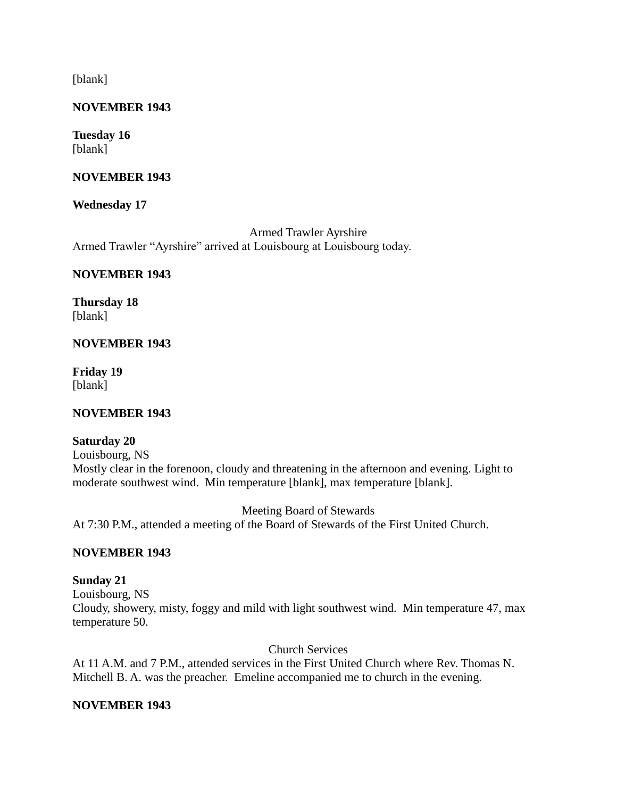[blank]

# **NOVEMBER 1943**

#### **Tuesday 16** [blank]

# **NOVEMBER 1943**

# **Wednesday 17**

Armed Trawler Ayrshire Armed Trawler "Ayrshire" arrived at Louisbourg at Louisbourg today.

# **NOVEMBER 1943**

**Thursday 18** [blank]

# **NOVEMBER 1943**

**Friday 19** [blank]

# **NOVEMBER 1943**

# **Saturday 20**

Louisbourg, NS Mostly clear in the forenoon, cloudy and threatening in the afternoon and evening. Light to moderate southwest wind. Min temperature [blank], max temperature [blank].

Meeting Board of Stewards At 7:30 P.M., attended a meeting of the Board of Stewards of the First United Church.

# **NOVEMBER 1943**

# **Sunday 21**

Louisbourg, NS Cloudy, showery, misty, foggy and mild with light southwest wind. Min temperature 47, max temperature 50.

Church Services

At 11 A.M. and 7 P.M., attended services in the First United Church where Rev. Thomas N. Mitchell B. A. was the preacher. Emeline accompanied me to church in the evening.

# **NOVEMBER 1943**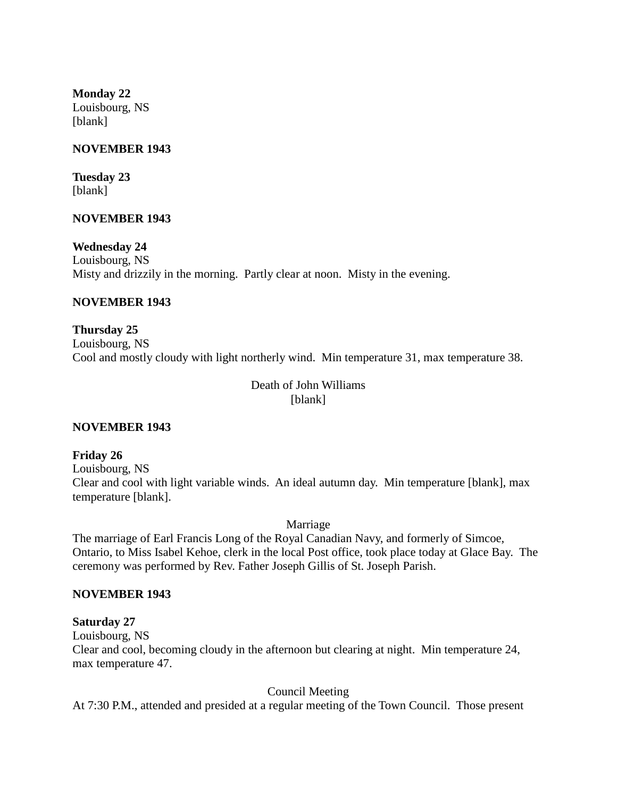**Monday 22** Louisbourg, NS [blank]

# **NOVEMBER 1943**

**Tuesday 23** [blank]

#### **NOVEMBER 1943**

**Wednesday 24** Louisbourg, NS Misty and drizzily in the morning. Partly clear at noon. Misty in the evening.

#### **NOVEMBER 1943**

**Thursday 25** Louisbourg, NS Cool and mostly cloudy with light northerly wind. Min temperature 31, max temperature 38.

> Death of John Williams [blank]

#### **NOVEMBER 1943**

**Friday 26** Louisbourg, NS Clear and cool with light variable winds. An ideal autumn day. Min temperature [blank], max temperature [blank].

Marriage

The marriage of Earl Francis Long of the Royal Canadian Navy, and formerly of Simcoe, Ontario, to Miss Isabel Kehoe, clerk in the local Post office, took place today at Glace Bay. The ceremony was performed by Rev. Father Joseph Gillis of St. Joseph Parish.

#### **NOVEMBER 1943**

#### **Saturday 27**

Louisbourg, NS

Clear and cool, becoming cloudy in the afternoon but clearing at night. Min temperature 24, max temperature 47.

Council Meeting

At 7:30 P.M., attended and presided at a regular meeting of the Town Council. Those present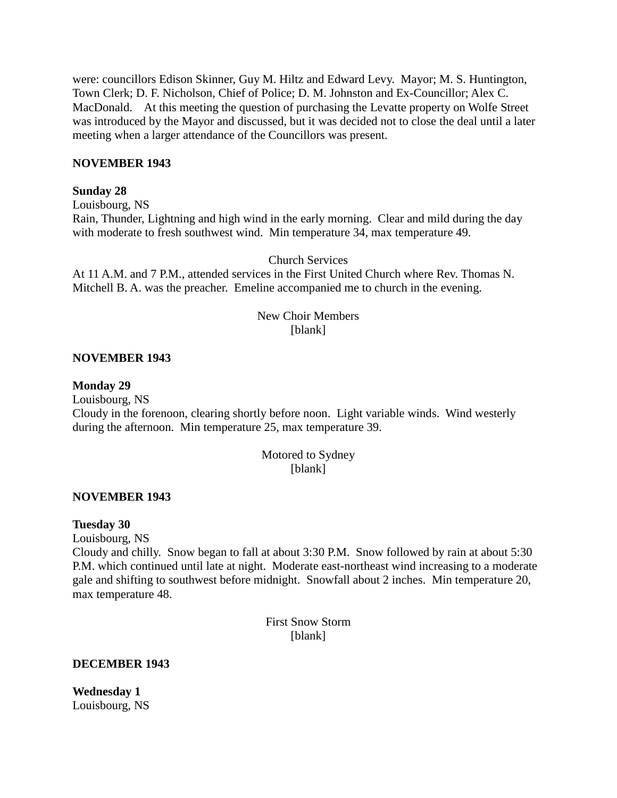were: councillors Edison Skinner, Guy M. Hiltz and Edward Levy. Mayor; M. S. Huntington, Town Clerk; D. F. Nicholson, Chief of Police; D. M. Johnston and Ex-Councillor; Alex C. MacDonald. At this meeting the question of purchasing the Levatte property on Wolfe Street was introduced by the Mayor and discussed, but it was decided not to close the deal until a later meeting when a larger attendance of the Councillors was present.

#### **NOVEMBER 1943**

#### **Sunday 28**

Louisbourg, NS Rain, Thunder, Lightning and high wind in the early morning. Clear and mild during the day with moderate to fresh southwest wind. Min temperature 34, max temperature 49.

Church Services

At 11 A.M. and 7 P.M., attended services in the First United Church where Rev. Thomas N. Mitchell B. A. was the preacher. Emeline accompanied me to church in the evening.

# New Choir Members [blank]

#### **NOVEMBER 1943**

#### **Monday 29**

Louisbourg, NS

Cloudy in the forenoon, clearing shortly before noon. Light variable winds. Wind westerly during the afternoon. Min temperature 25, max temperature 39.

# Motored to Sydney [blank]

#### **NOVEMBER 1943**

#### **Tuesday 30**

Louisbourg, NS

Cloudy and chilly. Snow began to fall at about 3:30 P.M. Snow followed by rain at about 5:30 P.M. which continued until late at night. Moderate east-northeast wind increasing to a moderate gale and shifting to southwest before midnight. Snowfall about 2 inches. Min temperature 20, max temperature 48.

> First Snow Storm [blank]

#### **DECEMBER 1943**

**Wednesday 1** Louisbourg, NS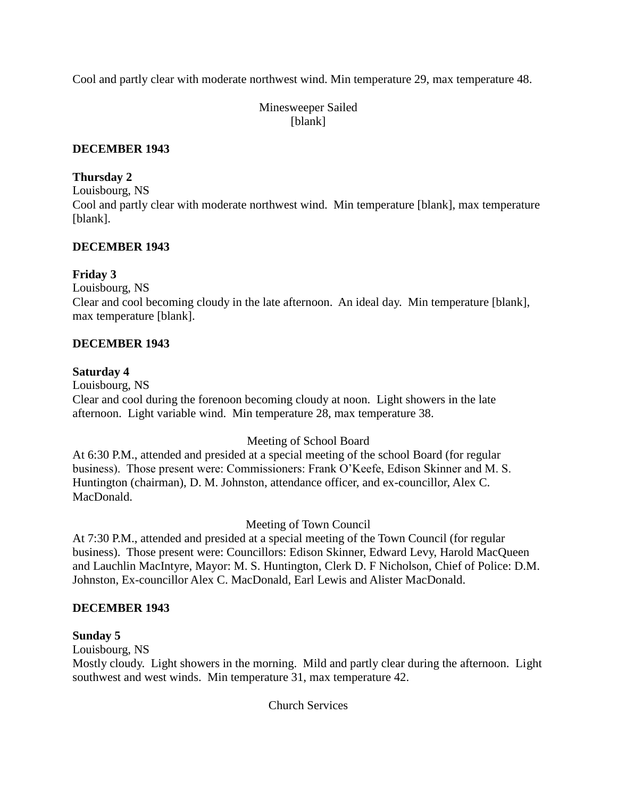Cool and partly clear with moderate northwest wind. Min temperature 29, max temperature 48.

Minesweeper Sailed [blank]

# **DECEMBER 1943**

# **Thursday 2**

Louisbourg, NS

Cool and partly clear with moderate northwest wind. Min temperature [blank], max temperature [blank].

# **DECEMBER 1943**

# **Friday 3**

Louisbourg, NS

Clear and cool becoming cloudy in the late afternoon. An ideal day. Min temperature [blank], max temperature [blank].

# **DECEMBER 1943**

# **Saturday 4**

Louisbourg, NS

Clear and cool during the forenoon becoming cloudy at noon. Light showers in the late afternoon. Light variable wind. Min temperature 28, max temperature 38.

# Meeting of School Board

At 6:30 P.M., attended and presided at a special meeting of the school Board (for regular business). Those present were: Commissioners: Frank O'Keefe, Edison Skinner and M. S. Huntington (chairman), D. M. Johnston, attendance officer, and ex-councillor, Alex C. MacDonald.

# Meeting of Town Council

At 7:30 P.M., attended and presided at a special meeting of the Town Council (for regular business). Those present were: Councillors: Edison Skinner, Edward Levy, Harold MacQueen and Lauchlin MacIntyre, Mayor: M. S. Huntington, Clerk D. F Nicholson, Chief of Police: D.M. Johnston, Ex-councillor Alex C. MacDonald, Earl Lewis and Alister MacDonald.

# **DECEMBER 1943**

# **Sunday 5**

Louisbourg, NS

Mostly cloudy. Light showers in the morning. Mild and partly clear during the afternoon. Light southwest and west winds. Min temperature 31, max temperature 42.

Church Services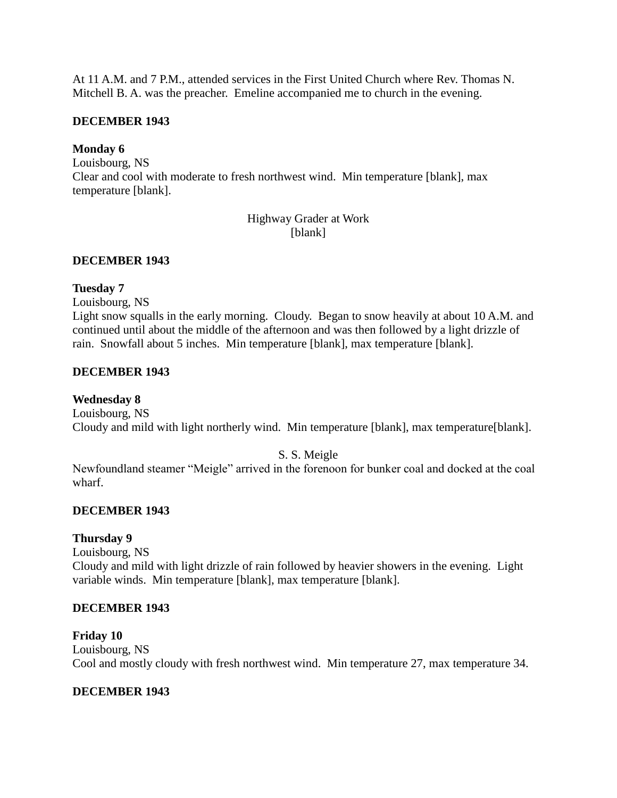At 11 A.M. and 7 P.M., attended services in the First United Church where Rev. Thomas N. Mitchell B. A. was the preacher. Emeline accompanied me to church in the evening.

# **DECEMBER 1943**

# **Monday 6**

Louisbourg, NS Clear and cool with moderate to fresh northwest wind. Min temperature [blank], max temperature [blank].

> Highway Grader at Work [blank]

# **DECEMBER 1943**

# **Tuesday 7**

Louisbourg, NS

Light snow squalls in the early morning. Cloudy. Began to snow heavily at about 10 A.M. and continued until about the middle of the afternoon and was then followed by a light drizzle of rain. Snowfall about 5 inches. Min temperature [blank], max temperature [blank].

# **DECEMBER 1943**

# **Wednesday 8**

Louisbourg, NS Cloudy and mild with light northerly wind. Min temperature [blank], max temperature[blank].

# S. S. Meigle

Newfoundland steamer "Meigle" arrived in the forenoon for bunker coal and docked at the coal wharf.

# **DECEMBER 1943**

# **Thursday 9**

Louisbourg, NS Cloudy and mild with light drizzle of rain followed by heavier showers in the evening. Light variable winds. Min temperature [blank], max temperature [blank].

# **DECEMBER 1943**

**Friday 10** Louisbourg, NS Cool and mostly cloudy with fresh northwest wind. Min temperature 27, max temperature 34.

# **DECEMBER 1943**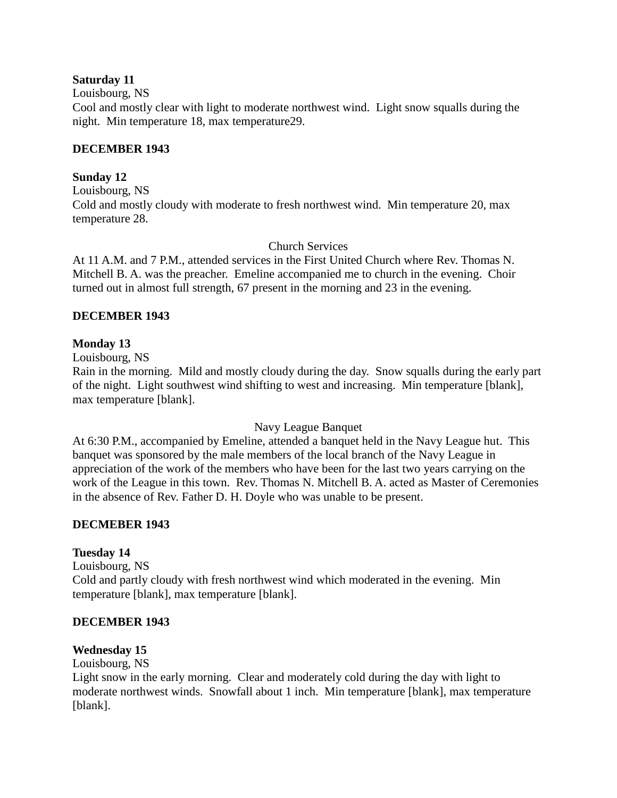# **Saturday 11**

Louisbourg, NS

Cool and mostly clear with light to moderate northwest wind. Light snow squalls during the night. Min temperature 18, max temperature29.

# **DECEMBER 1943**

# **Sunday 12**

Louisbourg, NS Cold and mostly cloudy with moderate to fresh northwest wind. Min temperature 20, max temperature 28.

# Church Services

At 11 A.M. and 7 P.M., attended services in the First United Church where Rev. Thomas N. Mitchell B. A. was the preacher. Emeline accompanied me to church in the evening. Choir turned out in almost full strength, 67 present in the morning and 23 in the evening.

# **DECEMBER 1943**

# **Monday 13**

Louisbourg, NS

Rain in the morning. Mild and mostly cloudy during the day. Snow squalls during the early part of the night. Light southwest wind shifting to west and increasing. Min temperature [blank], max temperature [blank].

# Navy League Banquet

At 6:30 P.M., accompanied by Emeline, attended a banquet held in the Navy League hut. This banquet was sponsored by the male members of the local branch of the Navy League in appreciation of the work of the members who have been for the last two years carrying on the work of the League in this town. Rev. Thomas N. Mitchell B. A. acted as Master of Ceremonies in the absence of Rev. Father D. H. Doyle who was unable to be present.

# **DECMEBER 1943**

# **Tuesday 14**

Louisbourg, NS Cold and partly cloudy with fresh northwest wind which moderated in the evening. Min temperature [blank], max temperature [blank].

# **DECEMBER 1943**

# **Wednesday 15**

Louisbourg, NS

Light snow in the early morning. Clear and moderately cold during the day with light to moderate northwest winds. Snowfall about 1 inch. Min temperature [blank], max temperature [blank].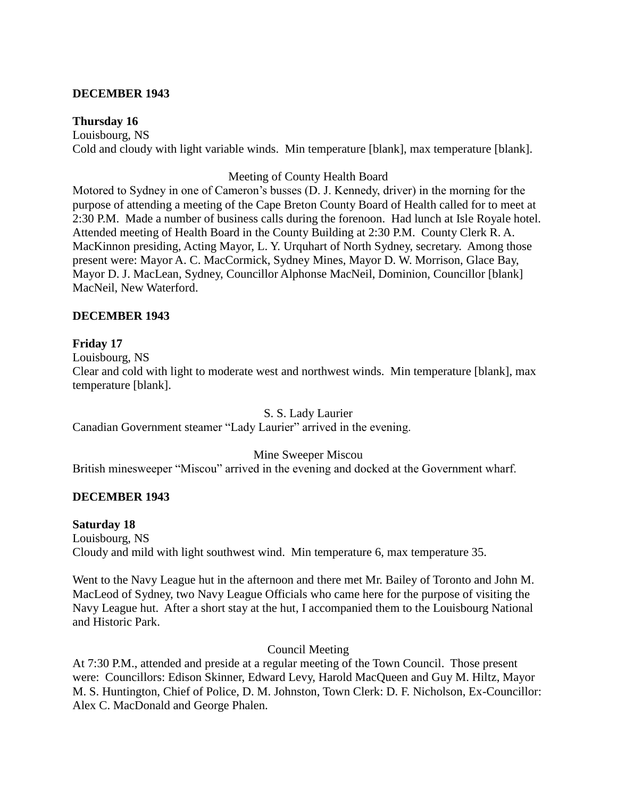#### **DECEMBER 1943**

#### **Thursday 16**

Louisbourg, NS Cold and cloudy with light variable winds. Min temperature [blank], max temperature [blank].

#### Meeting of County Health Board

Motored to Sydney in one of Cameron's busses (D. J. Kennedy, driver) in the morning for the purpose of attending a meeting of the Cape Breton County Board of Health called for to meet at 2:30 P.M. Made a number of business calls during the forenoon. Had lunch at Isle Royale hotel. Attended meeting of Health Board in the County Building at 2:30 P.M. County Clerk R. A. MacKinnon presiding, Acting Mayor, L. Y. Urquhart of North Sydney, secretary. Among those present were: Mayor A. C. MacCormick, Sydney Mines, Mayor D. W. Morrison, Glace Bay, Mayor D. J. MacLean, Sydney, Councillor Alphonse MacNeil, Dominion, Councillor [blank] MacNeil, New Waterford.

# **DECEMBER 1943**

#### **Friday 17**

Louisbourg, NS

Clear and cold with light to moderate west and northwest winds. Min temperature [blank], max temperature [blank].

S. S. Lady Laurier

Canadian Government steamer "Lady Laurier" arrived in the evening.

Mine Sweeper Miscou

British minesweeper "Miscou" arrived in the evening and docked at the Government wharf.

# **DECEMBER 1943**

#### **Saturday 18**

Louisbourg, NS Cloudy and mild with light southwest wind. Min temperature 6, max temperature 35.

Went to the Navy League hut in the afternoon and there met Mr. Bailey of Toronto and John M. MacLeod of Sydney, two Navy League Officials who came here for the purpose of visiting the Navy League hut. After a short stay at the hut, I accompanied them to the Louisbourg National and Historic Park.

Council Meeting

At 7:30 P.M., attended and preside at a regular meeting of the Town Council. Those present were: Councillors: Edison Skinner, Edward Levy, Harold MacQueen and Guy M. Hiltz, Mayor M. S. Huntington, Chief of Police, D. M. Johnston, Town Clerk: D. F. Nicholson, Ex-Councillor: Alex C. MacDonald and George Phalen.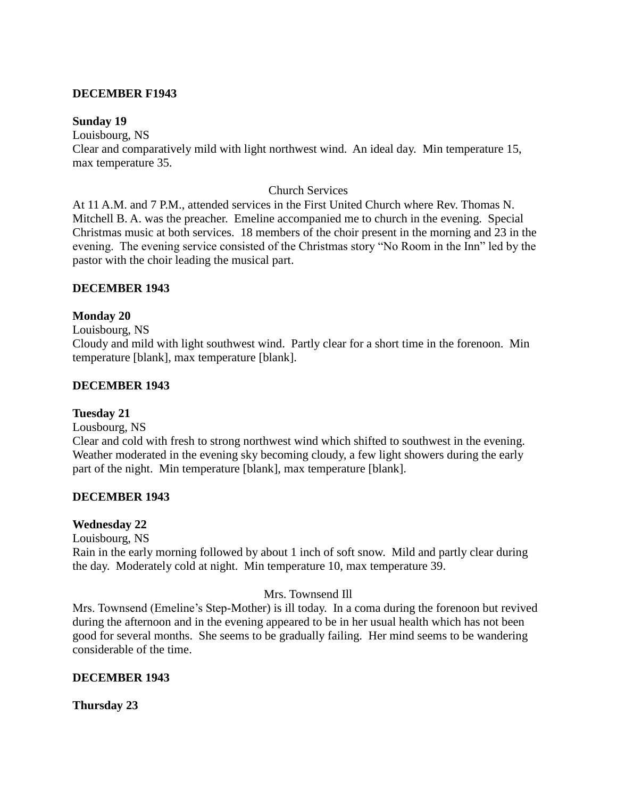#### **DECEMBER F1943**

#### **Sunday 19**

Louisbourg, NS

Clear and comparatively mild with light northwest wind. An ideal day. Min temperature 15, max temperature 35.

#### Church Services

At 11 A.M. and 7 P.M., attended services in the First United Church where Rev. Thomas N. Mitchell B. A. was the preacher. Emeline accompanied me to church in the evening. Special Christmas music at both services. 18 members of the choir present in the morning and 23 in the evening. The evening service consisted of the Christmas story "No Room in the Inn" led by the pastor with the choir leading the musical part.

#### **DECEMBER 1943**

#### **Monday 20**

Louisbourg, NS

Cloudy and mild with light southwest wind. Partly clear for a short time in the forenoon. Min temperature [blank], max temperature [blank].

#### **DECEMBER 1943**

#### **Tuesday 21**

Lousbourg, NS

Clear and cold with fresh to strong northwest wind which shifted to southwest in the evening. Weather moderated in the evening sky becoming cloudy, a few light showers during the early part of the night. Min temperature [blank], max temperature [blank].

#### **DECEMBER 1943**

#### **Wednesday 22**

Louisbourg, NS

Rain in the early morning followed by about 1 inch of soft snow. Mild and partly clear during the day. Moderately cold at night. Min temperature 10, max temperature 39.

#### Mrs. Townsend Ill

Mrs. Townsend (Emeline's Step-Mother) is ill today. In a coma during the forenoon but revived during the afternoon and in the evening appeared to be in her usual health which has not been good for several months. She seems to be gradually failing. Her mind seems to be wandering considerable of the time.

#### **DECEMBER 1943**

**Thursday 23**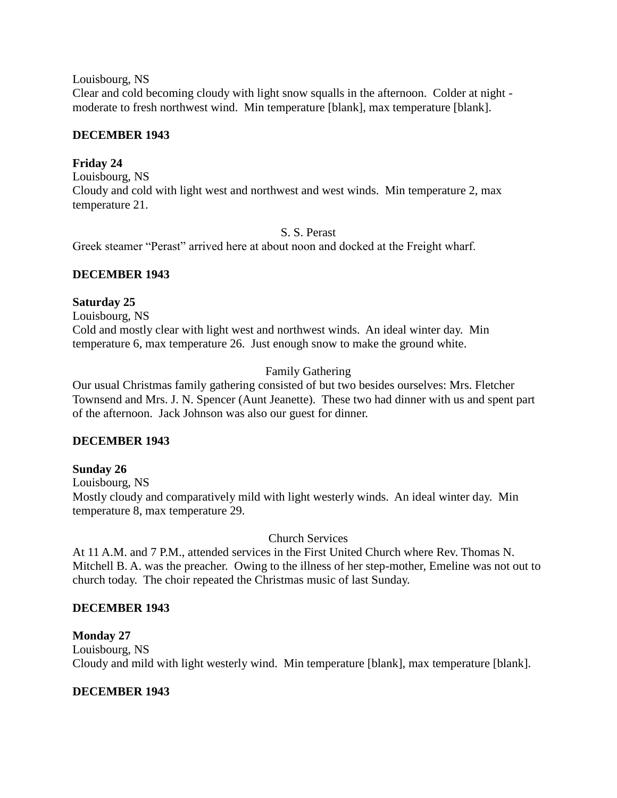Louisbourg, NS

Clear and cold becoming cloudy with light snow squalls in the afternoon. Colder at night moderate to fresh northwest wind. Min temperature [blank], max temperature [blank].

# **DECEMBER 1943**

# **Friday 24**

Louisbourg, NS Cloudy and cold with light west and northwest and west winds. Min temperature 2, max temperature 21.

#### S. S. Perast

Greek steamer "Perast" arrived here at about noon and docked at the Freight wharf.

# **DECEMBER 1943**

# **Saturday 25**

Louisbourg, NS Cold and mostly clear with light west and northwest winds. An ideal winter day. Min temperature 6, max temperature 26. Just enough snow to make the ground white.

# Family Gathering

Our usual Christmas family gathering consisted of but two besides ourselves: Mrs. Fletcher Townsend and Mrs. J. N. Spencer (Aunt Jeanette). These two had dinner with us and spent part of the afternoon. Jack Johnson was also our guest for dinner.

# **DECEMBER 1943**

# **Sunday 26**

Louisbourg, NS Mostly cloudy and comparatively mild with light westerly winds. An ideal winter day. Min temperature 8, max temperature 29.

# Church Services

At 11 A.M. and 7 P.M., attended services in the First United Church where Rev. Thomas N. Mitchell B. A. was the preacher. Owing to the illness of her step-mother, Emeline was not out to church today. The choir repeated the Christmas music of last Sunday.

# **DECEMBER 1943**

# **Monday 27**

Louisbourg, NS Cloudy and mild with light westerly wind. Min temperature [blank], max temperature [blank].

# **DECEMBER 1943**